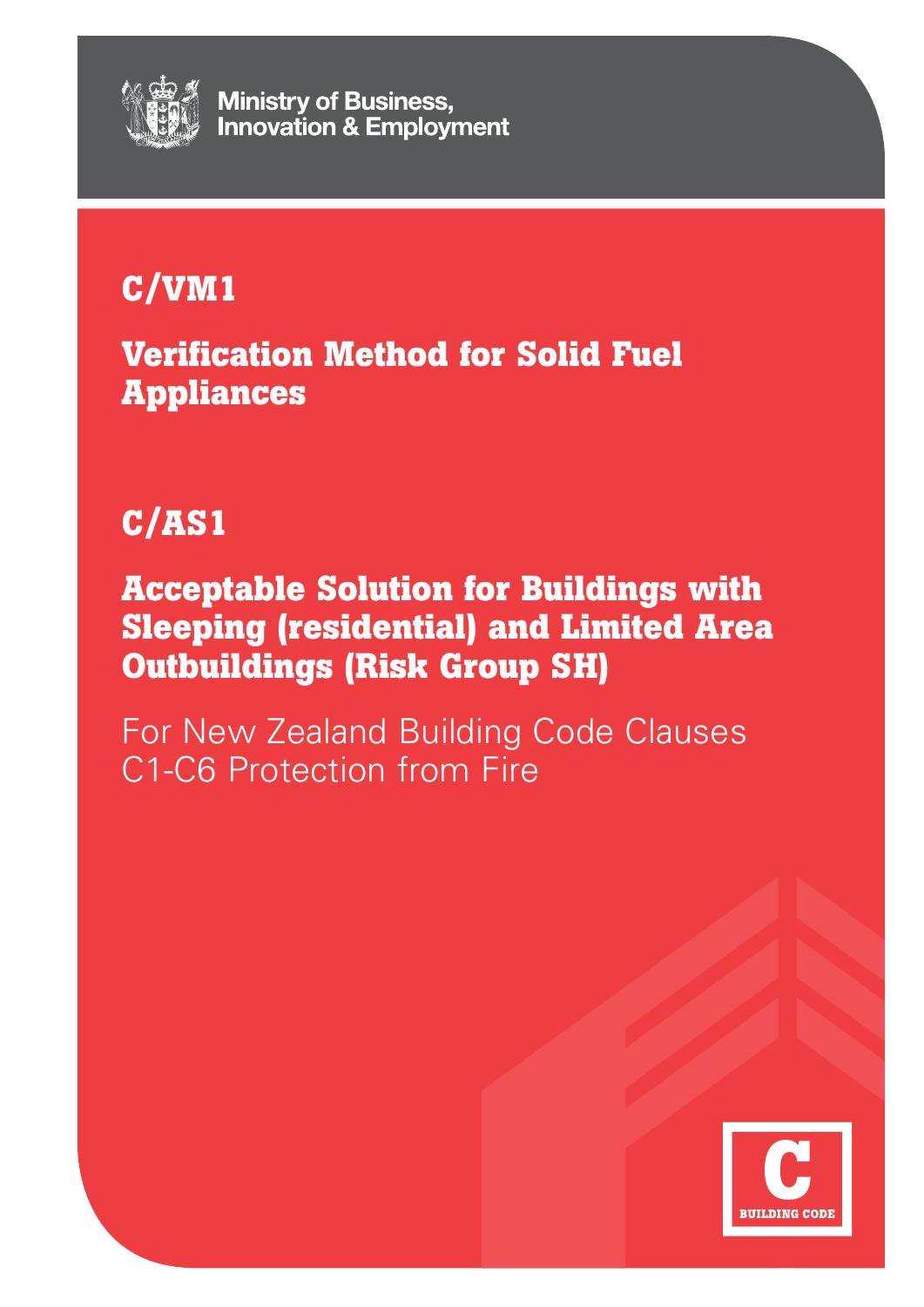

**Ministry of Business, Innovation & Employment** 

# **C/VM1**

**Verification Method for Solid Fuel Appliances** 

# **C/AS1**

**Acceptable Solution for Buildings with Sleeping (residential) and Limited Area Outbuildings (Risk Group SH)** 

For New Zealand Building Code Clauses C1-C6 Protection from Fire

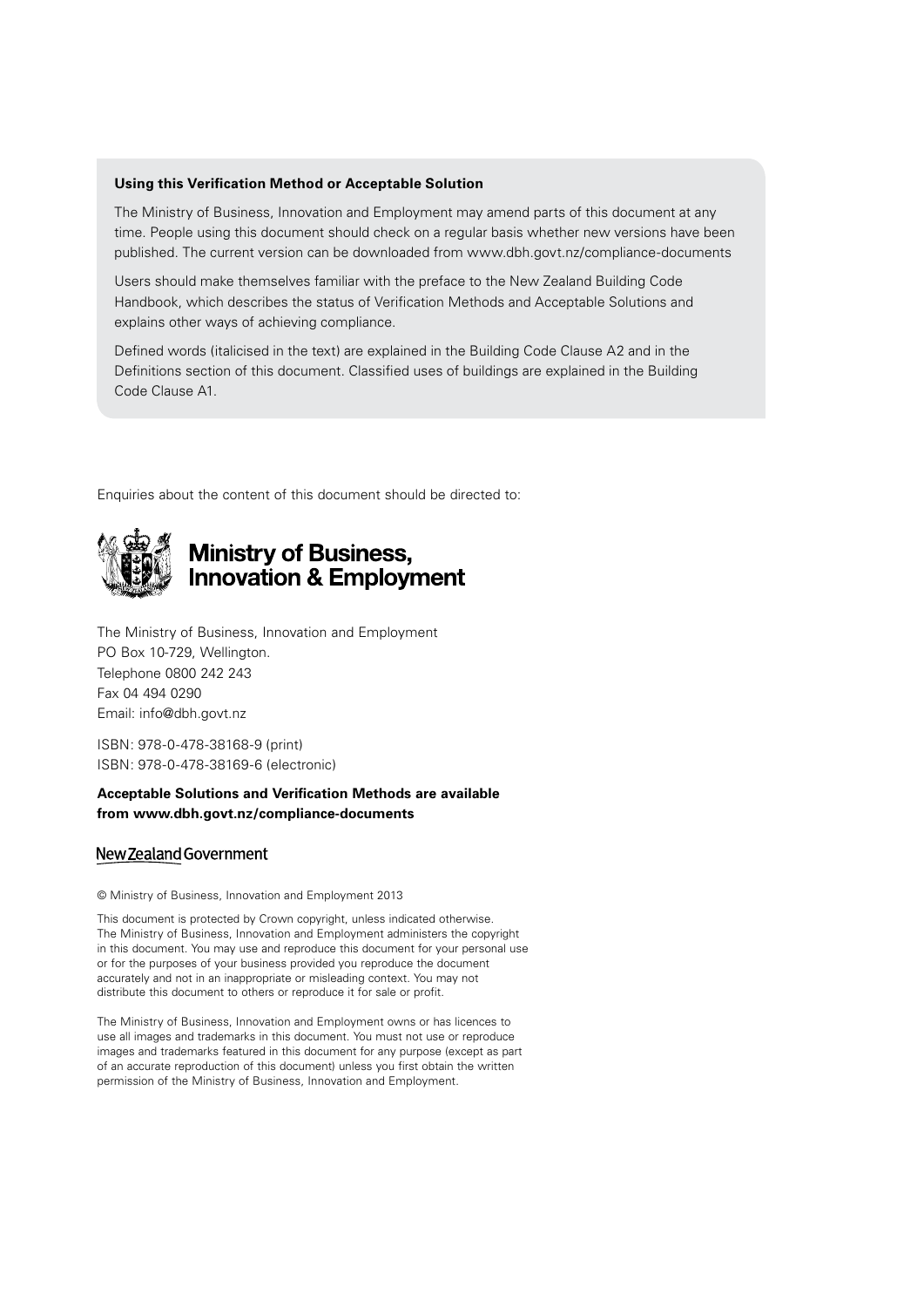# **Using this Verification Method or Acceptable Solution**

The Ministry of Business, Innovation and Employment may amend parts of this document at any time. People using this document should check on a regular basis whether new versions have been published. The current version can be downloaded from www.dbh.govt.nz/compliance-documents

Users should make themselves familiar with the preface to the New Zealand Building Code Handbook, which describes the status of Verification Methods and Acceptable Solutions and explains other ways of achieving compliance.

Defined words (italicised in the text) are explained in the Building Code Clause A2 and in the Definitions section of this document. Classified uses of buildings are explained in the Building Code Clause A1.

Enquiries about the content of this document should be directed to:



# **Ministry of Business, Innovation & Employment**

The Ministry of Business, Innovation and Employment PO Box 10-729, Wellington. Telephone 0800 242 243 Fax 04 494 0290 Email: info@dbh.govt.nz

ISBN: 978-0-478-38168-9 (print) ISBN: 978-0-478-38169-6 (electronic)

# **Acceptable Solutions and Verification Methods are available from www.dbh.govt.nz/compliance-documents**

# New Zealand Government

© Ministry of Business, Innovation and Employment 2013

This document is protected by Crown copyright, unless indicated otherwise. The Ministry of Business, Innovation and Employment administers the copyright in this document. You may use and reproduce this document for your personal use or for the purposes of your business provided you reproduce the document accurately and not in an inappropriate or misleading context. You may not distribute this document to others or reproduce it for sale or profit.

The Ministry of Business, Innovation and Employment owns or has licences to use all images and trademarks in this document. You must not use or reproduce images and trademarks featured in this document for any purpose (except as part of an accurate reproduction of this document) unless you first obtain the written permission of the Ministry of Business, Innovation and Employment.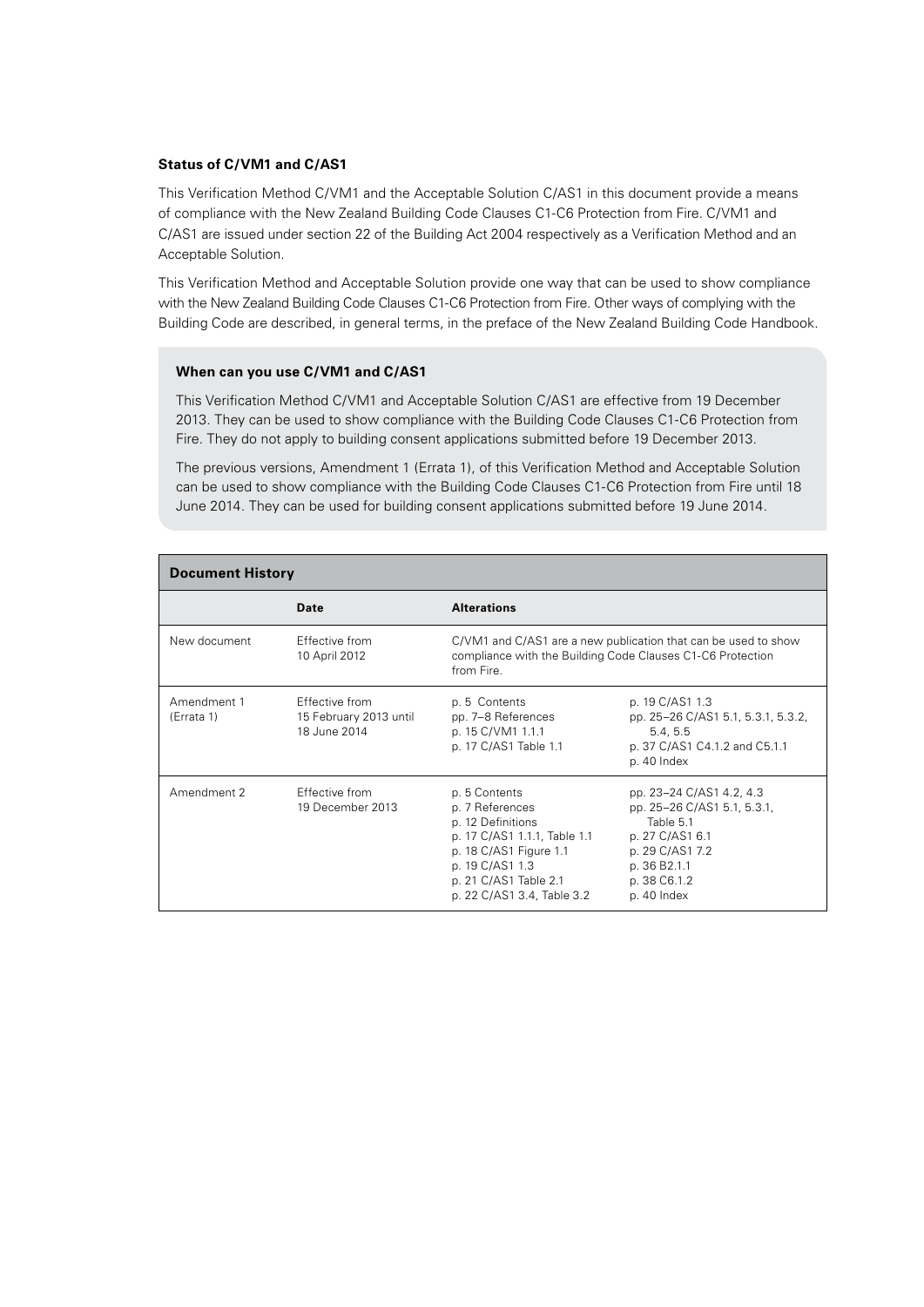# **Status of C/VM1 and C/AS1**

This Verification Method C/VM1 and the Acceptable Solution C/AS1 in this document provide a means of compliance with the New Zealand Building Code Clauses C1-C6 Protection from Fire. C/VM1 and C/AS1 are issued under section 22 of the Building Act 2004 respectively as a Verification Method and an Acceptable Solution.

This Verification Method and Acceptable Solution provide one way that can be used to show compliance with the New Zealand Building Code Clauses C1-C6 Protection from Fire. Other ways of complying with the Building Code are described, in general terms, in the preface of the New Zealand Building Code Handbook.

# **When can you use C/VM1 and C/AS1**

This Verification Method C/VM1 and Acceptable Solution C/AS1 are effective from 19 December 2013. They can be used to show compliance with the Building Code Clauses C1-C6 Protection from Fire. They do not apply to building consent applications submitted before 19 December 2013.

The previous versions, Amendment 1 (Errata 1), of this Verification Method and Acceptable Solution can be used to show compliance with the Building Code Clauses C1-C6 Protection from Fire until 18 June 2014. They can be used for building consent applications submitted before 19 June 2014.

| <b>Document History</b>   |                                                          |                                                                                                                                                                                           |                                                                                                                                                           |
|---------------------------|----------------------------------------------------------|-------------------------------------------------------------------------------------------------------------------------------------------------------------------------------------------|-----------------------------------------------------------------------------------------------------------------------------------------------------------|
|                           | Date                                                     | <b>Alterations</b>                                                                                                                                                                        |                                                                                                                                                           |
| New document              | Effective from<br>10 April 2012                          | from Fire.                                                                                                                                                                                | C/VM1 and C/AS1 are a new publication that can be used to show<br>compliance with the Building Code Clauses C1-C6 Protection                              |
| Amendment 1<br>(Errata 1) | Effective from<br>15 February 2013 until<br>18 June 2014 | p. 5 Contents<br>pp. 7-8 References<br>p. 15 C/VM1 1.1.1<br>p. 17 C/AS1 Table 1.1                                                                                                         | p. 19 C/AS1 1.3<br>pp. 25-26 C/AS1 5.1, 5.3.1, 5.3.2,<br>5.4, 5.5<br>p. 37 C/AS1 C4.1.2 and C5.1.1<br>p. 40 Index                                         |
| Amendment 2               | Effective from<br>19 December 2013                       | p. 5 Contents<br>p. 7 References<br>p. 12 Definitions<br>p. 17 C/AS1 1.1.1, Table 1.1<br>p. 18 C/AS1 Figure 1.1<br>p. 19 C/AS1 1.3<br>p. 21 C/AS1 Table 2.1<br>p. 22 C/AS1 3.4, Table 3.2 | pp. 23-24 C/AS1 4.2, 4.3<br>pp. 25-26 C/AS1 5.1, 5.3.1,<br>Table 5.1<br>p. 27 C/AS1 6.1<br>p. 29 C/AS1 7.2<br>p. 36 B2.1.1<br>p. 38 C6.1.2<br>p. 40 Index |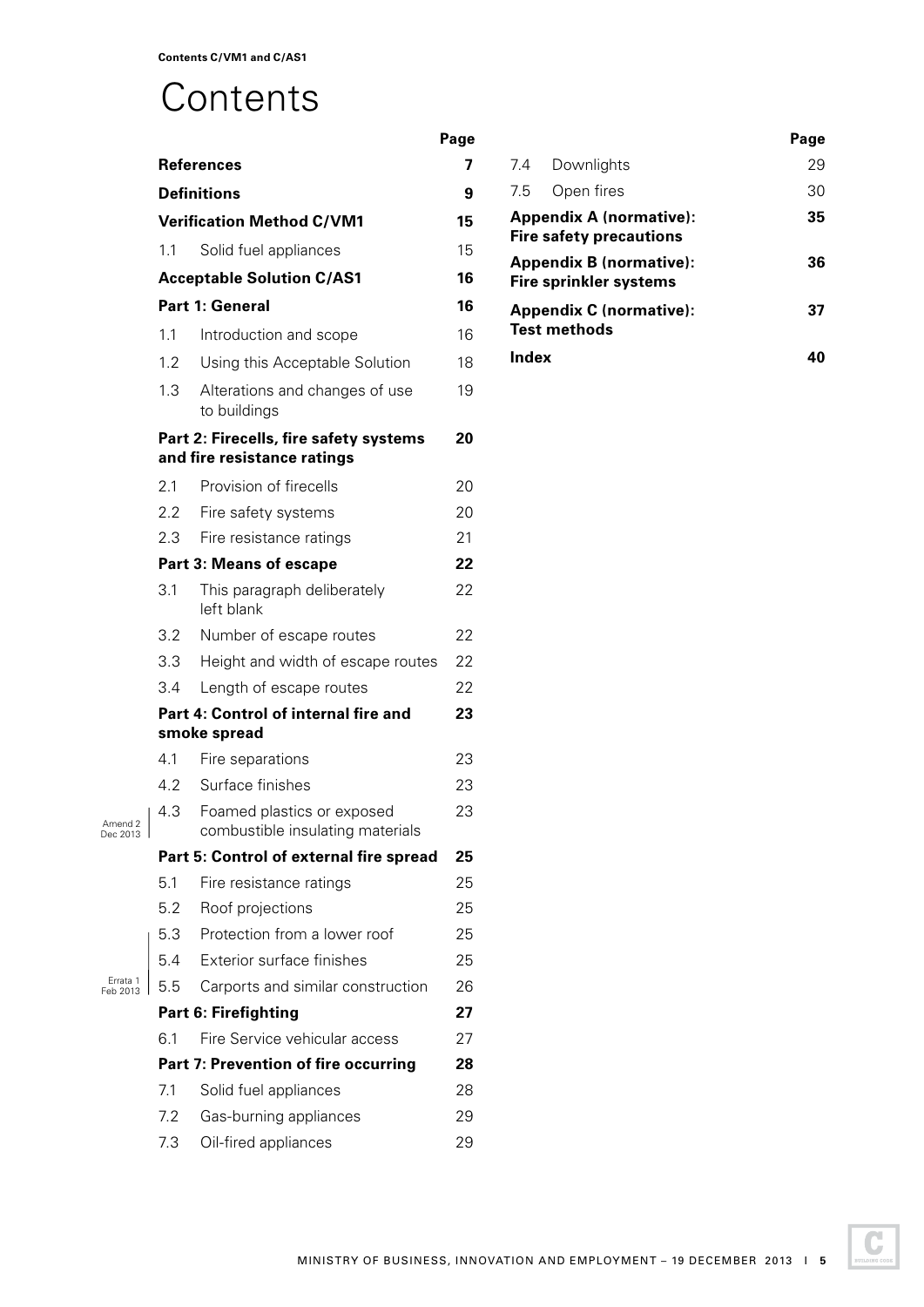# **Contents**

|                                |     | <b>References</b>                                                     | 7  |
|--------------------------------|-----|-----------------------------------------------------------------------|----|
|                                |     | <b>Definitions</b>                                                    | 9  |
|                                |     | <b>Verification Method C/VM1</b>                                      | 15 |
|                                | 1.1 | Solid fuel appliances                                                 | 15 |
|                                |     | <b>Acceptable Solution C/AS1</b>                                      | 16 |
|                                |     | Part 1: General                                                       | 16 |
|                                | 1.1 | Introduction and scope                                                | 16 |
|                                | 1.2 | Using this Acceptable Solution                                        | 18 |
|                                | 1.3 | Alterations and changes of use<br>to buildings                        | 19 |
|                                |     | Part 2: Firecells, fire safety systems<br>and fire resistance ratings | 20 |
|                                | 2.1 | Provision of firecells                                                | 20 |
|                                | 2.2 | Fire safety systems                                                   | 20 |
|                                | 2.3 | Fire resistance ratings                                               | 21 |
|                                |     | Part 3: Means of escape                                               | 22 |
|                                | 3.1 | This paragraph deliberately<br>left blank                             | 22 |
|                                | 3.2 | Number of escape routes                                               | 22 |
|                                | 3.3 | Height and width of escape routes                                     | 22 |
|                                | 3.4 | Length of escape routes                                               | 22 |
|                                |     | Part 4: Control of internal fire and<br>smoke spread                  | 23 |
|                                | 4.1 | Fire separations                                                      | 23 |
|                                | 4.2 | Surface finishes                                                      | 23 |
| Amend <sub>2</sub><br>Dec 2013 | 4.3 | Foamed plastics or exposed<br>combustible insulating materials        | 23 |
|                                |     | Part 5: Control of external fire spread                               | 25 |
|                                | 5.1 | Fire resistance ratings                                               | 25 |
|                                | 5.2 | Roof projections                                                      | 25 |
|                                | 5.3 | Protection from a lower roof                                          | 25 |
|                                | 5.4 | Exterior surface finishes                                             | 25 |
| Errata 1<br>Feb 2013           | 5.5 | Carports and similar construction                                     | 26 |
|                                |     | Part 6: Firefighting                                                  | 27 |
|                                | 6.1 | Fire Service vehicular access                                         | 27 |
|                                |     | Part 7: Prevention of fire occurring                                  | 28 |
|                                | 7.1 | Solid fuel appliances                                                 | 28 |
|                                | 7.2 | Gas-burning appliances                                                | 29 |
|                                | 7.3 | Oil-fired appliances                                                  | 29 |

**Page Page** 7.4 Downlights 29 7.5 Open fires 30 **Appendix A (normative): 35 Fire safety precautions Appendix B (normative): 36 Fire sprinkler systems Appendix C (normative): 37 Test methods Index 40**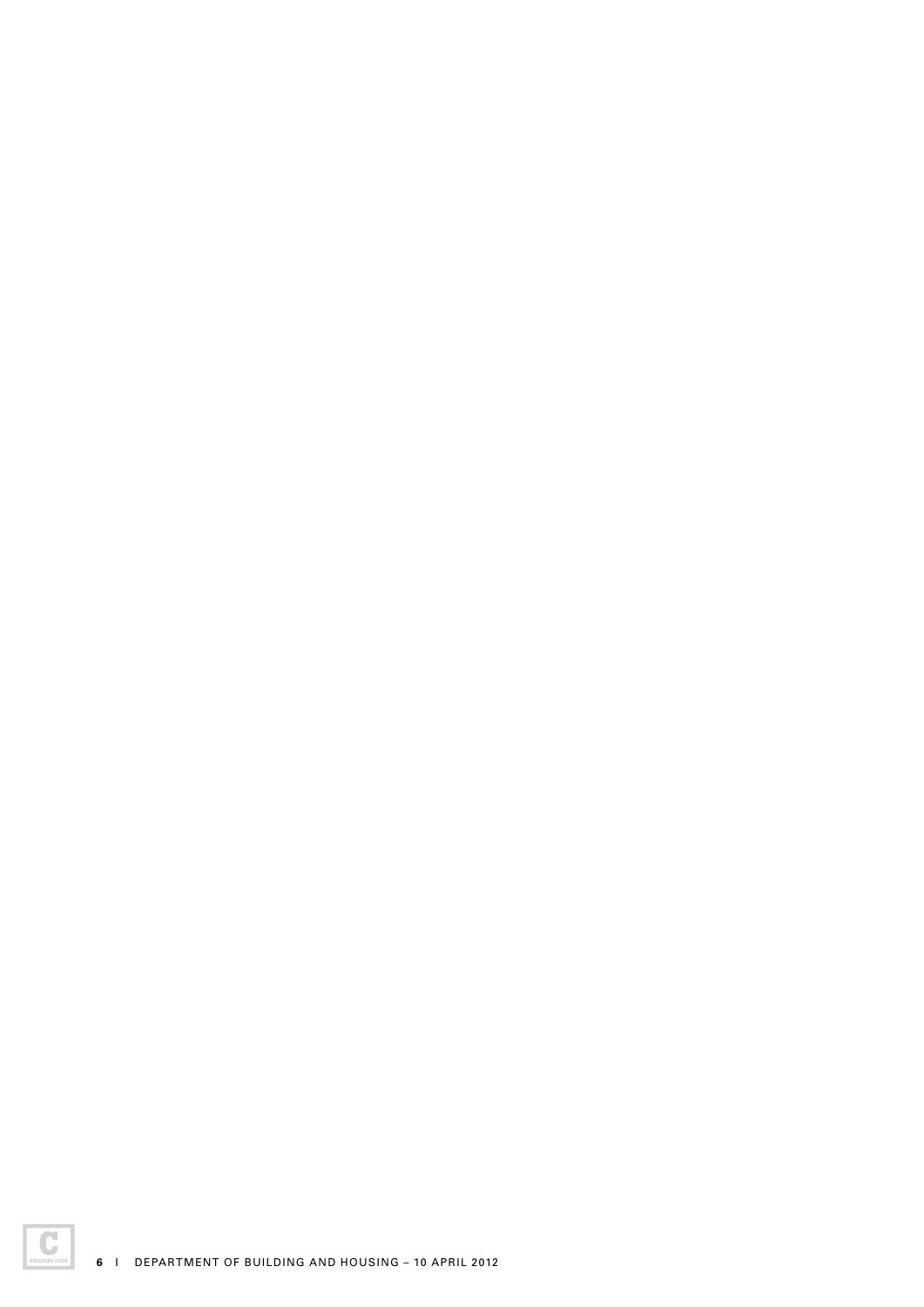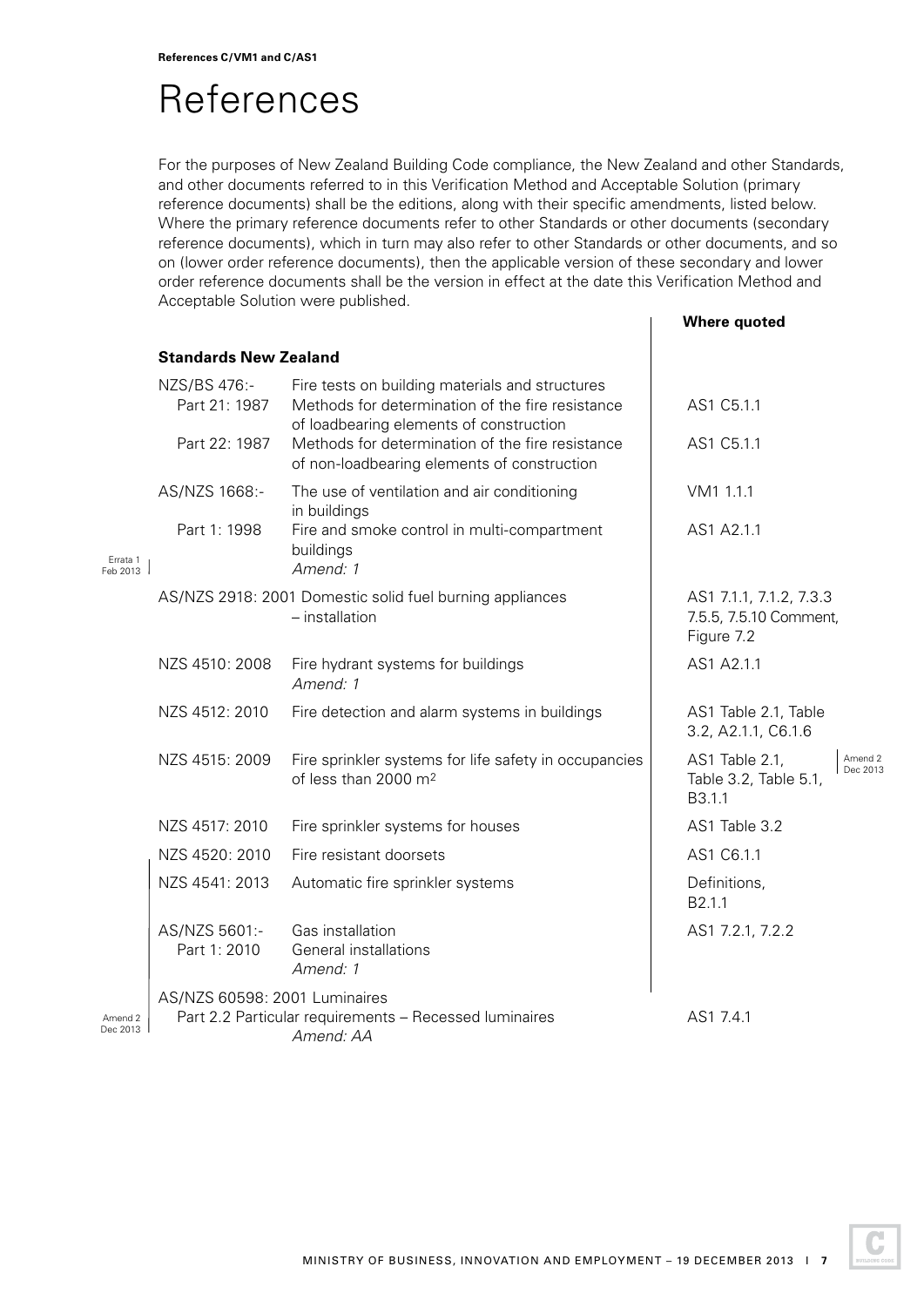**References C/VM1 and C/AS1**

# **References**

For the purposes of New Zealand Building Code compliance, the New Zealand and other Standards, and other documents referred to in this Verification Method and Acceptable Solution (primary reference documents) shall be the editions, along with their specific amendments, listed below. Where the primary reference documents refer to other Standards or other documents (secondary reference documents), which in turn may also refer to other Standards or other documents, and so on (lower order reference documents), then the applicable version of these secondary and lower order reference documents shall be the version in effect at the date this Verification Method and Acceptable Solution were published.

|                      |                                                |                                                                                                                                                                                                                                                   | Where quoted                                                             |
|----------------------|------------------------------------------------|---------------------------------------------------------------------------------------------------------------------------------------------------------------------------------------------------------------------------------------------------|--------------------------------------------------------------------------|
|                      | <b>Standards New Zealand</b>                   |                                                                                                                                                                                                                                                   |                                                                          |
|                      | NZS/BS 476:-<br>Part 21: 1987<br>Part 22: 1987 | Fire tests on building materials and structures<br>Methods for determination of the fire resistance<br>of loadbearing elements of construction<br>Methods for determination of the fire resistance<br>of non-loadbearing elements of construction | AS1 C5.1.1<br>AS1 C5.1.1                                                 |
|                      | AS/NZS 1668:-                                  | The use of ventilation and air conditioning                                                                                                                                                                                                       | VM1 1.1.1                                                                |
| Errata 1<br>Feb 2013 | Part 1: 1998                                   | in buildings<br>Fire and smoke control in multi-compartment<br>buildings<br>Amend: 1                                                                                                                                                              | AS1 A2.1.1                                                               |
|                      |                                                | AS/NZS 2918: 2001 Domestic solid fuel burning appliances<br>- installation                                                                                                                                                                        | AS1 7.1.1, 7.1.2, 7.3.3<br>7.5.5, 7.5.10 Comment,<br>Figure 7.2          |
|                      | NZS 4510: 2008                                 | Fire hydrant systems for buildings<br>Amend: 1                                                                                                                                                                                                    | AS1 A2.1.1                                                               |
|                      | NZS 4512: 2010                                 | Fire detection and alarm systems in buildings                                                                                                                                                                                                     | AS1 Table 2.1, Table<br>3.2, A2.1.1, C6.1.6                              |
|                      | NZS 4515: 2009                                 | Fire sprinkler systems for life safety in occupancies<br>of less than 2000 m <sup>2</sup>                                                                                                                                                         | AS1 Table 2.1,<br>Amend 2<br>Dec 2013<br>Table 3.2, Table 5.1,<br>B3.1.1 |
|                      | NZS 4517: 2010                                 | Fire sprinkler systems for houses                                                                                                                                                                                                                 | AS1 Table 3.2                                                            |
|                      | NZS 4520: 2010                                 | Fire resistant doorsets                                                                                                                                                                                                                           | AS1 C6.1.1                                                               |
|                      | NZS 4541: 2013                                 | Automatic fire sprinkler systems                                                                                                                                                                                                                  | Definitions,<br>B2.1.1                                                   |
|                      | AS/NZS 5601:-<br>Part 1: 2010                  | Gas installation<br>General installations<br>Amend: 1                                                                                                                                                                                             | AS1 7.2.1, 7.2.2                                                         |
| Amend 2<br>Dec 2013  | AS/NZS 60598: 2001 Luminaires                  | Part 2.2 Particular requirements - Recessed luminaires<br>Amend: AA                                                                                                                                                                               | AS1 7.4.1                                                                |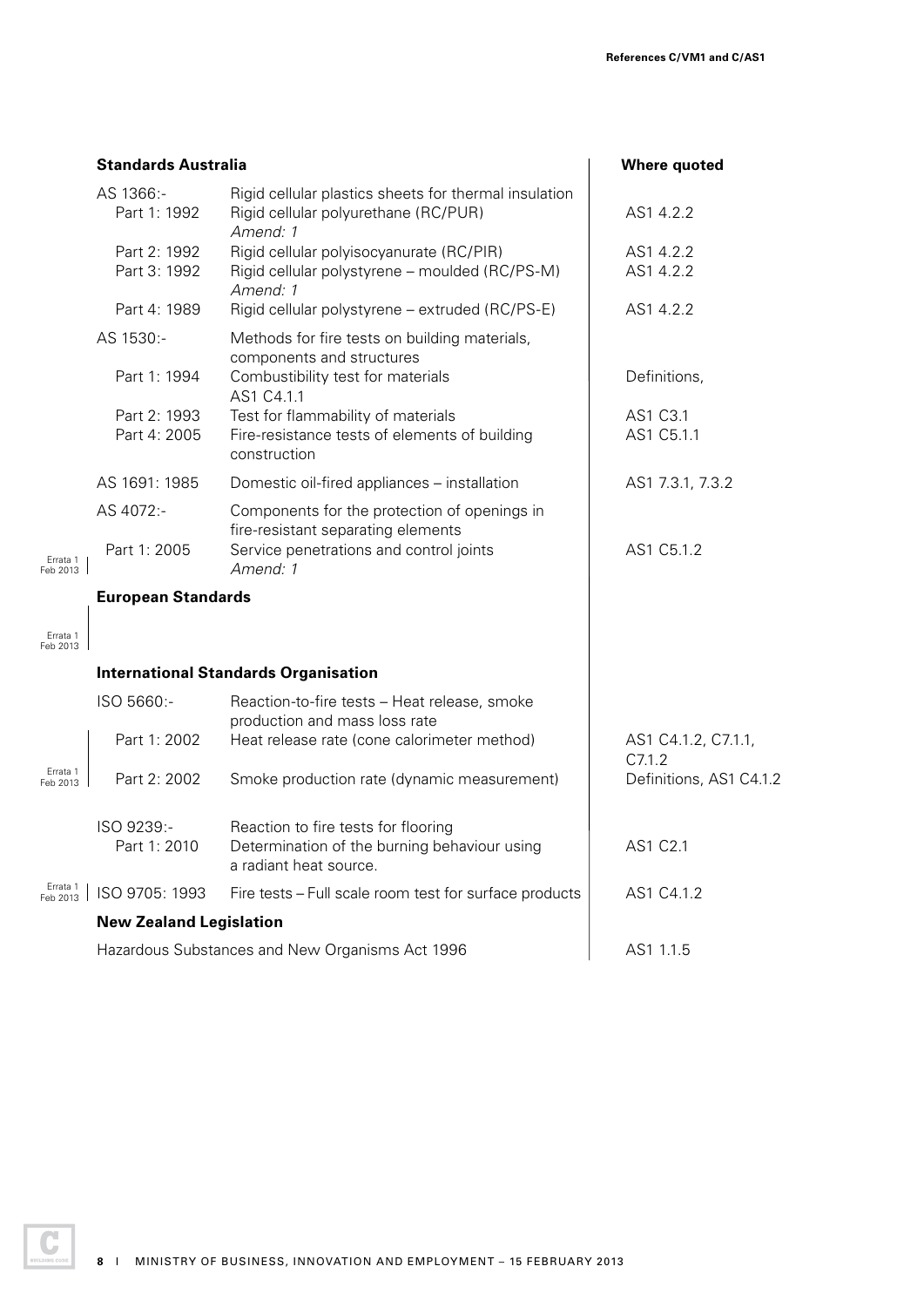|                      | <b>Standards Australia</b>     |                                                                                                               | <b>Where quoted</b>           |
|----------------------|--------------------------------|---------------------------------------------------------------------------------------------------------------|-------------------------------|
|                      | AS 1366:-<br>Part 1: 1992      | Rigid cellular plastics sheets for thermal insulation<br>Rigid cellular polyurethane (RC/PUR)<br>Amend: 1     | AS1 4.2.2                     |
|                      | Part 2: 1992<br>Part 3: 1992   | Rigid cellular polyisocyanurate (RC/PIR)<br>Rigid cellular polystyrene - moulded (RC/PS-M)                    | AS1 4.2.2<br>AS1 4.2.2        |
|                      | Part 4: 1989                   | Amend: 1<br>Rigid cellular polystyrene - extruded (RC/PS-E)                                                   | AS1 4.2.2                     |
|                      | AS 1530:-                      | Methods for fire tests on building materials,<br>components and structures                                    |                               |
|                      | Part 1: 1994                   | Combustibility test for materials<br>AS1 C4.1.1                                                               | Definitions,                  |
|                      | Part 2: 1993<br>Part 4: 2005   | Test for flammability of materials<br>Fire-resistance tests of elements of building<br>construction           | AS1 C3.1<br>AS1 C5.1.1        |
|                      | AS 1691: 1985                  | Domestic oil-fired appliances - installation                                                                  | AS1 7.3.1, 7.3.2              |
|                      | AS 4072:-                      | Components for the protection of openings in<br>fire-resistant separating elements                            |                               |
| Errata 1<br>Feb 2013 | Part 1: 2005                   | Service penetrations and control joints<br>Amend: 1                                                           | AS1 C5.1.2                    |
|                      | <b>European Standards</b>      |                                                                                                               |                               |
| Errata 1<br>Feb 2013 |                                |                                                                                                               |                               |
|                      |                                | <b>International Standards Organisation</b>                                                                   |                               |
|                      | ISO 5660:-                     | Reaction-to-fire tests - Heat release, smoke<br>production and mass loss rate                                 |                               |
|                      | Part 1: 2002                   | Heat release rate (cone calorimeter method)                                                                   | AS1 C4.1.2, C7.1.1,<br>C7.1.2 |
| Errata 1<br>Feb 2013 | Part 2: 2002                   | Smoke production rate (dynamic measurement)                                                                   | Definitions, AS1 C4.1.2       |
|                      | ISO 9239:-<br>Part 1: 2010     | Reaction to fire tests for flooring<br>Determination of the burning behaviour using<br>a radiant heat source. | AS1 C2.1                      |
| Errata 1<br>Feb 2013 | ISO 9705: 1993                 | Fire tests - Full scale room test for surface products                                                        | AS1 C4.1.2                    |
|                      | <b>New Zealand Legislation</b> |                                                                                                               |                               |
|                      |                                | Hazardous Substances and New Organisms Act 1996                                                               | AS1 1.1.5                     |

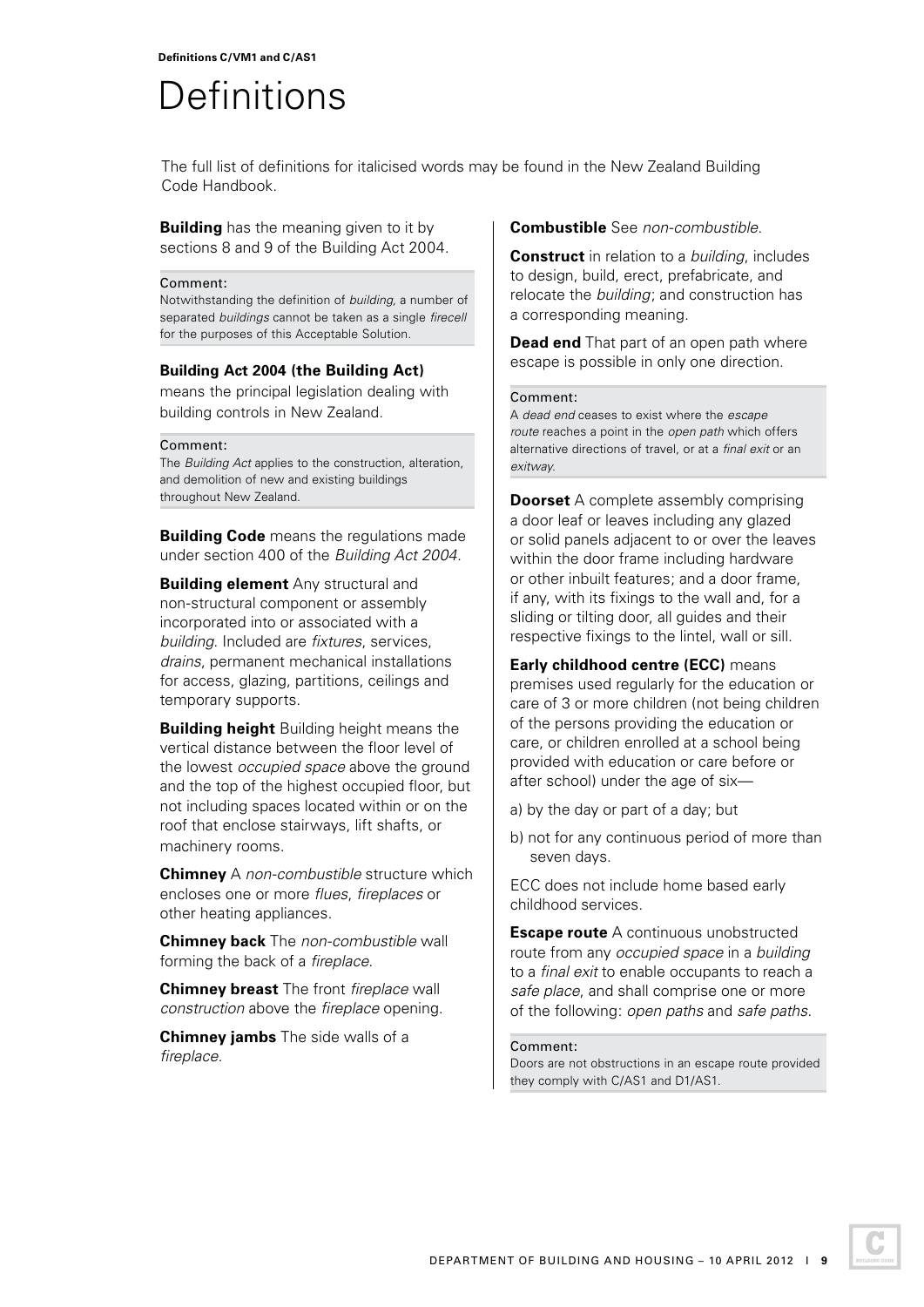# **Definitions**

The full list of definitions for italicised words may be found in the New Zealand Building Code Handbook.

**Building** has the meaning given to it by sections 8 and 9 of the Building Act 2004.

# Comment:

Notwithstanding the definition of *building,* a number of separated *buildings* cannot be taken as a single *firecell* for the purposes of this Acceptable Solution.

# **Building Act 2004 (the Building Act)**

means the principal legislation dealing with building controls in New Zealand.

# Comment:

The *Building Act* applies to the construction, alteration, and demolition of new and existing buildings throughout New Zealand.

**Building Code** means the regulations made under section 400 of the *Building Act 2004*.

**Building element** Any structural and non-structural component or assembly incorporated into or associated with a *building*. Included are *fixtures*, services, *drains*, permanent mechanical installations for access, glazing, partitions, ceilings and temporary supports.

**Building height** Building height means the vertical distance between the floor level of the lowest *occupied space* above the ground and the top of the highest occupied floor, but not including spaces located within or on the roof that enclose stairways, lift shafts, or machinery rooms.

**Chimney** A *non-combustible* structure which encloses one or more *flues*, *fireplaces* or other heating appliances.

**Chimney back** The *non-combustible* wall forming the back of a *fireplace*.

**Chimney breast** The front *fireplace* wall *construction* above the *fireplace* opening.

**Chimney jambs** The side walls of a *fireplace*.

**Combustible** See *non-combustible*.

**Construct** in relation to a *building*, includes to design, build, erect, prefabricate, and relocate the *building*; and construction has a corresponding meaning.

**Dead end** That part of an open path where escape is possible in only one direction.

# Comment:

A *dead end* ceases to exist where the *escape route* reaches a point in the *open path* which offers alternative directions of travel, or at a *final exit* or an *exitway*.

**Doorset** A complete assembly comprising a door leaf or leaves including any glazed or solid panels adjacent to or over the leaves within the door frame including hardware or other inbuilt features; and a door frame, if any, with its fixings to the wall and, for a sliding or tilting door, all guides and their respective fixings to the lintel, wall or sill.

**Early childhood centre (ECC)** means premises used regularly for the education or care of 3 or more children (not being children of the persons providing the education or care, or children enrolled at a school being provided with education or care before or after school) under the age of six—

- a) by the day or part of a day; but
- b) not for any continuous period of more than seven days.

ECC does not include home based early childhood services.

**Escape route** A continuous unobstructed route from any *occupied space* in a *building* to a *final exit* to enable occupants to reach a *safe place*, and shall comprise one or more of the following: *open paths* and *safe paths*.

# Comment:

Doors are not obstructions in an escape route provided they comply with C/AS1 and D1/AS1.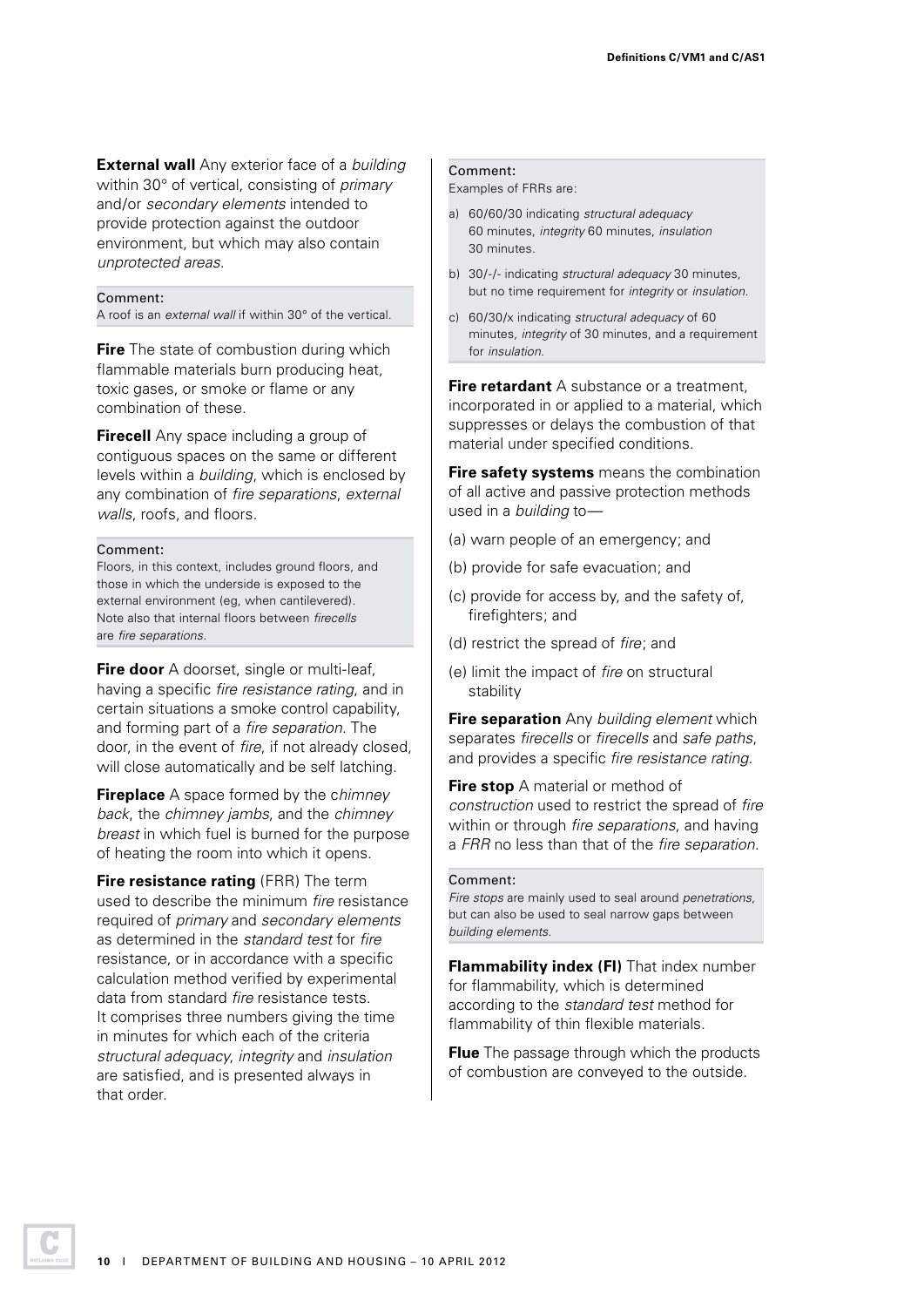**External wall** Any exterior face of a *building* within 30° of vertical, consisting of *primary* and/or *secondary elements* intended to provide protection against the outdoor environment, but which may also contain *unprotected areas*.

# Comment:

A roof is an *external wall* if within 30° of the vertical.

**Fire** The state of combustion during which flammable materials burn producing heat, toxic gases, or smoke or flame or any combination of these.

**Firecell** Any space including a group of contiguous spaces on the same or different levels within a *building*, which is enclosed by any combination of *fire separations*, *external walls*, roofs, and floors.

# Comment:

Floors, in this context, includes ground floors, and those in which the underside is exposed to the external environment (eg, when cantilevered). Note also that internal floors between *firecells* are *fire separations*.

**Fire door** A doorset, single or multi-leaf, having a specific *fire resistance rating*, and in certain situations a smoke control capability, and forming part of a *fire separation*. The door, in the event of *fire*, if not already closed, will close automatically and be self latching.

**Fireplace** A space formed by the c*himney back*, the *chimney jambs*, and the *chimney breast* in which fuel is burned for the purpose of heating the room into which it opens.

**Fire resistance rating** (FRR) The term used to describe the minimum *fire* resistance required of *primary* and *secondary elements* as determined in the *standard test* for *fire* resistance, or in accordance with a specific calculation method verified by experimental data from standard *fire* resistance tests. It comprises three numbers giving the time in minutes for which each of the criteria *structural adequacy*, *integrity* and *insulation* are satisfied, and is presented always in that order.

### Comment: Examples of FRRs are:

- a) 60/60/30 indicating *structural adequacy* 60 minutes, *integrity* 60 minutes, *insulation* 30 minutes.
- b) 30/-/- indicating *structural adequacy* 30 minutes, but no time requirement for *integrity* or *insulation*.
- c) 60/30/x indicating *structural adequacy* of 60 minutes, *integrity* of 30 minutes, and a requirement for *insulation*.

**Fire retardant** A substance or a treatment, incorporated in or applied to a material, which suppresses or delays the combustion of that material under specified conditions.

**Fire safety systems** means the combination of all active and passive protection methods used in a *building* to—

- (a) warn people of an emergency; and
- (b) provide for safe evacuation; and
- (c) provide for access by, and the safety of, firefighters; and
- (d) restrict the spread of *fire*; and
- (e) limit the impact of *fire* on structural stability

**Fire separation** Any *building element* which separates *firecells* or *firecells* and *safe paths*, and provides a specific *fire resistance rating*.

**Fire stop** A material or method of *construction* used to restrict the spread of *fire* within or through *fire separations*, and having a *FRR* no less than that of the *fire separation*.

# Comment:

*Fire stops* are mainly used to seal around *penetrations*, but can also be used to seal narrow gaps between *building elements*.

**Flammability index (FI)** That index number for flammability, which is determined according to the *standard test* method for flammability of thin flexible materials.

**Flue** The passage through which the products of combustion are conveyed to the outside.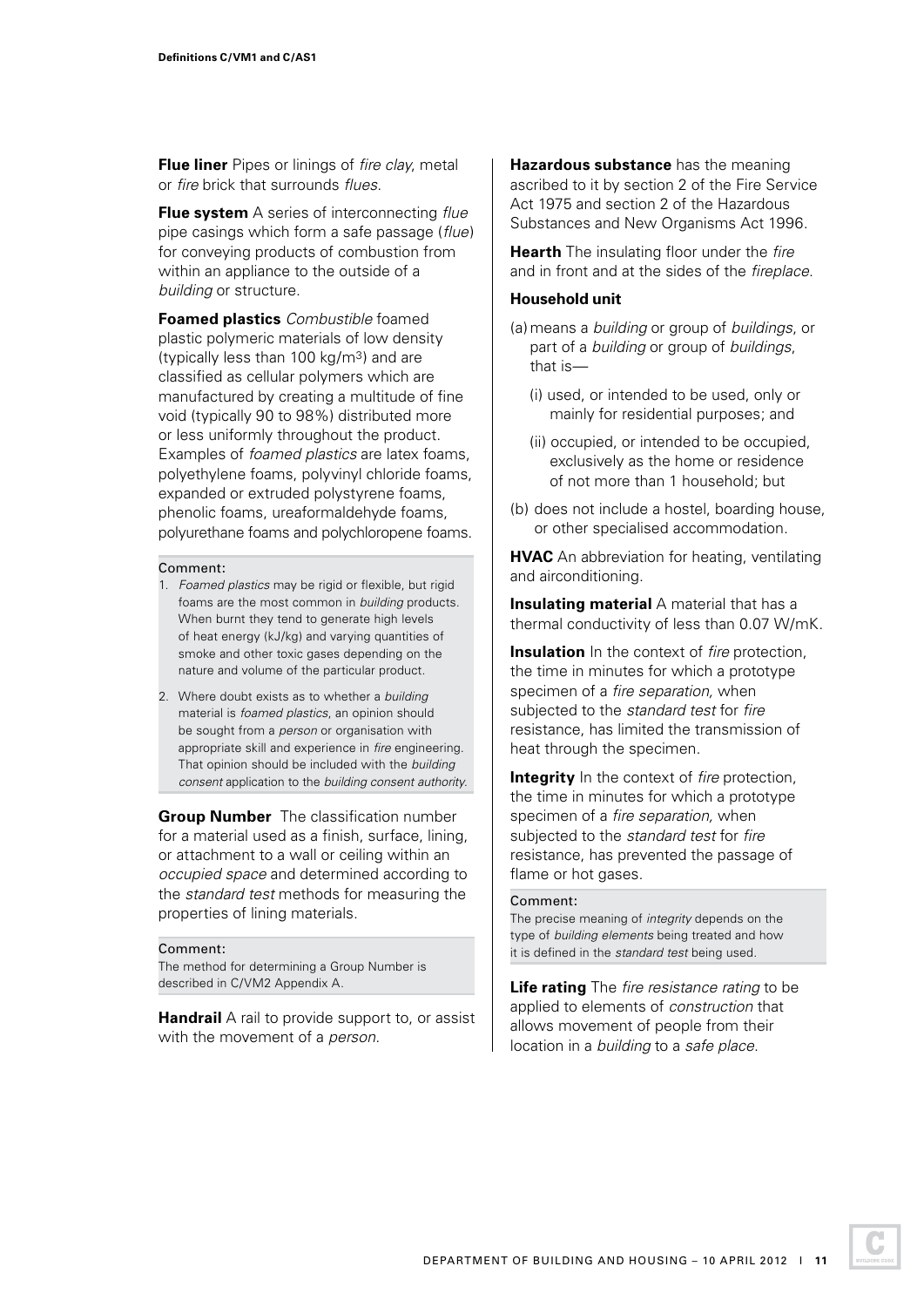**Flue liner** Pipes or linings of *fire clay*, metal or *fire* brick that surrounds *flues*.

**Flue system** A series of interconnecting *flue* pipe casings which form a safe passage (*flue*) for conveying products of combustion from within an appliance to the outside of a *building* or structure.

**Foamed plastics** *Combustible* foamed plastic polymeric materials of low density (typically less than 100 kg/m3) and are classified as cellular polymers which are manufactured by creating a multitude of fine void (typically 90 to 98%) distributed more or less uniformly throughout the product. Examples of *foamed plastics* are latex foams, polyethylene foams, polyvinyl chloride foams, expanded or extruded polystyrene foams, phenolic foams, ureaformaldehyde foams, polyurethane foams and polychloropene foams.

# Comment:

- 1. *Foamed plastics* may be rigid or flexible, but rigid foams are the most common in *building* products. When burnt they tend to generate high levels of heat energy (kJ/kg) and varying quantities of smoke and other toxic gases depending on the nature and volume of the particular product.
- 2. Where doubt exists as to whether a *building* material is *foamed plastics*, an opinion should be sought from a *person* or organisation with appropriate skill and experience in *fire* engineering. That opinion should be included with the *building consent* application to the *building consent authority.*

**Group Number** The classification number for a material used as a finish, surface, lining, or attachment to a wall or ceiling within an *occupied space* and determined according to the *standard test* methods for measuring the properties of lining materials.

## Comment:

The method for determining a Group Number is described in C/VM2 Appendix A.

**Handrail** A rail to provide support to, or assist with the movement of a *person*.

**Hazardous substance** has the meaning ascribed to it by section 2 of the Fire Service Act 1975 and section 2 of the Hazardous Substances and New Organisms Act 1996.

**Hearth** The insulating floor under the *fire* and in front and at the sides of the *fireplace*.

# **Household unit**

- (a)means a *building* or group of *buildings*, or part of a *building* or group of *buildings*, that is—
	- (i) used, or intended to be used, only or mainly for residential purposes; and
	- (ii) occupied, or intended to be occupied, exclusively as the home or residence of not more than 1 household; but
- (b) does not include a hostel, boarding house, or other specialised accommodation.

**HVAC** An abbreviation for heating, ventilating and airconditioning.

**Insulating material** A material that has a thermal conductivity of less than 0.07 W/mK.

**Insulation** In the context of *fire* protection, the time in minutes for which a prototype specimen of a *fire separation,* when subjected to the *standard test* for *fire*  resistance, has limited the transmission of heat through the specimen.

**Integrity** In the context of *fire* protection, the time in minutes for which a prototype specimen of a *fire separation,* when subjected to the *standard test* for *fire* resistance, has prevented the passage of flame or hot gases.

# Comment:

The precise meaning of *integrity* depends on the type of *building elements* being treated and how it is defined in the *standard test* being used.

**Life rating** The *fire resistance rating* to be applied to elements of *construction* that allows movement of people from their location in a *building* to a *safe place*.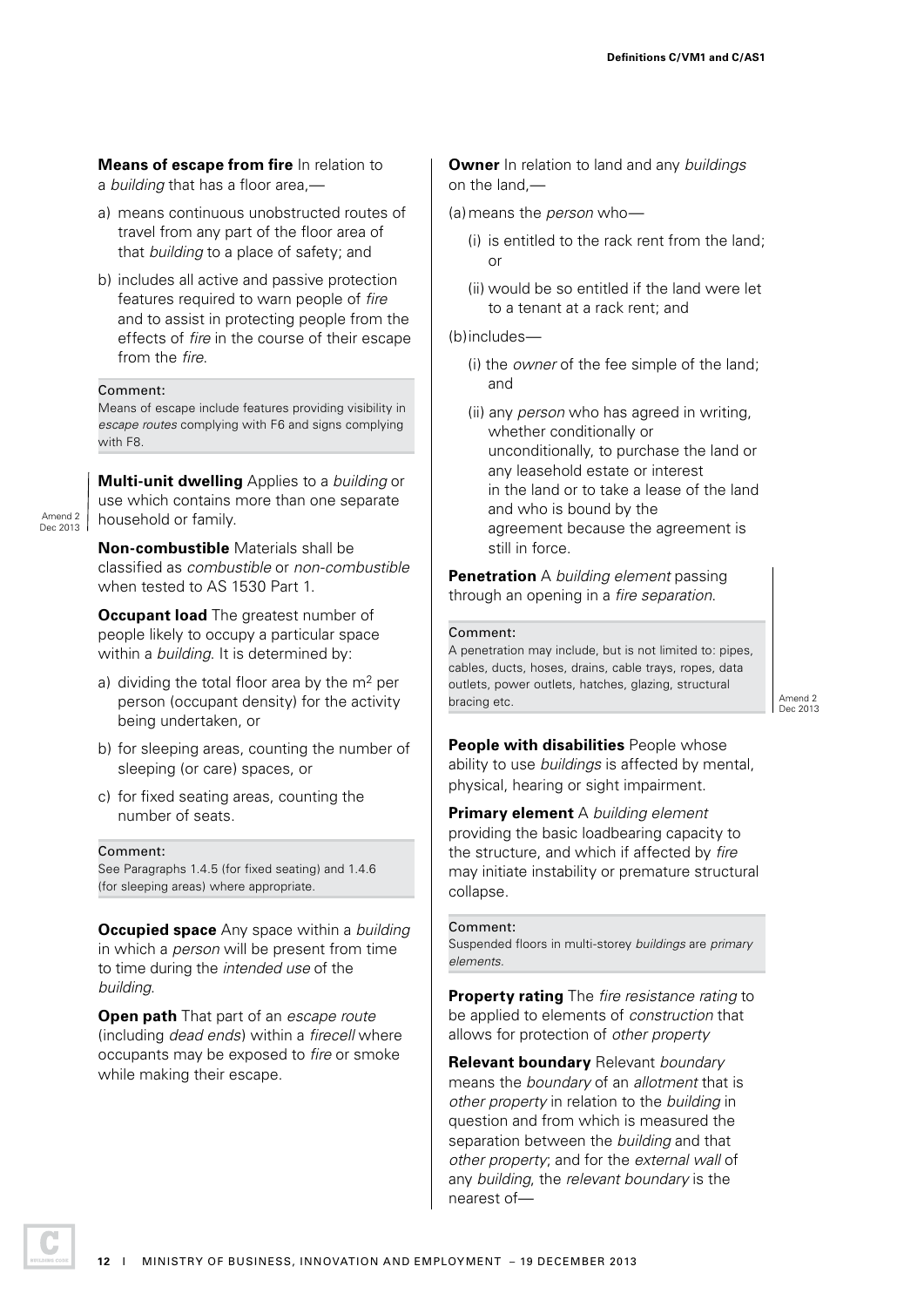# **Means of escape from fire** In relation to a *building* that has a floor area,—

- a) means continuous unobstructed routes of travel from any part of the floor area of that *building* to a place of safety; and
- b) includes all active and passive protection features required to warn people of *fire* and to assist in protecting people from the effects of *fire* in the course of their escape from the *fire*.

# Comment:

Amend 2 Dec 2013

Means of escape include features providing visibility in *escape routes* complying with F6 and signs complying with F8.

**Multi-unit dwelling** Applies to a *building* or use which contains more than one separate household or family.

**Non-combustible** Materials shall be classified as *combustible* or *non-combustible*  when tested to AS 1530 Part 1.

**Occupant load** The greatest number of people likely to occupy a particular space within a *building*. It is determined by:

- a) dividing the total floor area by the m2 per person (occupant density) for the activity being undertaken, or
- b) for sleeping areas, counting the number of sleeping (or care) spaces, or
- c) for fixed seating areas, counting the number of seats.

## Comment:

See Paragraphs 1.4.5 (for fixed seating) and 1.4.6 (for sleeping areas) where appropriate.

**Occupied space** Any space within a *building* in which a *person* will be present from time to time during the *intended use* of the *building*.

**Open path** That part of an *escape route* (including *dead ends*) within a *firecell* where occupants may be exposed to *fire* or smoke while making their escape.

**Owner** In relation to land and any *buildings* on the land,—

(a)means the *person* who—

- (i) is entitled to the rack rent from the land; or
- (ii) would be so entitled if the land were let to a tenant at a rack rent; and

# (b)includes—

- (i) the *owner* of the fee simple of the land; and
- (ii) any *person* who has agreed in writing, whether conditionally or unconditionally, to purchase the land or any leasehold estate or interest in the land or to take a lease of the land and who is bound by the agreement because the agreement is still in force.

**Penetration** A *building element* passing through an opening in a *fire separation*.

# Comment:

A penetration may include, but is not limited to: pipes, cables, ducts, hoses, drains, cable trays, ropes, data outlets, power outlets, hatches, glazing, structural bracing etc.

Amend 2 Dec 2013

**People with disabilities** People whose ability to use *buildings* is affected by mental, physical, hearing or sight impairment.

**Primary element** A *building element* providing the basic loadbearing capacity to the structure, and which if affected by *fire* may initiate instability or premature structural collapse.

# Comment:

Suspended floors in multi-storey *buildings* are *primary elements.*

**Property rating** The *fire resistance rating* to be applied to elements of *construction* that allows for protection of *other property*

**Relevant boundary** Relevant *boundary* means the *boundary* of an *allotment* that is *other property* in relation to the *building* in question and from which is measured the separation between the *building* and that *other property*; and for the *external wall* of any *building*, the *relevant boundary* is the nearest of—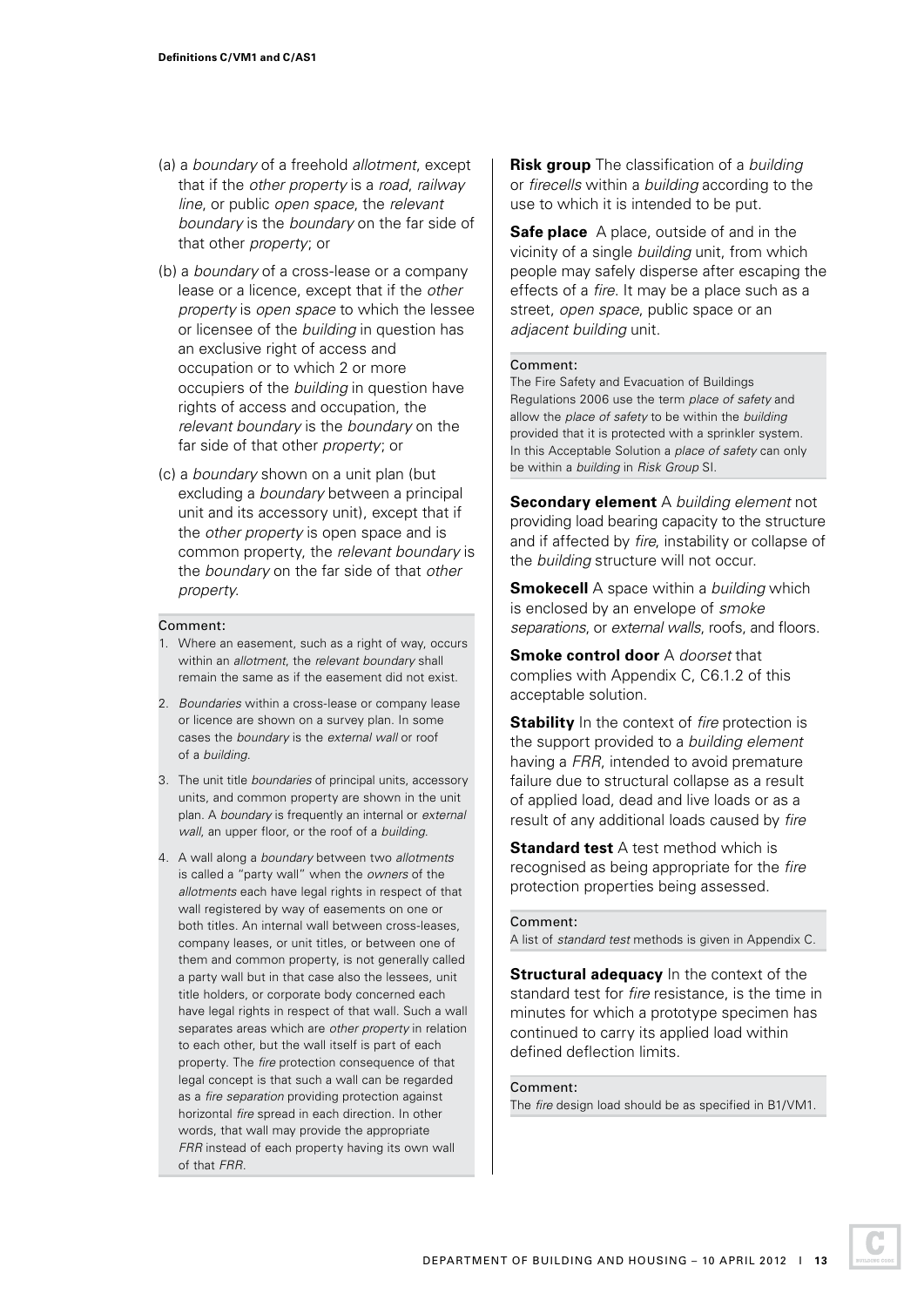- (a) a *boundary* of a freehold *allotment*, except that if the *other property* is a *road*, *railway line*, or public *open space*, the *relevant boundary* is the *boundary* on the far side of that other *property*; or
- (b) a *boundary* of a cross-lease or a company lease or a licence, except that if the *other property* is *open space* to which the lessee or licensee of the *building* in question has an exclusive right of access and occupation or to which 2 or more occupiers of the *building* in question have rights of access and occupation, the *relevant boundary* is the *boundary* on the far side of that other *property*; or
- (c) a *boundary* shown on a unit plan (but excluding a *boundary* between a principal unit and its accessory unit), except that if the *other property* is open space and is common property, the *relevant boundary* is the *boundary* on the far side of that *other property*.

## Comment:

- 1. Where an easement, such as a right of way, occurs within an *allotment*, the *relevant boundary* shall remain the same as if the easement did not exist.
- 2. *Boundaries* within a cross-lease or company lease or licence are shown on a survey plan. In some cases the *boundary* is the *external wall* or roof of a *building*.
- 3. The unit title *boundaries* of principal units, accessory units, and common property are shown in the unit plan. A *boundary* is frequently an internal or *external wall*, an upper floor, or the roof of a *building*.
- 4. A wall along a *boundary* between two *allotments* is called a "party wall" when the *owners* of the *allotments* each have legal rights in respect of that wall registered by way of easements on one or both titles. An internal wall between cross-leases, company leases, or unit titles, or between one of them and common property, is not generally called a party wall but in that case also the lessees, unit title holders, or corporate body concerned each have legal rights in respect of that wall. Such a wall separates areas which are *other property* in relation to each other, but the wall itself is part of each property. The *fire* protection consequence of that legal concept is that such a wall can be regarded as a *fire separation* providing protection against horizontal *fire* spread in each direction. In other words, that wall may provide the appropriate *FRR* instead of each property having its own wall of that *FRR*.

**Risk group** The classification of a *building* or *firecells* within a *building* according to the use to which it is intended to be put.

**Safe place** A place, outside of and in the vicinity of a single *building* unit, from which people may safely disperse after escaping the effects of a *fire*. It may be a place such as a street, *open space*, public space or an *adjacent building* unit.

# Comment:

The Fire Safety and Evacuation of Buildings Regulations 2006 use the term *place of safety* and allow the *place of safety* to be within the *building* provided that it is protected with a sprinkler system. In this Acceptable Solution a *place of safety* can only be within a *building* in *Risk Group* SI.

**Secondary element** A *building element* not providing load bearing capacity to the structure and if affected by *fire*, instability or collapse of the *building* structure will not occur.

**Smokecell** A space within a *building* which is enclosed by an envelope of *smoke separations*, or *external walls*, roofs, and floors.

**Smoke control door** A *doorset* that complies with Appendix C, C6.1.2 of this acceptable solution.

**Stability** In the context of *fire* protection is the support provided to a *building element* having a *FRR*, intended to avoid premature failure due to structural collapse as a result of applied load, dead and live loads or as a result of any additional loads caused by *fire*

**Standard test** A test method which is recognised as being appropriate for the *fire* protection properties being assessed.

# Comment:

A list of *standard test* methods is given in Appendix C.

**Structural adequacy** In the context of the standard test for *fire* resistance, is the time in minutes for which a prototype specimen has continued to carry its applied load within defined deflection limits.

# Comment:

The *fire* design load should be as specified in B1/VM1.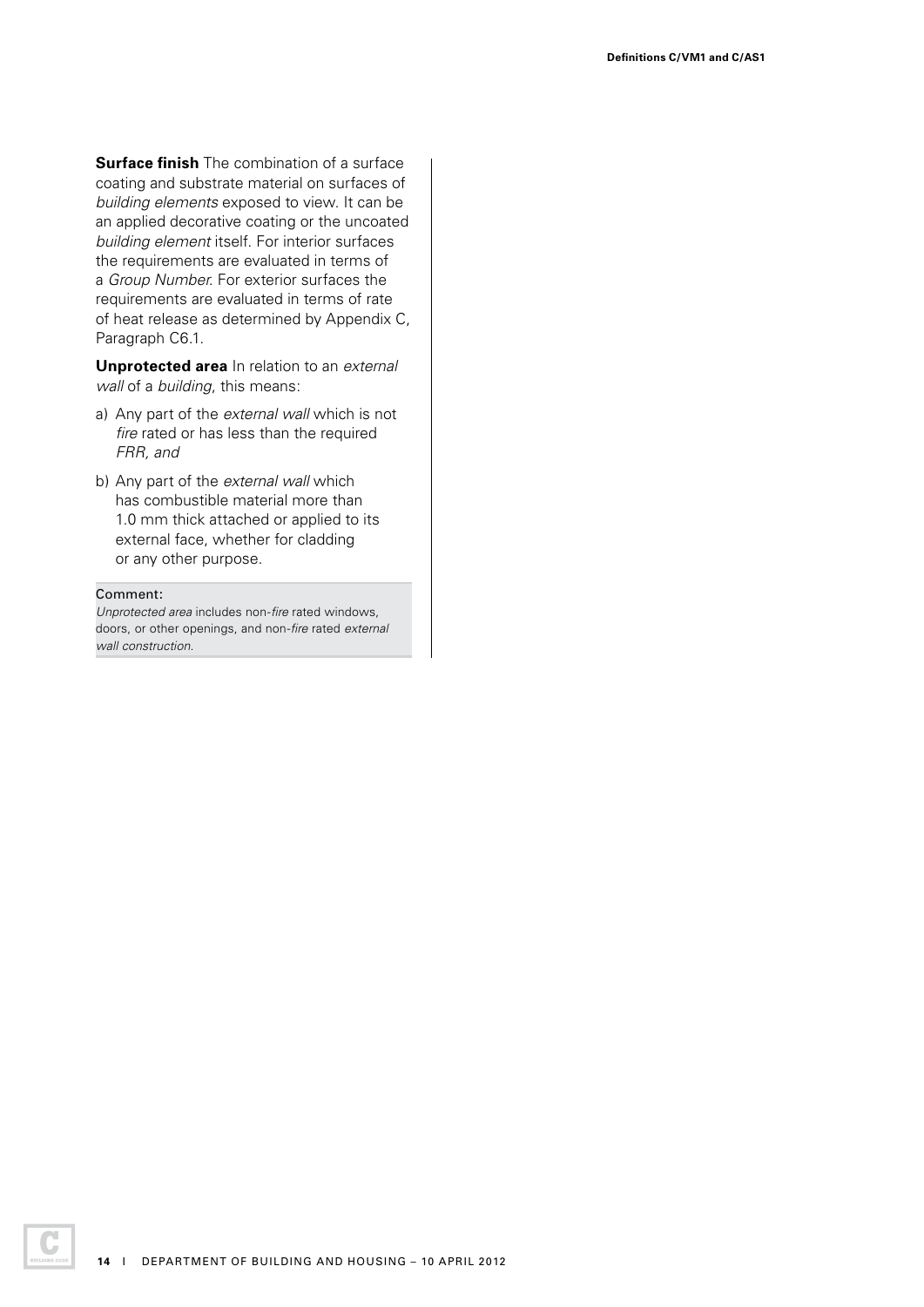**Surface finish** The combination of a surface coating and substrate material on surfaces of *building elements* exposed to view. It can be an applied decorative coating or the uncoated *building element* itself. For interior surfaces the requirements are evaluated in terms of a *Group Number*. For exterior surfaces the requirements are evaluated in terms of rate of heat release as determined by Appendix C, Paragraph C6.1.

**Unprotected area** In relation to an *external wall* of a *building*, this means:

- a) Any part of the *external wall* which is not *fire* rated or has less than the required *FRR, and*
- b) Any part of the *external wall* which has combustible material more than 1.0 mm thick attached or applied to its external face, whether for cladding or any other purpose.

# Comment:

*Unprotected area* includes non-*fire* rated windows, doors, or other openings, and non-*fire* rated *external wall construction*.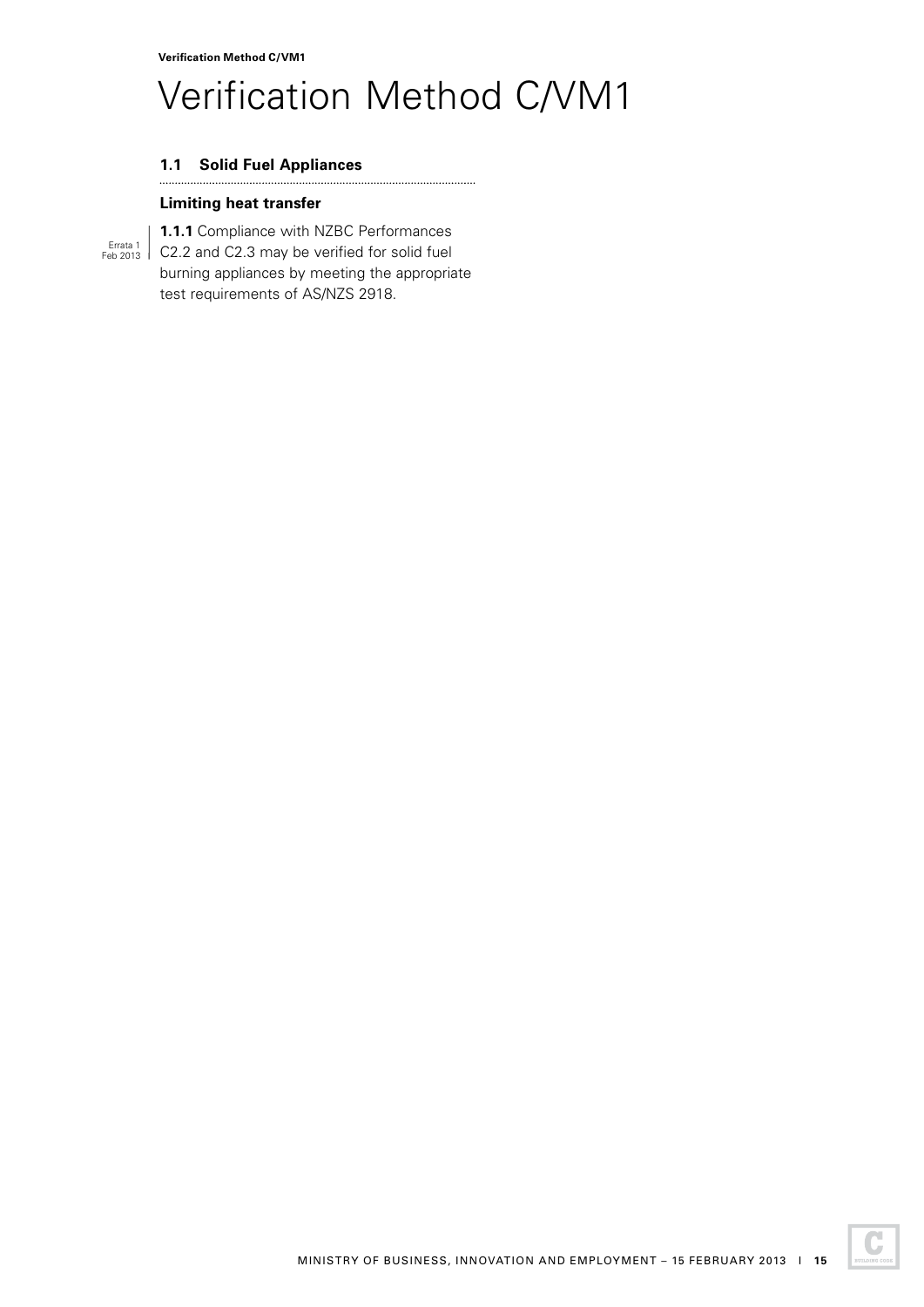# Verification Method C/VM1

# **1.1 Solid Fuel Appliances**

# **Limiting heat transfer**

Errata 1 Feb 2013

**1.1.1** Compliance with NZBC Performances C2.2 and C2.3 may be verified for solid fuel burning appliances by meeting the appropriate test requirements of AS/NZS 2918.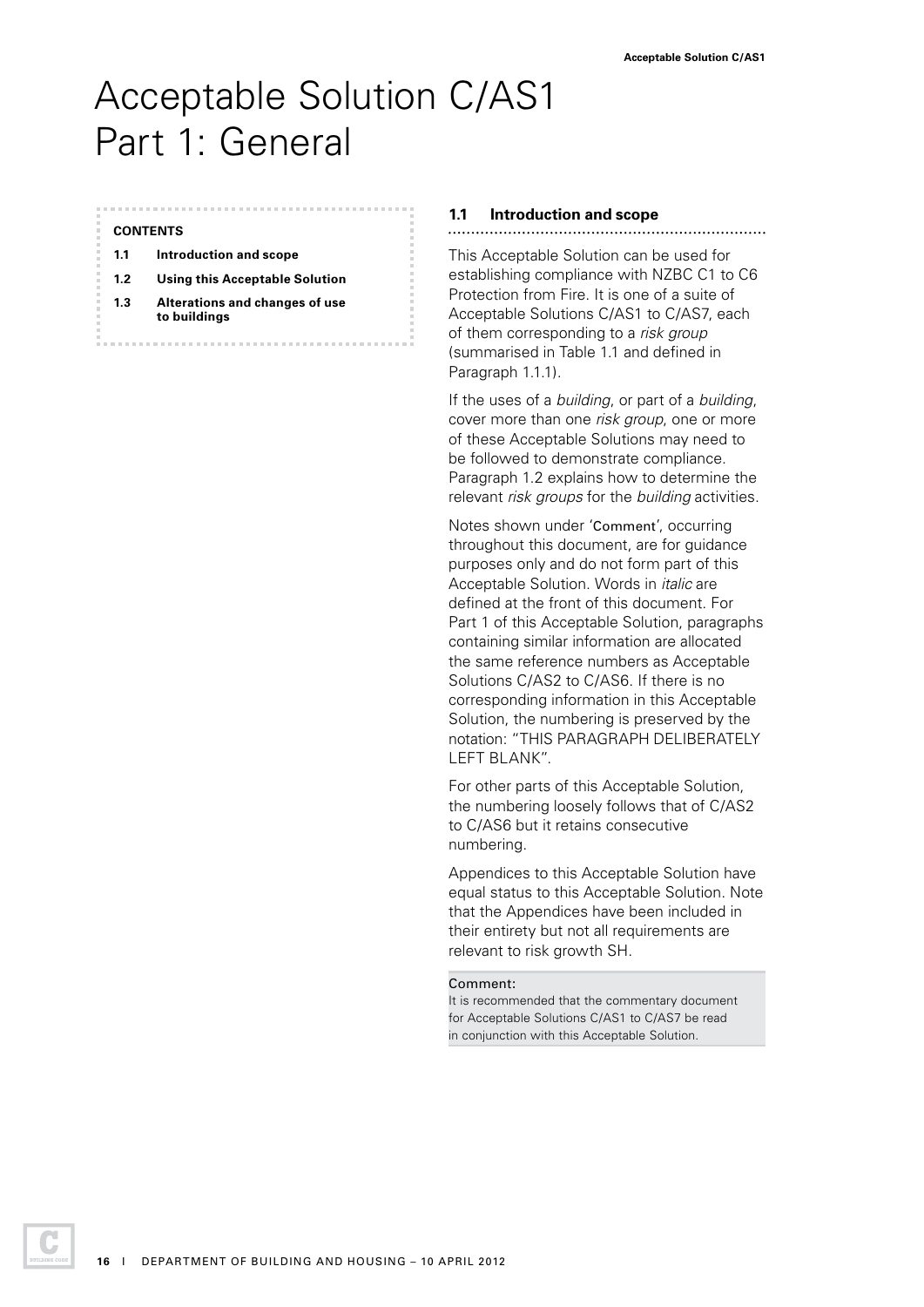# Acceptable Solution C/AS1 Part 1: General

# **CONTENTS**

| 1.1              | Introduction and scope                         |
|------------------|------------------------------------------------|
| 1.2 <sub>2</sub> | Using this Acceptable Solution                 |
| 1.3              | Alterations and changes of use<br>to buildings |

# **1.1 Introduction and scope**

This Acceptable Solution can be used for establishing compliance with NZBC C1 to C6 Protection from Fire. It is one of a suite of Acceptable Solutions C/AS1 to C/AS7, each of them corresponding to a *risk group* (summarised in Table 1.1 and defined in Paragraph 1.1.1).

If the uses of a *building*, or part of a *building*, cover more than one *risk group*, one or more of these Acceptable Solutions may need to be followed to demonstrate compliance. Paragraph 1.2 explains how to determine the relevant *risk groups* for the *building* activities.

Notes shown under 'Comment', occurring throughout this document, are for guidance purposes only and do not form part of this Acceptable Solution. Words in *italic* are defined at the front of this document. For Part 1 of this Acceptable Solution, paragraphs containing similar information are allocated the same reference numbers as Acceptable Solutions C/AS2 to C/AS6. If there is no corresponding information in this Acceptable Solution, the numbering is preserved by the notation: "THIS PARAGRAPH DELIBERATELY LEFT BLANK".

For other parts of this Acceptable Solution, the numbering loosely follows that of C/AS2 to C/AS6 but it retains consecutive numbering.

Appendices to this Acceptable Solution have equal status to this Acceptable Solution. Note that the Appendices have been included in their entirety but not all requirements are relevant to risk growth SH.

## Comment:

It is recommended that the commentary document for Acceptable Solutions C/AS1 to C/AS7 be read in conjunction with this Acceptable Solution.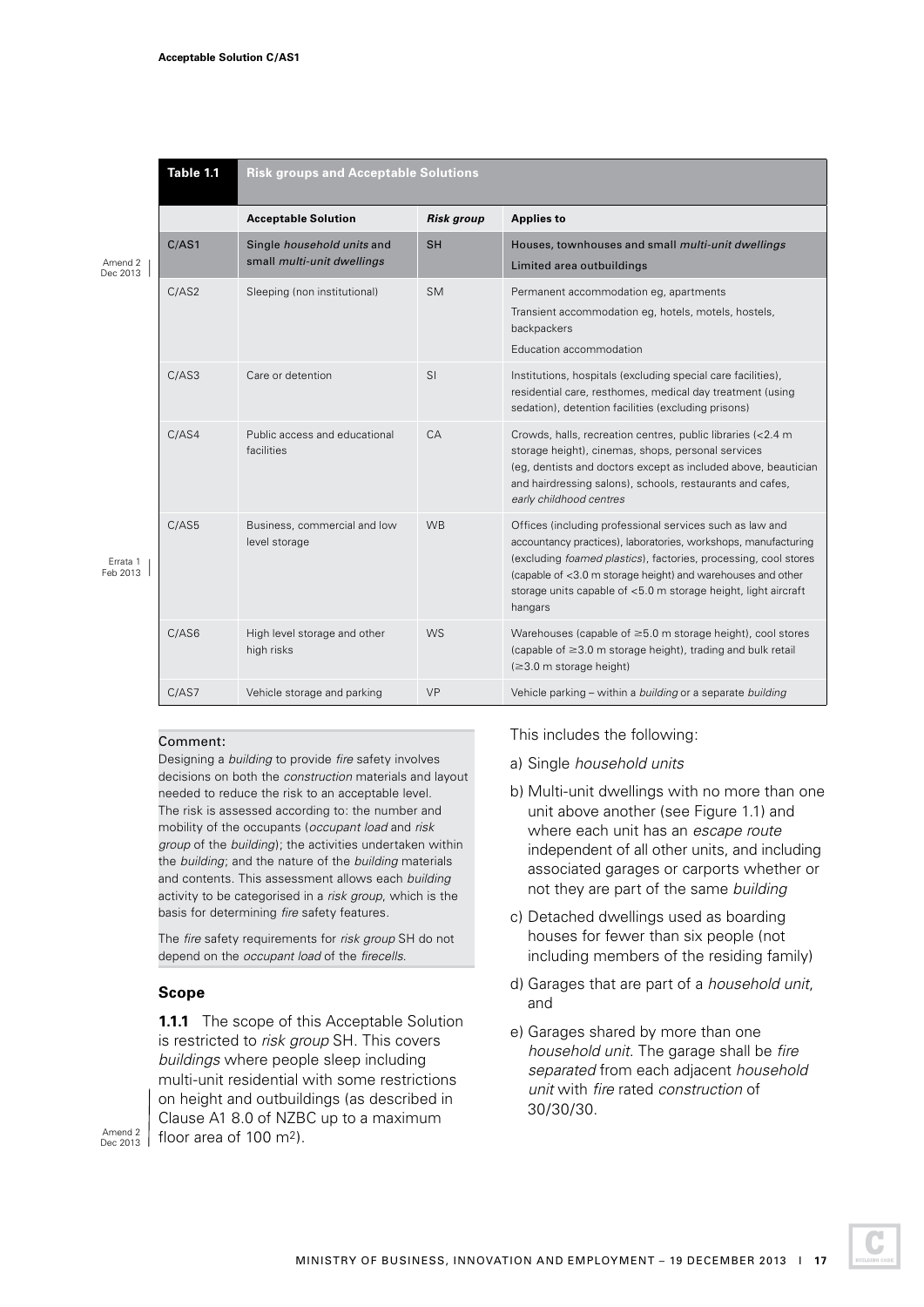|                      | Table 1.1 | <b>Risk groups and Acceptable Solutions</b>              |                   |                                                                                                                                                                                                                                                                                                                                           |
|----------------------|-----------|----------------------------------------------------------|-------------------|-------------------------------------------------------------------------------------------------------------------------------------------------------------------------------------------------------------------------------------------------------------------------------------------------------------------------------------------|
|                      |           | <b>Acceptable Solution</b>                               | <b>Risk group</b> | <b>Applies to</b>                                                                                                                                                                                                                                                                                                                         |
| Amend 2<br>Dec 2013  | C/AS1     | Single household units and<br>small multi-unit dwellings | <b>SH</b>         | Houses, townhouses and small multi-unit dwellings<br>Limited area outbuildings                                                                                                                                                                                                                                                            |
|                      | C/AS2     | Sleeping (non institutional)                             | <b>SM</b>         | Permanent accommodation eg, apartments<br>Transient accommodation eg, hotels, motels, hostels,<br>backpackers<br>Education accommodation                                                                                                                                                                                                  |
|                      | C/ASS     | Care or detention                                        | <b>SI</b>         | Institutions, hospitals (excluding special care facilities),<br>residential care, resthomes, medical day treatment (using<br>sedation), detention facilities (excluding prisons)                                                                                                                                                          |
|                      | C/AS4     | Public access and educational<br>facilities              | CA                | Crowds, halls, recreation centres, public libraries (<2.4 m<br>storage height), cinemas, shops, personal services<br>(eg, dentists and doctors except as included above, beautician<br>and hairdressing salons), schools, restaurants and cafes,<br>early childhood centres                                                               |
| Errata 1<br>Feb 2013 | C/AS5     | Business, commercial and low<br>level storage            | <b>WB</b>         | Offices (including professional services such as law and<br>accountancy practices), laboratories, workshops, manufacturing<br>(excluding foamed plastics), factories, processing, cool stores<br>(capable of <3.0 m storage height) and warehouses and other<br>storage units capable of <5.0 m storage height, light aircraft<br>hangars |
|                      | C/AS6     | High level storage and other<br>high risks               | <b>WS</b>         | Warehouses (capable of $\geq$ 5.0 m storage height), cool stores<br>(capable of ≥3.0 m storage height), trading and bulk retail<br>$(\geq 3.0 \text{ m storage height})$                                                                                                                                                                  |
|                      | C/AS7     | Vehicle storage and parking                              | VP                | Vehicle parking - within a building or a separate building                                                                                                                                                                                                                                                                                |

# Comment:

Designing a *building* to provide *fire* safety involves decisions on both the *construction* materials and layout needed to reduce the risk to an acceptable level. The risk is assessed according to: the number and mobility of the occupants (*occupant load* and *risk group* of the *building*); the activities undertaken within the *building*; and the nature of the *building* materials and contents. This assessment allows each *building* activity to be categorised in a *risk group*, which is the basis for determining *fire* safety features.

The *fire* safety requirements for *risk group* SH do not depend on the *occupant load* of the *firecells.*

# **Scope**

**1.1.1** The scope of this Acceptable Solution is restricted to *risk group* SH. This covers *buildings* where people sleep including multi-unit residential with some restrictions on height and outbuildings (as described in Clause A1 8.0 of NZBC up to a maximum floor area of 100 m2).

This includes the following:

- a) Single *household units*
- b) Multi-unit dwellings with no more than one unit above another (see Figure 1.1) and where each unit has an *escape route* independent of all other units, and including associated garages or carports whether or not they are part of the same *building*
- c) Detached dwellings used as boarding houses for fewer than six people (not including members of the residing family)
- d) Garages that are part of a *household unit*, and
- e) Garages shared by more than one *household unit*. The garage shall be *fire separated* from each adjacent *household unit* with *fire* rated *construction* of 30/30/30.

Amend 2  $Dec 2013$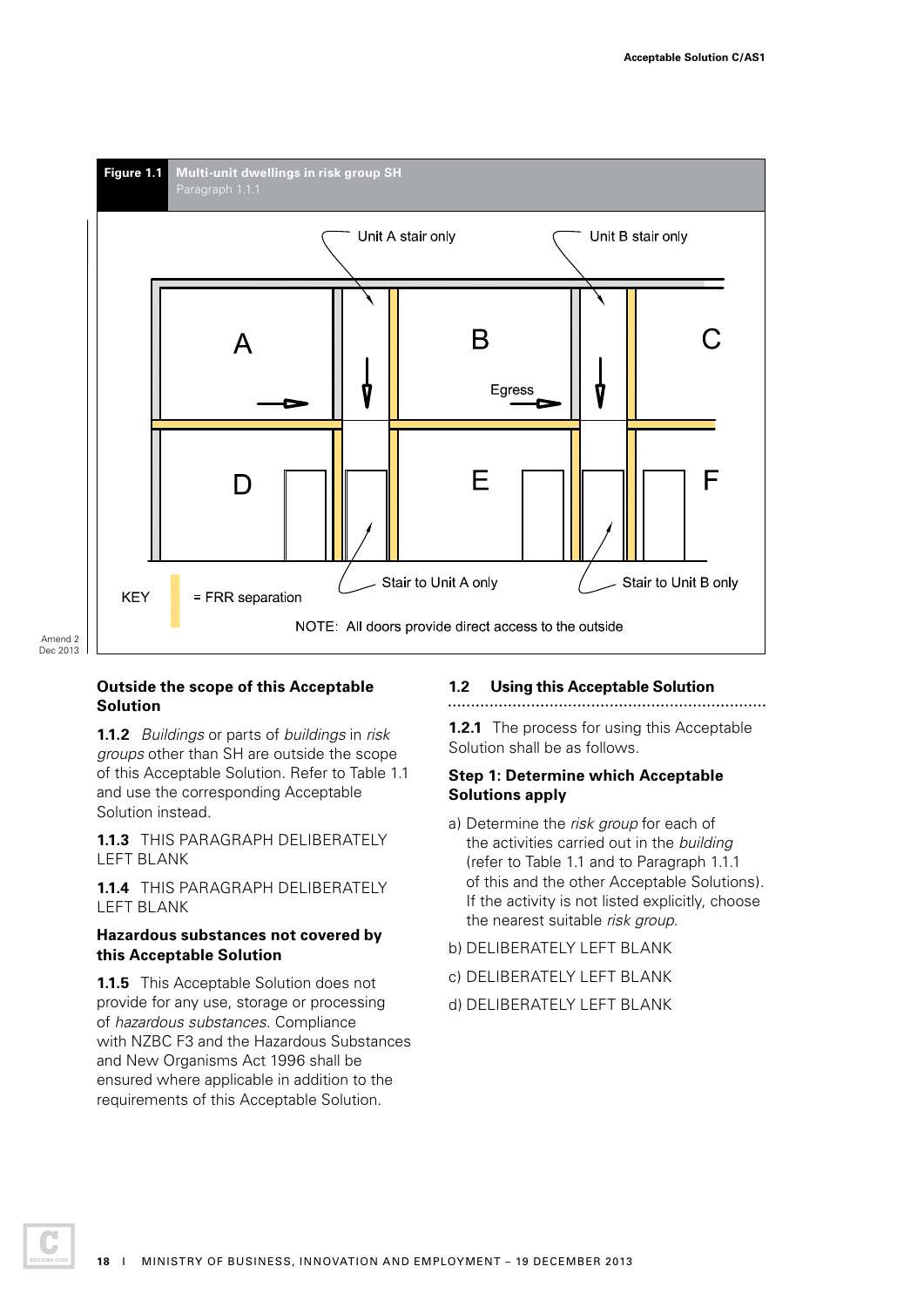

# **Outside the scope of this Acceptable Solution**

**1.1.2** *Buildings* or parts of *buildings* in *risk groups* other than SH are outside the scope of this Acceptable Solution. Refer to Table 1.1 and use the corresponding Acceptable Solution instead.

**1.1.3** THIS PARAGRAPH DELIBERATELY LEFT BLANK

**1.1.4** THIS PARAGRAPH DELIBERATELY LEFT BLANK

# **Hazardous substances not covered by this Acceptable Solution**

**1.1.5** This Acceptable Solution does not provide for any use, storage or processing of *hazardous substances*. Compliance with NZBC F3 and the Hazardous Substances and New Organisms Act 1996 shall be ensured where applicable in addition to the requirements of this Acceptable Solution.

### **1.2 Using this Acceptable Solution**

**1.2.1** The process for using this Acceptable Solution shall be as follows.

# **Step 1: Determine which Acceptable Solutions apply**

- a) Determine the *risk group* for each of the activities carried out in the *building* (refer to Table 1.1 and to Paragraph 1.1.1 of this and the other Acceptable Solutions). If the activity is not listed explicitly, choose the nearest suitable *risk group*.
- b) DELIBERATELY LEFT BLANK
- c) DELIBERATELY LEFT BLANK
- d) DELIBERATELY LEFT BLANK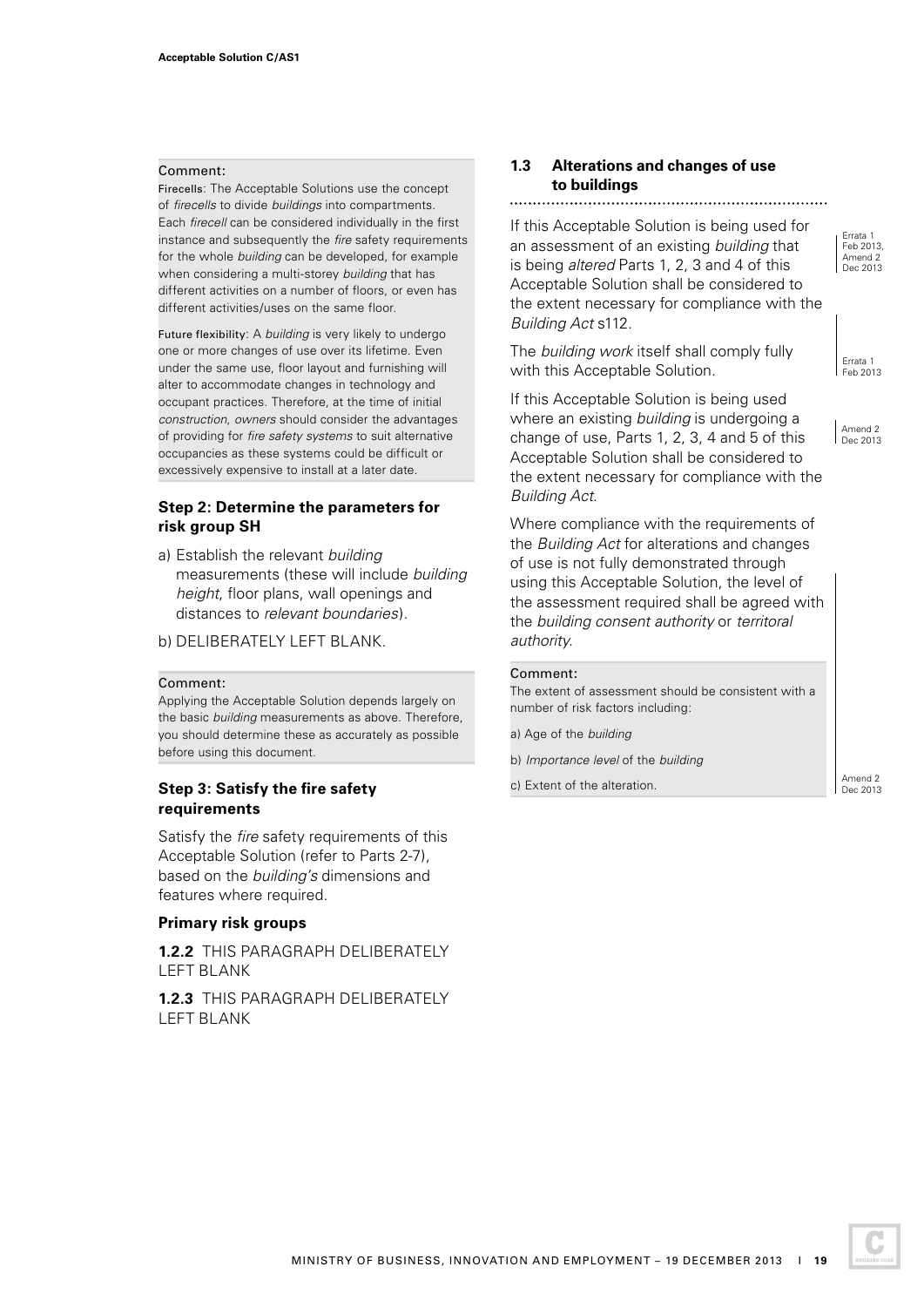# Comment:

Firecells: The Acceptable Solutions use the concept of *firecells* to divide *buildings* into compartments. Each *firecell* can be considered individually in the first instance and subsequently the *fire* safety requirements for the whole *building* can be developed, for example when considering a multi-storey *building* that has different activities on a number of floors, or even has different activities/uses on the same floor.

Future flexibility: A *building* is very likely to undergo one or more changes of use over its lifetime. Even under the same use, floor layout and furnishing will alter to accommodate changes in technology and occupant practices. Therefore, at the time of initial *construction*, *owners* should consider the advantages of providing for *fire safety systems* to suit alternative occupancies as these systems could be difficult or excessively expensive to install at a later date.

# **Step 2: Determine the parameters for risk group SH**

- a) Establish the relevant *building* measurements (these will include *building height*, floor plans, wall openings and distances to *relevant boundaries*).
- b) DELIBERATELY LEFT BLANK.

# Comment:

Applying the Acceptable Solution depends largely on the basic *building* measurements as above. Therefore, you should determine these as accurately as possible before using this document.

# **Step 3: Satisfy the fire safety requirements**

Satisfy the *fire* safety requirements of this Acceptable Solution (refer to Parts 2-7), based on the *building's* dimensions and features where required.

# **Primary risk groups**

**1.2.2** THIS PARAGRAPH DELIBERATELY LEFT BLANK

**1.2.3** THIS PARAGRAPH DELIBERATELY LEFT BLANK

# **1.3 Alterations and changes of use to buildings**

### 

If this Acceptable Solution is being used for an assessment of an existing *building* that is being *altered* Parts 1, 2, 3 and 4 of this Acceptable Solution shall be considered to the extent necessary for compliance with the *Building Act* s112.

The *building work* itself shall comply fully with this Acceptable Solution.

If this Acceptable Solution is being used where an existing *building* is undergoing a change of use, Parts 1, 2, 3, 4 and 5 of this Acceptable Solution shall be considered to the extent necessary for compliance with the *Building Act.*

Where compliance with the requirements of the *Building Act* for alterations and changes of use is not fully demonstrated through using this Acceptable Solution, the level of the assessment required shall be agreed with the *building consent authority* or *territoral authority*.

### Comment:

The extent of assessment should be consistent with a number of risk factors including:

a) Age of the *building*

b) *Importance level* of the *building*

c) Extent of the alteration.

Amend 2 Dec 2013

Errata 1 Feb 2013, Amend 2 Dec 2013

Errata 1 Feb 2013

Amend 2 Dec 2013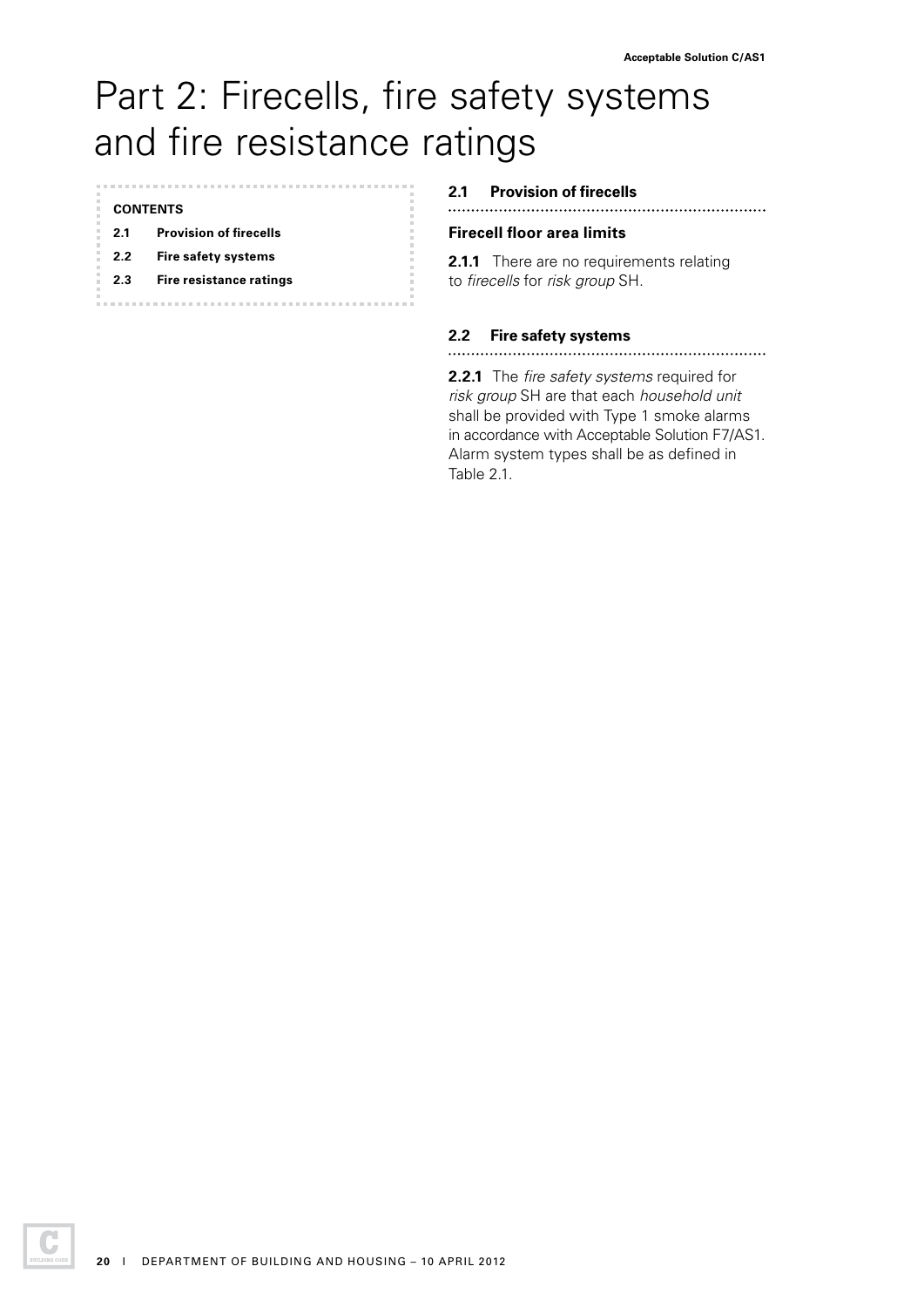# Part 2: Firecells, fire safety systems and fire resistance ratings

# **CONTENTS**

- **2.1 Provision of firecells**
- **2.2 Fire safety systems**
- **2.3 Fire resistance ratings**

. . . . . . . . . . . . .

# **2.1 Provision of firecells**

### 

# **Firecell floor area limits**

**2.1.1** There are no requirements relating to *firecells* for *risk group* SH.

# **2.2 Fire safety systems**

**2.2.1** The *fire safety systems* required for *risk group* SH are that each *household unit* shall be provided with Type 1 smoke alarms in accordance with Acceptable Solution F7/AS1. Alarm system types shall be as defined in Table 2.1.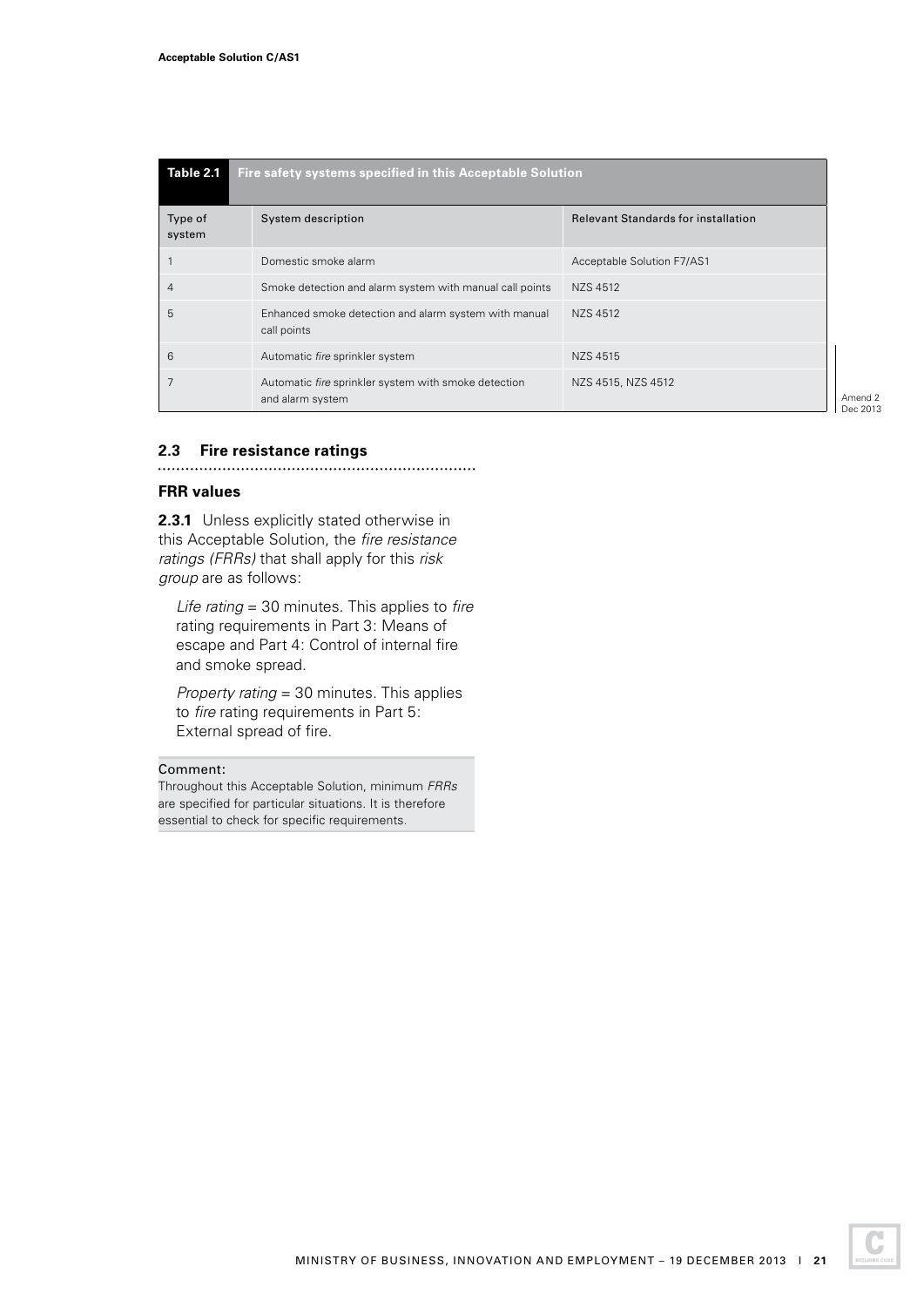| Table 2.1         | Fire safety systems specified in this Acceptable Solution                       |                                            |
|-------------------|---------------------------------------------------------------------------------|--------------------------------------------|
| Type of<br>system | System description                                                              | <b>Relevant Standards for installation</b> |
|                   | Domestic smoke alarm                                                            | Acceptable Solution F7/AS1                 |
| $\overline{4}$    | Smoke detection and alarm system with manual call points                        | NZS 4512                                   |
| 5                 | Enhanced smoke detection and alarm system with manual<br>call points            | NZS 4512                                   |
| 6                 | Automatic fire sprinkler system                                                 | NZS 4515                                   |
| 7                 | Automatic <i>fire</i> sprinkler system with smoke detection<br>and alarm system | NZS 4515, NZS 4512                         |

# **2.3 Fire resistance ratings**

# **FRR values**

**2.3.1** Unless explicitly stated otherwise in this Acceptable Solution, the *fire resistance ratings (FRRs)* that shall apply for this *risk group* are as follows:

*Life rating* = 30 minutes. This applies to *fire* rating requirements in Part 3: Means of escape and Part 4: Control of internal fire and smoke spread.

*Property rating* = 30 minutes. This applies to *fire* rating requirements in Part 5: External spread of fire.

# Comment:

Throughout this Acceptable Solution, minimum *FRRs* are specified for particular situations. It is therefore essential to check for specific requirements.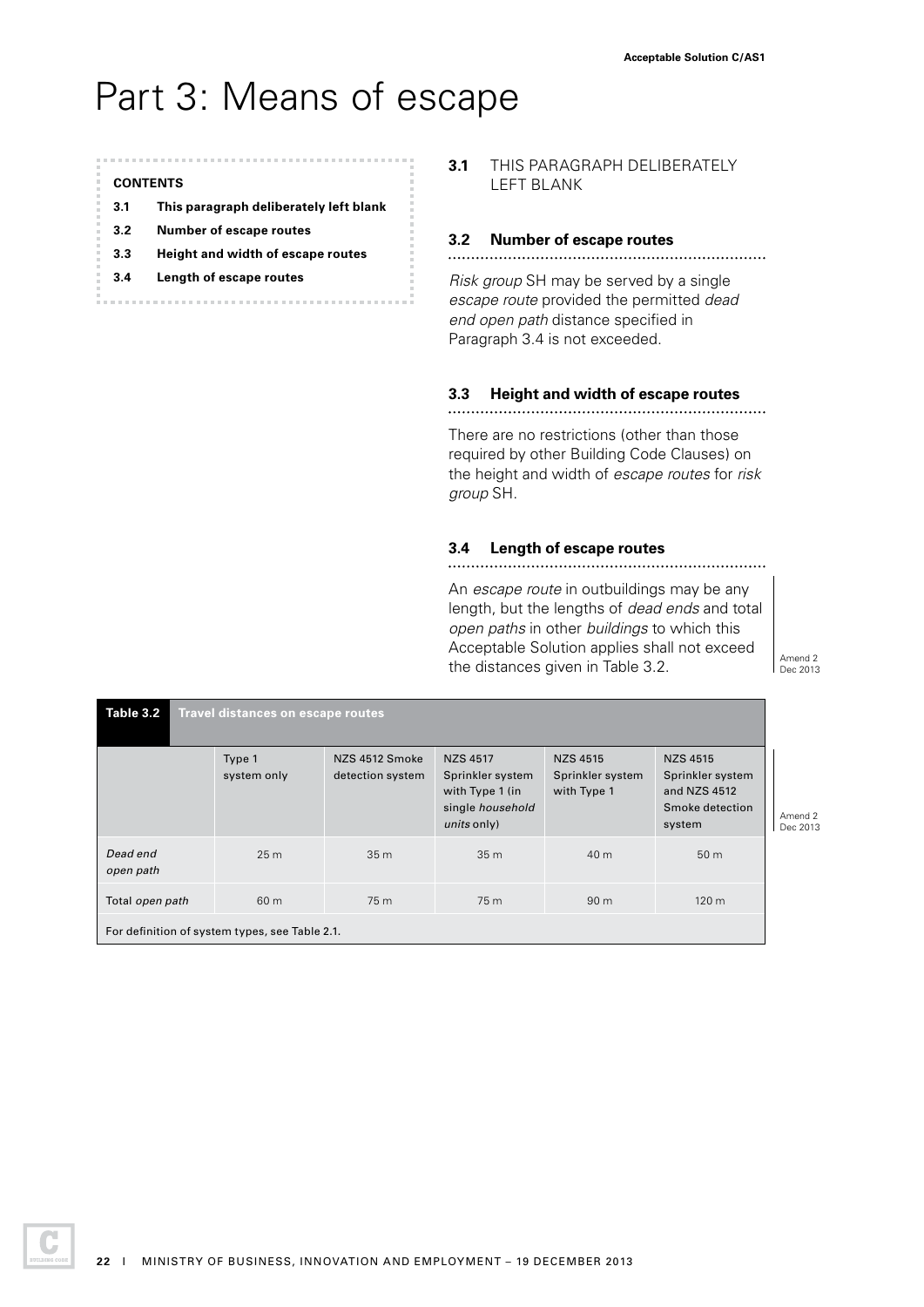# Part 3: Means of escape

### **CONTENTS**

- **3.1 This paragraph deliberately left blank**
- **3.2 Number of escape routes**
- **3.3 Height and width of escape routes**
- **3.4 Length of escape routes**

**3.1** THIS PARAGRAPH DELIBERATELY LEFT BLANK

# **3.2 Number of escape routes**

*Risk group* SH may be served by a single *escape route* provided the permitted *dead end open path* distance specified in Paragraph 3.4 is not exceeded.

### **3.3 Height and width of escape routes**

There are no restrictions (other than those required by other Building Code Clauses) on the height and width of *escape routes* for *risk group* SH.

# **3.4 Length of escape routes**

An *escape route* in outbuildings may be any length, but the lengths of *dead ends* and total *open paths* in other *buildings* to which this Acceptable Solution applies shall not exceed the distances given in Table 3.2.

Amend 2 Dec 2013

| Table 3.2             | Travel distances on escape routes              |                                    |                                                                                           |                                                    |                                                                                  |            |
|-----------------------|------------------------------------------------|------------------------------------|-------------------------------------------------------------------------------------------|----------------------------------------------------|----------------------------------------------------------------------------------|------------|
|                       | Type 1<br>system only                          | NZS 4512 Smoke<br>detection system | <b>NZS 4517</b><br>Sprinkler system<br>with Type 1 (in<br>single household<br>units only) | <b>NZS 4515</b><br>Sprinkler system<br>with Type 1 | <b>NZS 4515</b><br>Sprinkler system<br>and NZS 4512<br>Smoke detection<br>system | Ame<br>Dec |
| Dead end<br>open path | 25 <sub>m</sub>                                | 35 <sub>m</sub>                    | 35 <sub>m</sub>                                                                           | 40 <sub>m</sub>                                    | 50 <sub>m</sub>                                                                  |            |
| Total open path       | 60 m                                           | 75 <sub>m</sub>                    | 75 <sub>m</sub>                                                                           | 90 <sub>m</sub>                                    | 120 <sub>m</sub>                                                                 |            |
|                       | For definition of system types, see Table 2.1. |                                    |                                                                                           |                                                    |                                                                                  |            |

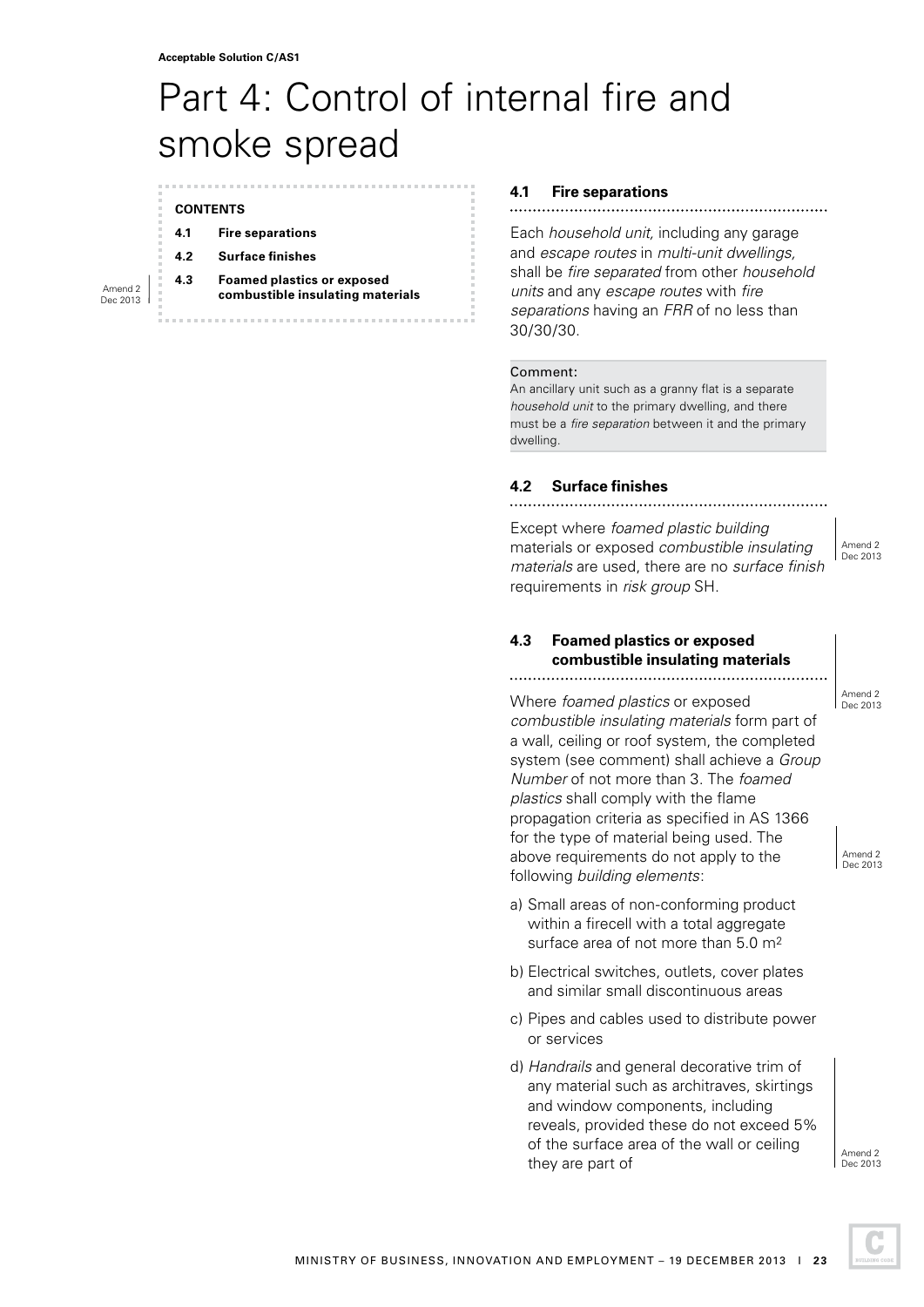# Part 4: Control of internal fire and smoke spread

### **CONTENTS**

- **4.1 Fire separations**
- **4.2 Surface finishes**
- **4.3 Foamed plastics or exposed combustible insulating materials** Amend 2 Dec 2013

# **4.1 Fire separations**

Each *household unit,* including any garage and *escape routes* in *multi-unit dwellings,* shall be *fire separated* from other *household units* and any *escape routes* with *fire separations* having an *FRR* of no less than 30/30/30.

## Comment:

An ancillary unit such as a granny flat is a separate *household unit* to the primary dwelling, and there must be a *fire separation* between it and the primary dwelling.

# **4.2 Surface finishes**

# 

Except where *foamed plastic building* materials or exposed *combustible insulating materials* are used, there are no *surface finish* requirements in *risk group* SH.

Amend 2 Dec 2013

## **4.3 Foamed plastics or exposed combustible insulating materials**

Where *foamed plastics* or exposed *combustible insulating materials* form part of a wall, ceiling or roof system, the completed system (see comment) shall achieve a *Group Number* of not more than 3. The *foamed plastics* shall comply with the flame propagation criteria as specified in AS 1366 for the type of material being used. The above requirements do not apply to the following *building elements*:

- a) Small areas of non-conforming product within a firecell with a total aggregate surface area of not more than 5.0 m2
- b) Electrical switches, outlets, cover plates and similar small discontinuous areas
- c) Pipes and cables used to distribute power or services
- d) *Handrails* and general decorative trim of any material such as architraves, skirtings and window components, including reveals, provided these do not exceed 5% of the surface area of the wall or ceiling they are part of

Amend 2 Dec 2013

Amend 2 Dec 2013

Amend 2 Dec 2013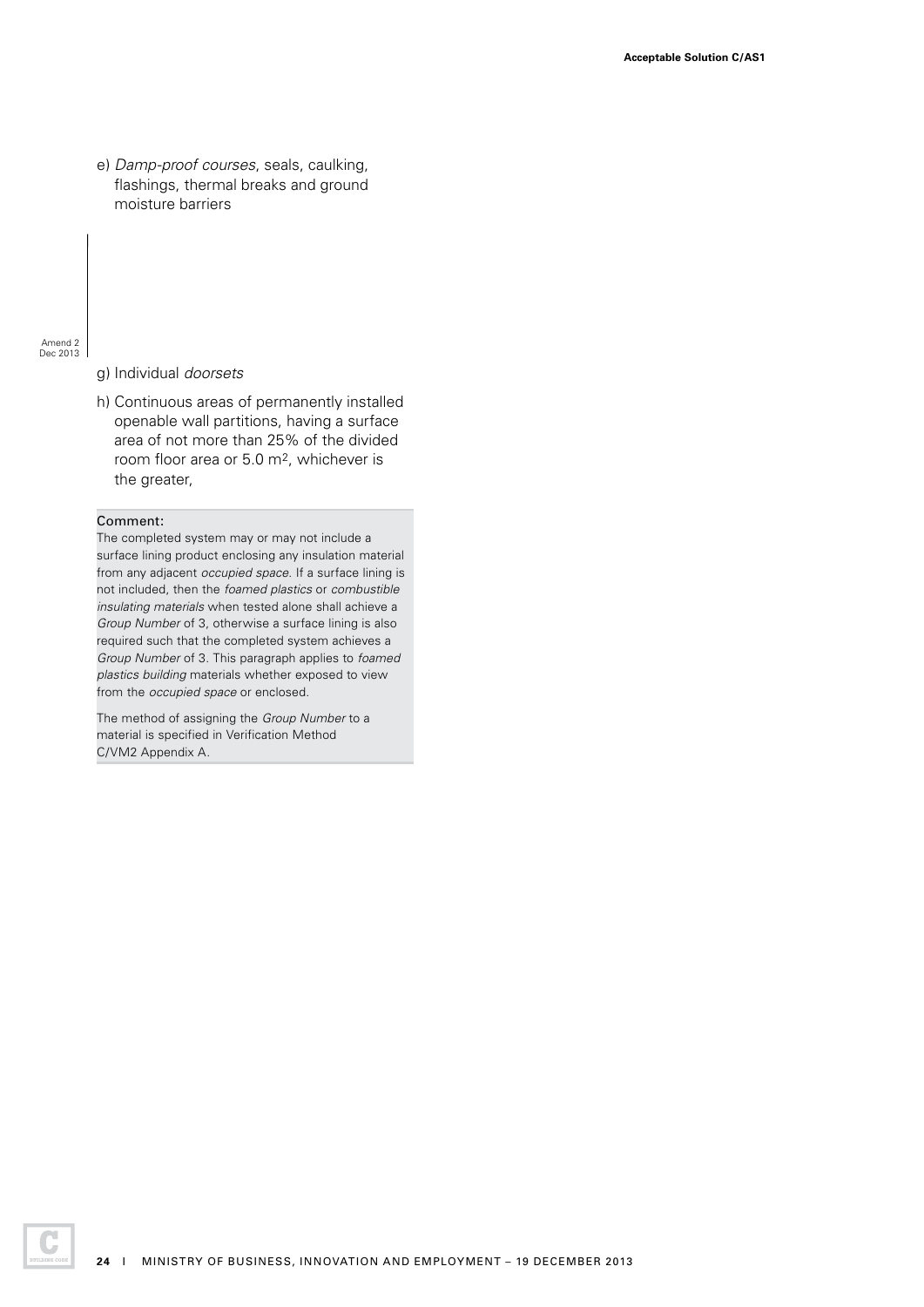e) *Damp-proof courses*, seals, caulking, flashings, thermal breaks and ground moisture barriers

Amend 2 Dec 2013

- g) Individual *doorsets*
- h) Continuous areas of permanently installed openable wall partitions, having a surface area of not more than 25% of the divided room floor area or 5.0 m2, whichever is the greater,

# Comment:

The completed system may or may not include a surface lining product enclosing any insulation material from any adjacent *occupied space*. If a surface lining is not included, then the *foamed plastics* or *combustible insulating materials* when tested alone shall achieve a *Group Number* of 3, otherwise a surface lining is also required such that the completed system achieves a *Group Number* of 3. This paragraph applies to *foamed plastics building* materials whether exposed to view from the *occupied space* or enclosed.

The method of assigning the *Group Number* to a material is specified in Verification Method C/VM2 Appendix A.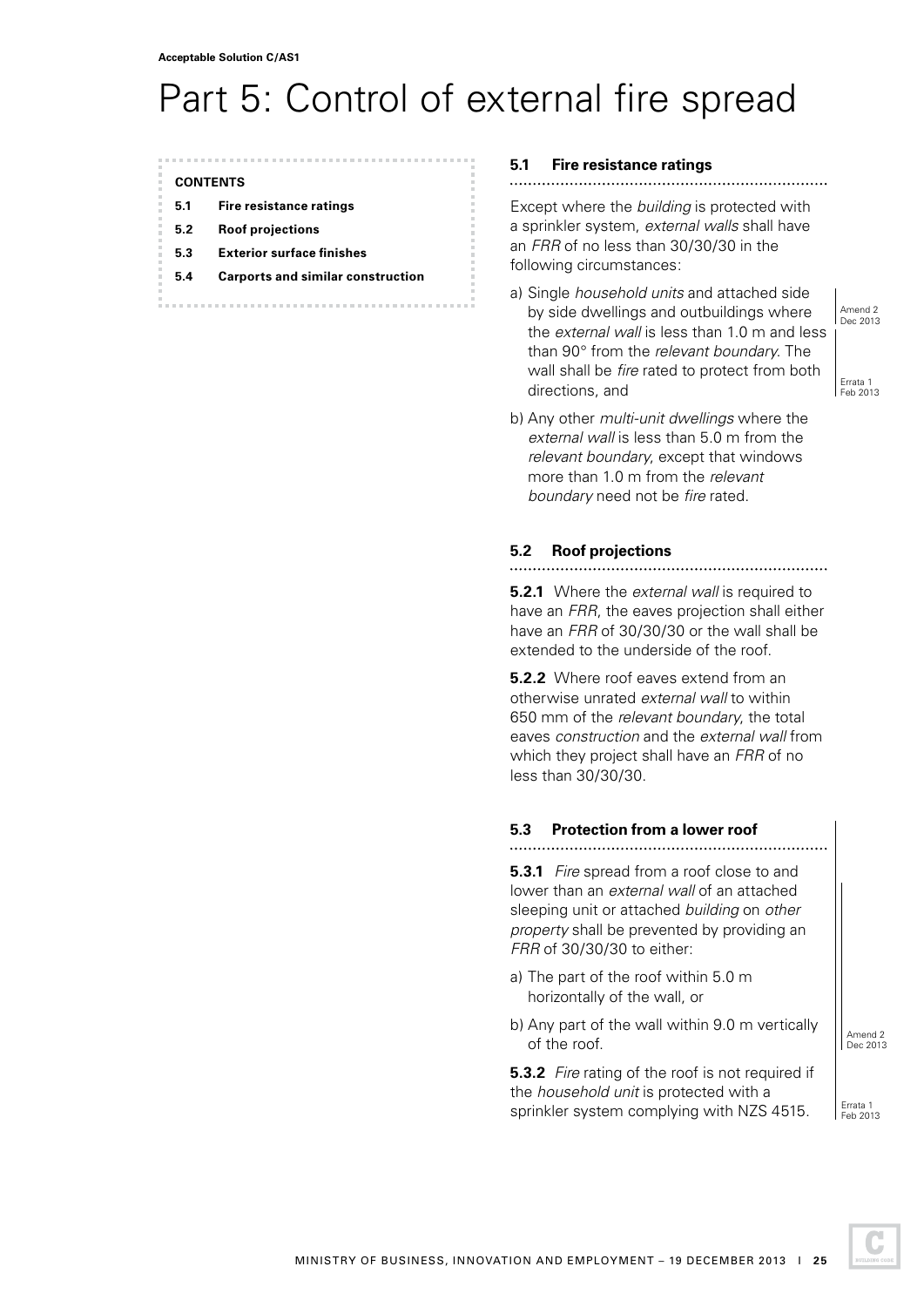# Part 5: Control of external fire spread

|    | <b>CONTENTS</b>         |
|----|-------------------------|
| 51 | Fire recistance ratings |

| 5.2 | <b>Roof projections</b>                  |
|-----|------------------------------------------|
| 5.3 | <b>Exterior surface finishes</b>         |
| 5.4 | <b>Carports and similar construction</b> |
|     |                                          |

# **5.1 Fire resistance ratings**

Except where the *building* is protected with a sprinkler system, *external walls* shall have an *FRR* of no less than 30/30/30 in the following circumstances:

a) Single *household units* and attached side by side dwellings and outbuildings where the *external wall* is less than 1.0 m and less than 90° from the *relevant boundary*. The wall shall be *fire* rated to protect from both directions, and

Amend 2 Dec 2013

Errata 1 Feb 2013

b) Any other *multi-unit dwellings* where the *external wall* is less than 5.0 m from the *relevant boundary*, except that windows more than 1.0 m from the *relevant boundary* need not be *fire* rated.

### **5.2 Roof projections**

**5.2.1** Where the *external wall* is required to have an *FRR*, the eaves projection shall either have an *FRR* of 30/30/30 or the wall shall be extended to the underside of the roof.

**5.2.2** Where roof eaves extend from an otherwise unrated *external wall* to within 650 mm of the *relevant boundary*, the total eaves *construction* and the *external wall* from which they project shall have an *FRR* of no less than 30/30/30.

### **5.3 Protection from a lower roof**

**5.3.1** *Fire* spread from a roof close to and lower than an *external wall* of an attached sleeping unit or attached *building* on *other property* shall be prevented by providing an *FRR* of 30/30/30 to either:

- a) The part of the roof within 5.0 m horizontally of the wall, or
- b) Any part of the wall within 9.0 m vertically of the roof.

**5.3.2** *Fire* rating of the roof is not required if the *household unit* is protected with a sprinkler system complying with NZS 4515.

Amend 2 Dec 2013

Errata 1 Feb 2013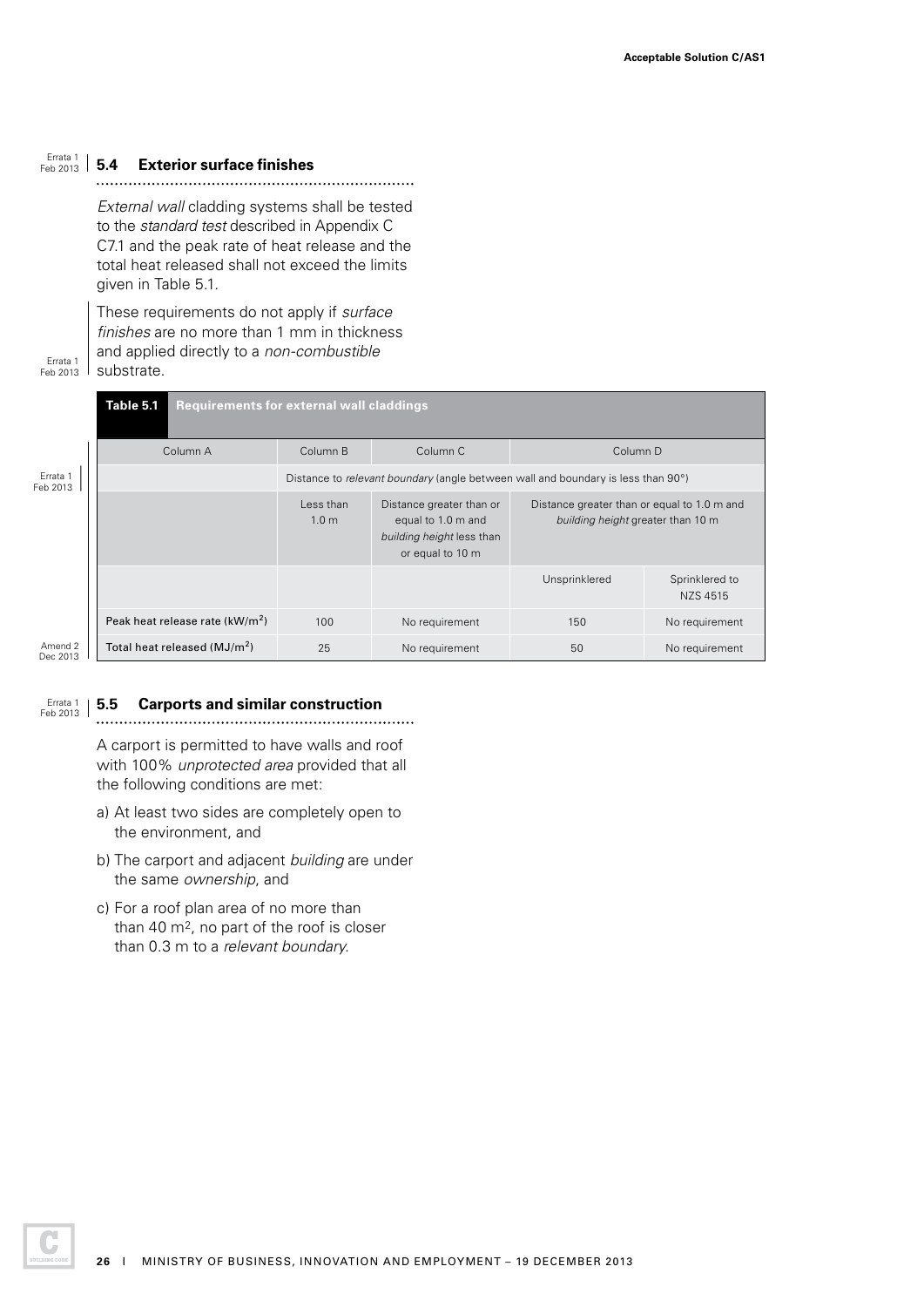#### **5.4 Exterior surface finishes** Errata 1  $Feb 2013$

Errata<sup>-</sup> Feb 2013

*External wall* cladding systems shall be tested to the *standard test* described in Appendix C C7.1 and the peak rate of heat release and the total heat released shall not exceed the limits given in Table 5.1.

These requirements do not apply if *surface finishes* are no more than 1 mm in thickness and applied directly to a *non-combustible* substrate.

**Table 5.1 Requirements for external wall claddings** Column A Column B Column C Column D Distance to *relevant boundary* (angle between wall and boundary is less than 90°) Less than 1.0 m Distance greater than or equal to 1.0 m and *building height* less than or equal to 10 m Distance greater than or equal to 1.0 m and *building height* greater than 10 m Unsprinklered Sprinklered to NZS 4515 Peak heat release rate (kW/m<sup>2</sup>) 100 No requirement 150 No requirement Total heat released (MJ/m<sup>2</sup>) 25 No requirement 50 No requirement Errata 1 Feb 2013 Amend 2 Dec 2013

. . . . . . . .

#### **5.5 Carports and similar construction** Errata 1 Feb 2013

A carport is permitted to have walls and roof with 100% *unprotected area* provided that all the following conditions are met:

- a) At least two sides are completely open to the environment, and
- b) The carport and adjacent *building* are under the same *ownership*, and
- c) For a roof plan area of no more than than 40 m2, no part of the roof is closer than 0.3 m to a *relevant boundary*.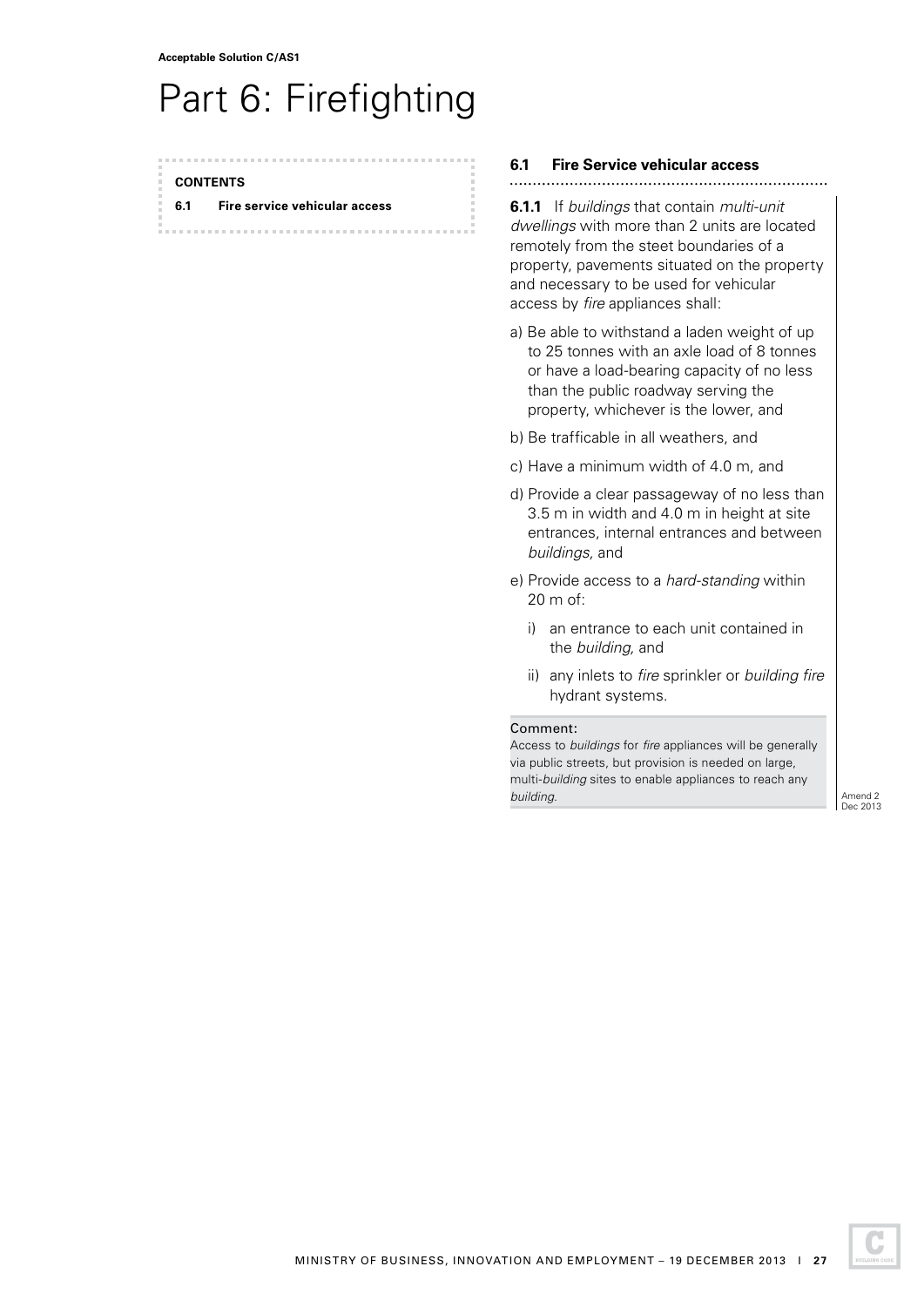# Part 6: Firefighting

# **CONTENTS**

# **6.1 Fire service vehicular access**

### **6.1 Fire Service vehicular access**

**6.1.1** If *buildings* that contain *multi-unit dwellings* with more than 2 units are located remotely from the steet boundaries of a property, pavements situated on the property and necessary to be used for vehicular access by *fire* appliances shall:

- a) Be able to withstand a laden weight of up to 25 tonnes with an axle load of 8 tonnes or have a load-bearing capacity of no less than the public roadway serving the property, whichever is the lower, and
- b) Be trafficable in all weathers, and
- c) Have a minimum width of 4.0 m, and
- d) Provide a clear passageway of no less than 3.5 m in width and 4.0 m in height at site entrances, internal entrances and between *buildings,* and
- e) Provide access to a *hard-standing* within 20 m of:
	- i) an entrance to each unit contained in the *building,* and
	- ii) any inlets to *fire* sprinkler or *building fire*  hydrant systems.

# Comment:

Access to *buildings* for *fire* appliances will be generally via public streets, but provision is needed on large, multi-*building* sites to enable appliances to reach any *building*.

Amend 2 Dec 2013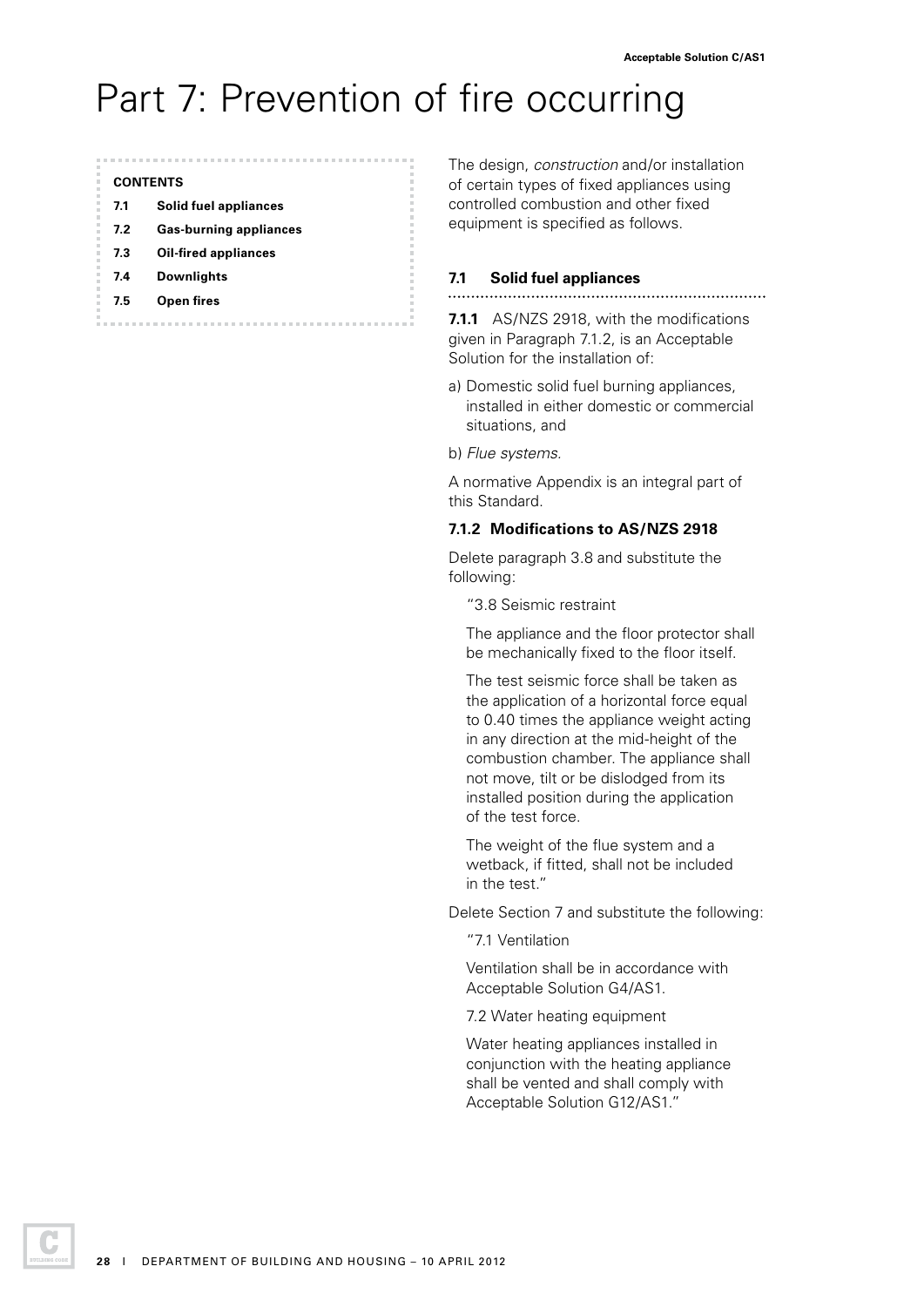# Part 7: Prevention of fire occurring

### **CONTENTS**

- **7.1 Solid fuel appliances**
- **7.2 Gas-burning appliances**
- **7.3 Oil-fired appliances**
- **7.4 Downlights**
- **7.5 Open fires**

The design, *construction* and/or installation of certain types of fixed appliances using controlled combustion and other fixed equipment is specified as follows.

### **7.1 Solid fuel appliances**

**7.1.1** AS/NZS 2918, with the modifications given in Paragraph 7.1.2, is an Acceptable Solution for the installation of:

- a) Domestic solid fuel burning appliances, installed in either domestic or commercial situations, and
- b) *Flue systems.*

A normative Appendix is an integral part of this Standard.

# **7.1.2 Modifications to AS/NZS 2918**

Delete paragraph 3.8 and substitute the following:

"3.8 Seismic restraint

The appliance and the floor protector shall be mechanically fixed to the floor itself.

The test seismic force shall be taken as the application of a horizontal force equal to 0.40 times the appliance weight acting in any direction at the mid-height of the combustion chamber. The appliance shall not move, tilt or be dislodged from its installed position during the application of the test force.

The weight of the flue system and a wetback, if fitted, shall not be included in the test."

Delete Section 7 and substitute the following:

"7.1 Ventilation

Ventilation shall be in accordance with Acceptable Solution G4/AS1.

7.2 Water heating equipment

Water heating appliances installed in conjunction with the heating appliance shall be vented and shall comply with Acceptable Solution G12/AS1."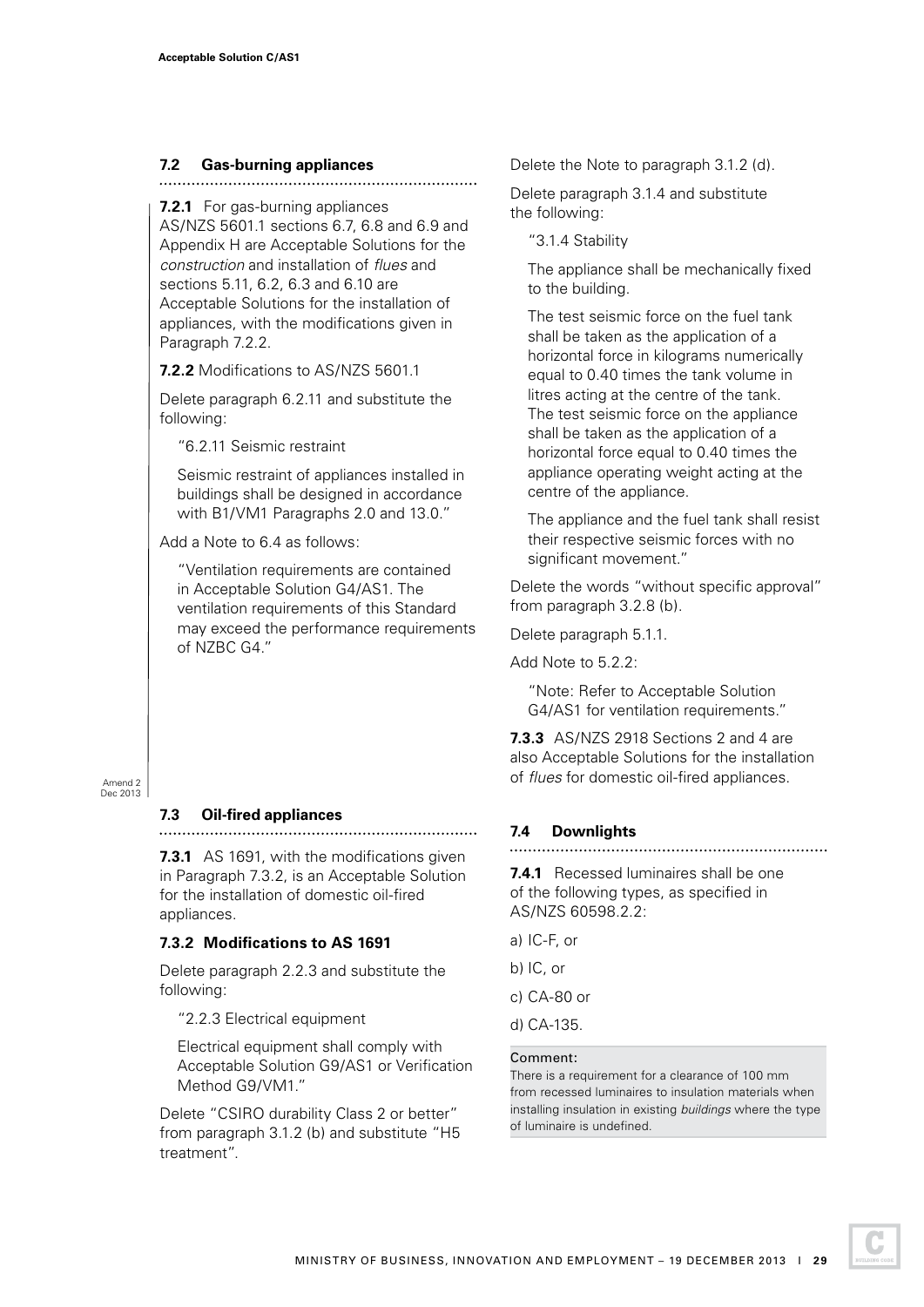# **7.2 Gas-burning appliances**

**7.2.1** For gas-burning appliances AS/NZS 5601.1 sections 6.7, 6.8 and 6.9 and Appendix H are Acceptable Solutions for the *construction* and installation of *flues* and sections 5.11, 6.2, 6.3 and 6.10 are Acceptable Solutions for the installation of appliances, with the modifications given in Paragraph 7.2.2.

**7.2.2** Modifications to AS/NZS 5601.1

Delete paragraph 6.2.11 and substitute the following:

"6.2.11 Seismic restraint

Seismic restraint of appliances installed in buildings shall be designed in accordance with B1/VM1 Paragraphs 2.0 and 13.0."

Add a Note to 6.4 as follows:

"Ventilation requirements are contained in Acceptable Solution G4/AS1. The ventilation requirements of this Standard may exceed the performance requirements of NZBC G4."

# Amend 2 Dec 2013

# **7.3 Oil-fired appliances**

**7.3.1** AS 1691, with the modifications given in Paragraph 7.3.2, is an Acceptable Solution for the installation of domestic oil-fired appliances.

# **7.3.2 Modifications to AS 1691**

Delete paragraph 2.2.3 and substitute the following:

"2.2.3 Electrical equipment

Electrical equipment shall comply with Acceptable Solution G9/AS1 or Verification Method G9/VM1."

Delete "CSIRO durability Class 2 or better" from paragraph 3.1.2 (b) and substitute "H5 treatment".

Delete the Note to paragraph 3.1.2 (d).

Delete paragraph 3.1.4 and substitute the following:

"3.1.4 Stability

The appliance shall be mechanically fixed to the building.

The test seismic force on the fuel tank shall be taken as the application of a horizontal force in kilograms numerically equal to 0.40 times the tank volume in litres acting at the centre of the tank. The test seismic force on the appliance shall be taken as the application of a horizontal force equal to 0.40 times the appliance operating weight acting at the centre of the appliance.

The appliance and the fuel tank shall resist their respective seismic forces with no significant movement."

Delete the words "without specific approval" from paragraph 3.2.8 (b).

Delete paragraph 5.1.1.

Add Note to 5.2.2:

"Note: Refer to Acceptable Solution G4/AS1 for ventilation requirements."

**7.3.3** AS/NZS 2918 Sections 2 and 4 are also Acceptable Solutions for the installation of *flues* for domestic oil-fired appliances.

# **7.4 Downlights**

**7.4.1** Recessed luminaires shall be one of the following types, as specified in AS/NZS 60598.2.2:

a) IC-F, or

b) IC, or

c) CA-80 or

d) CA-135.

# Comment:

There is a requirement for a clearance of 100 mm from recessed luminaires to insulation materials when installing insulation in existing *buildings* where the type of luminaire is undefined.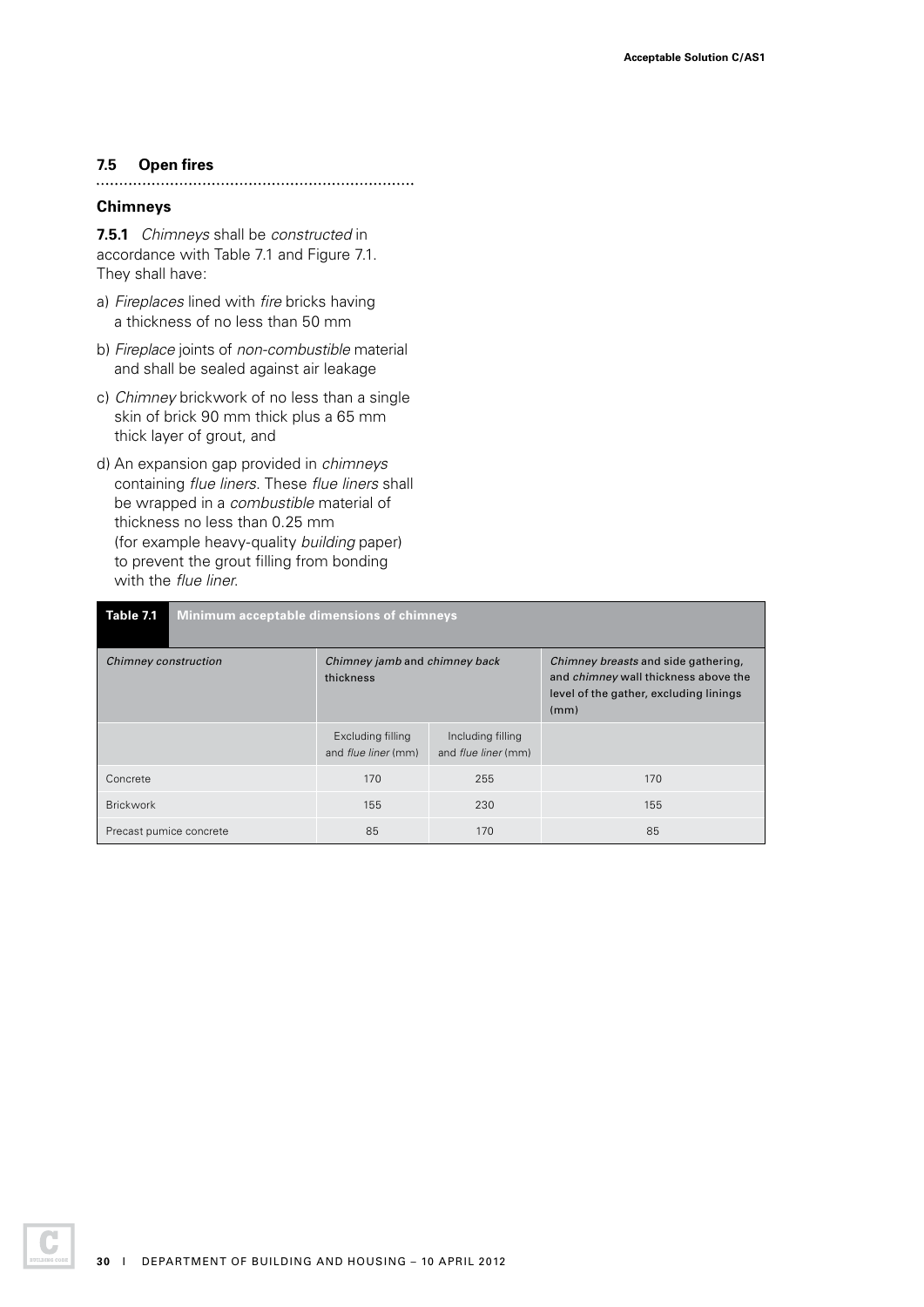**7.5 Open fires** 

# **Chimneys**

**7.5.1** *Chimneys* shall be *constructed* in accordance with Table 7.1 and Figure 7.1. They shall have:

- a) *Fireplaces* lined with *fire* bricks having a thickness of no less than 50 mm
- b) *Fireplace* joints of *non-combustible* material and shall be sealed against air leakage
- c) *Chimney* brickwork of no less than a single skin of brick 90 mm thick plus a 65 mm thick layer of grout, and
- d) An expansion gap provided in *chimneys* containing *flue liners*. These *flue liners* shall be wrapped in a *combustible* material of thickness no less than 0.25 mm (for example heavy-quality *building* paper) to prevent the grout filling from bonding with the *flue liner*.

| Table 7.1<br>Minimum acceptable dimensions of chimneys |                                                 |                                          |                                                                                                                                      |
|--------------------------------------------------------|-------------------------------------------------|------------------------------------------|--------------------------------------------------------------------------------------------------------------------------------------|
| <b>Chimney construction</b>                            | Chimney jamb and chimney back<br>thickness      |                                          | Chimney breasts and side gathering,<br>and <i>chimney</i> wall thickness above the<br>level of the gather, excluding linings<br>(mm) |
|                                                        | Excluding filling<br>and <i>flue liner</i> (mm) | Including filling<br>and flue liner (mm) |                                                                                                                                      |
| Concrete                                               | 170                                             | 255                                      | 170                                                                                                                                  |
| <b>Brickwork</b>                                       | 155                                             | 230                                      | 155                                                                                                                                  |
| Precast pumice concrete                                | 85                                              | 170                                      | 85                                                                                                                                   |

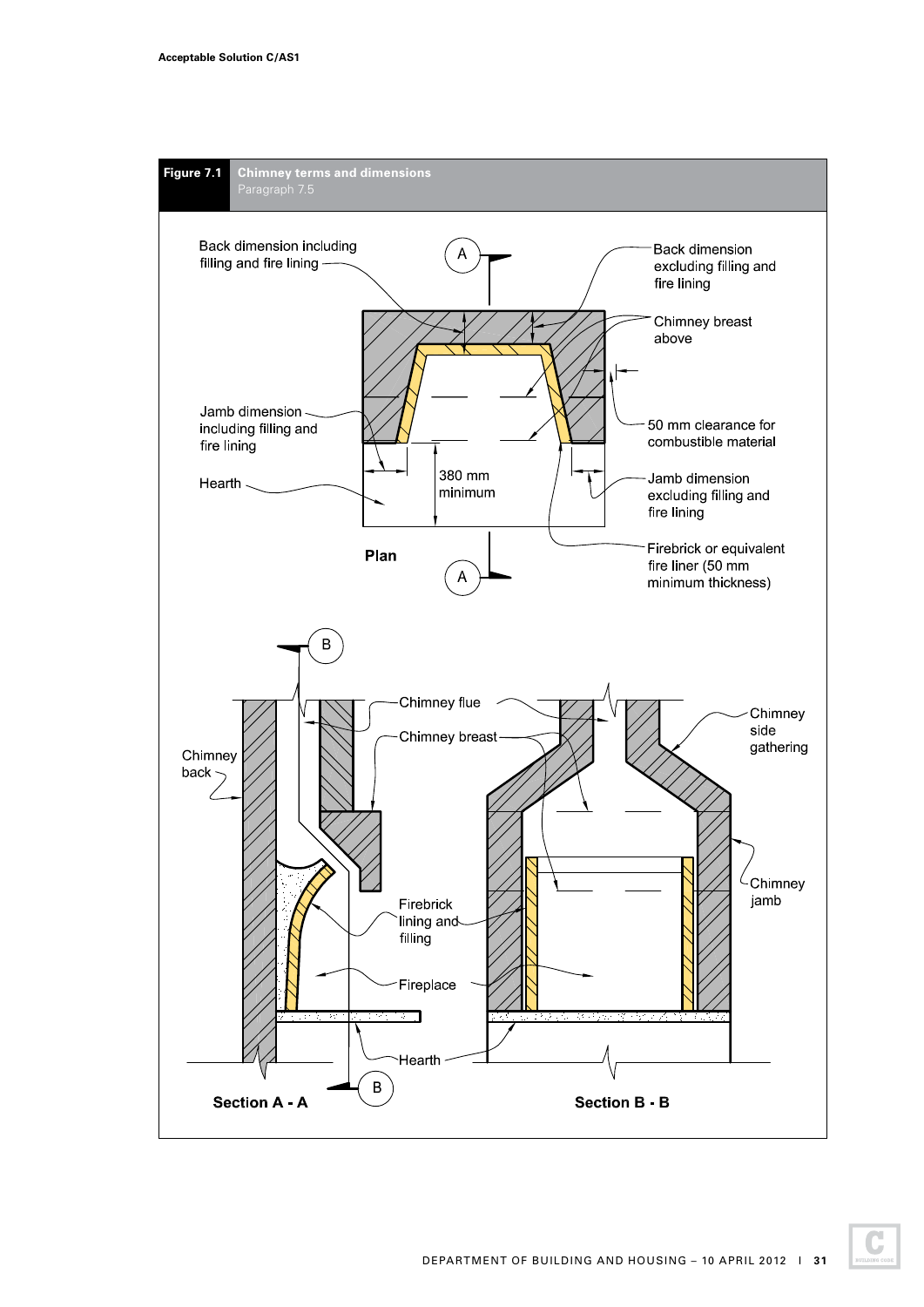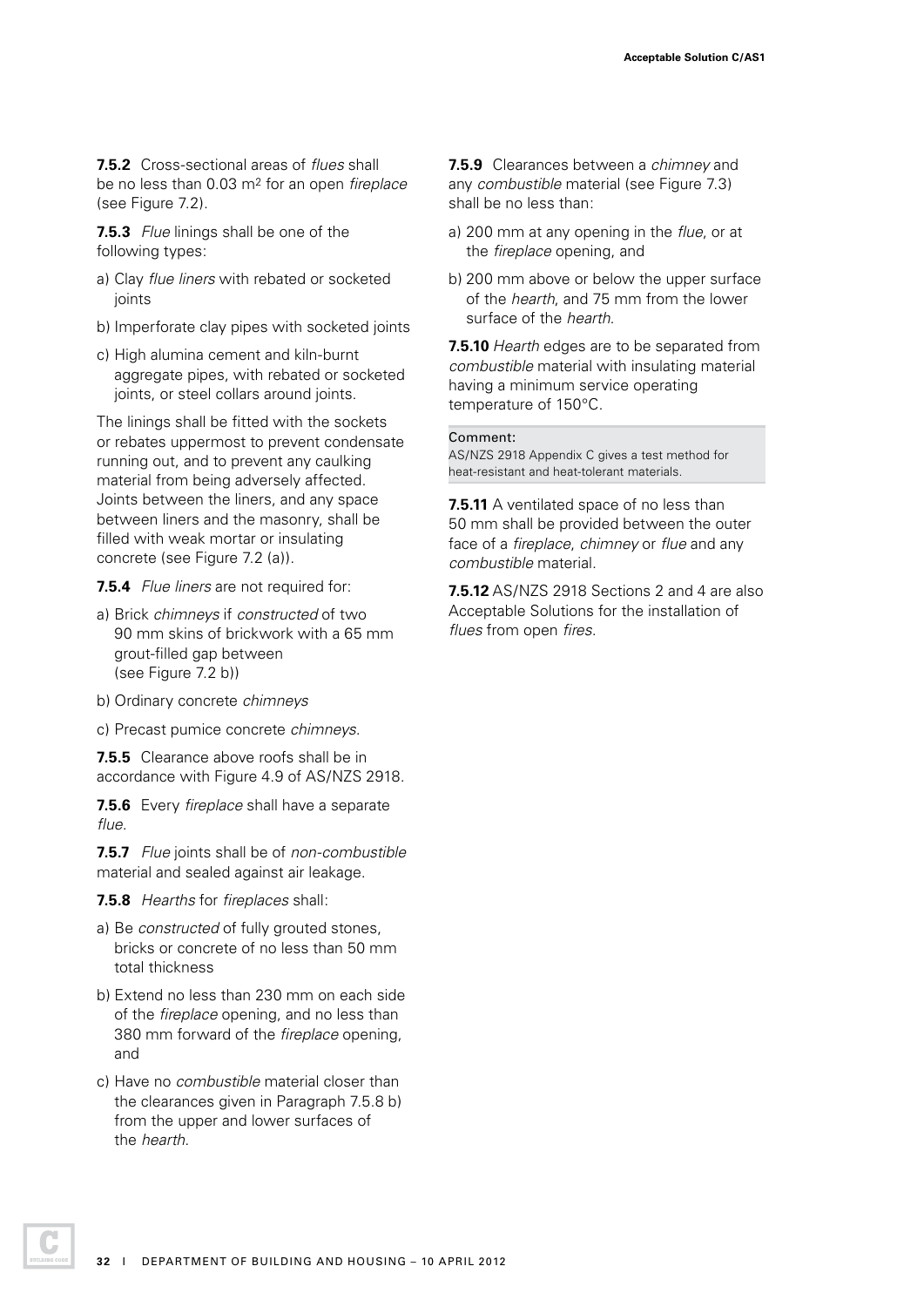**7.5.2** Cross-sectional areas of *flues* shall be no less than 0.03 m2 for an open *fireplace* (see Figure 7.2).

**7.5.3** *Flue* linings shall be one of the following types:

- a) Clay *flue liners* with rebated or socketed joints
- b) Imperforate clay pipes with socketed joints
- c) High alumina cement and kiln-burnt aggregate pipes, with rebated or socketed joints, or steel collars around joints.

The linings shall be fitted with the sockets or rebates uppermost to prevent condensate running out, and to prevent any caulking material from being adversely affected. Joints between the liners, and any space between liners and the masonry, shall be filled with weak mortar or insulating concrete (see Figure 7.2 (a)).

**7.5.4** *Flue liners* are not required for:

- a) Brick *chimneys* if *constructed* of two 90 mm skins of brickwork with a 65 mm grout-filled gap between (see Figure 7.2 b))
- b) Ordinary concrete *chimneys*
- c) Precast pumice concrete *chimneys*.

**7.5.5** Clearance above roofs shall be in accordance with Figure 4.9 of AS/NZS 2918.

**7.5.6** Every *fireplace* shall have a separate *flue*.

**7.5.7** *Flue* joints shall be of *non-combustible* material and sealed against air leakage.

**7.5.8** *Hearths* for *fireplaces* shall:

- a) Be *constructed* of fully grouted stones, bricks or concrete of no less than 50 mm total thickness
- b) Extend no less than 230 mm on each side of the *fireplace* opening, and no less than 380 mm forward of the *fireplace* opening, and
- c) Have no *combustible* material closer than the clearances given in Paragraph 7.5.8 b) from the upper and lower surfaces of the *hearth*.

**7.5.9** Clearances between a *chimney* and any *combustible* material (see Figure 7.3) shall be no less than:

- a) 200 mm at any opening in the *flue*, or at the *fireplace* opening, and
- b) 200 mm above or below the upper surface of the *hearth*, and 75 mm from the lower surface of the *hearth*.

**7.5.10** *Hearth* edges are to be separated from *combustible* material with insulating material having a minimum service operating temperature of 150°C.

# Comment:

AS/NZS 2918 Appendix C gives a test method for heat-resistant and heat-tolerant materials.

**7.5.11** A ventilated space of no less than 50 mm shall be provided between the outer face of a *fireplace*, *chimney* or *flue* and any *combustible* material.

**7.5.12** AS/NZS 2918 Sections 2 and 4 are also Acceptable Solutions for the installation of *flues* from open *fires*.

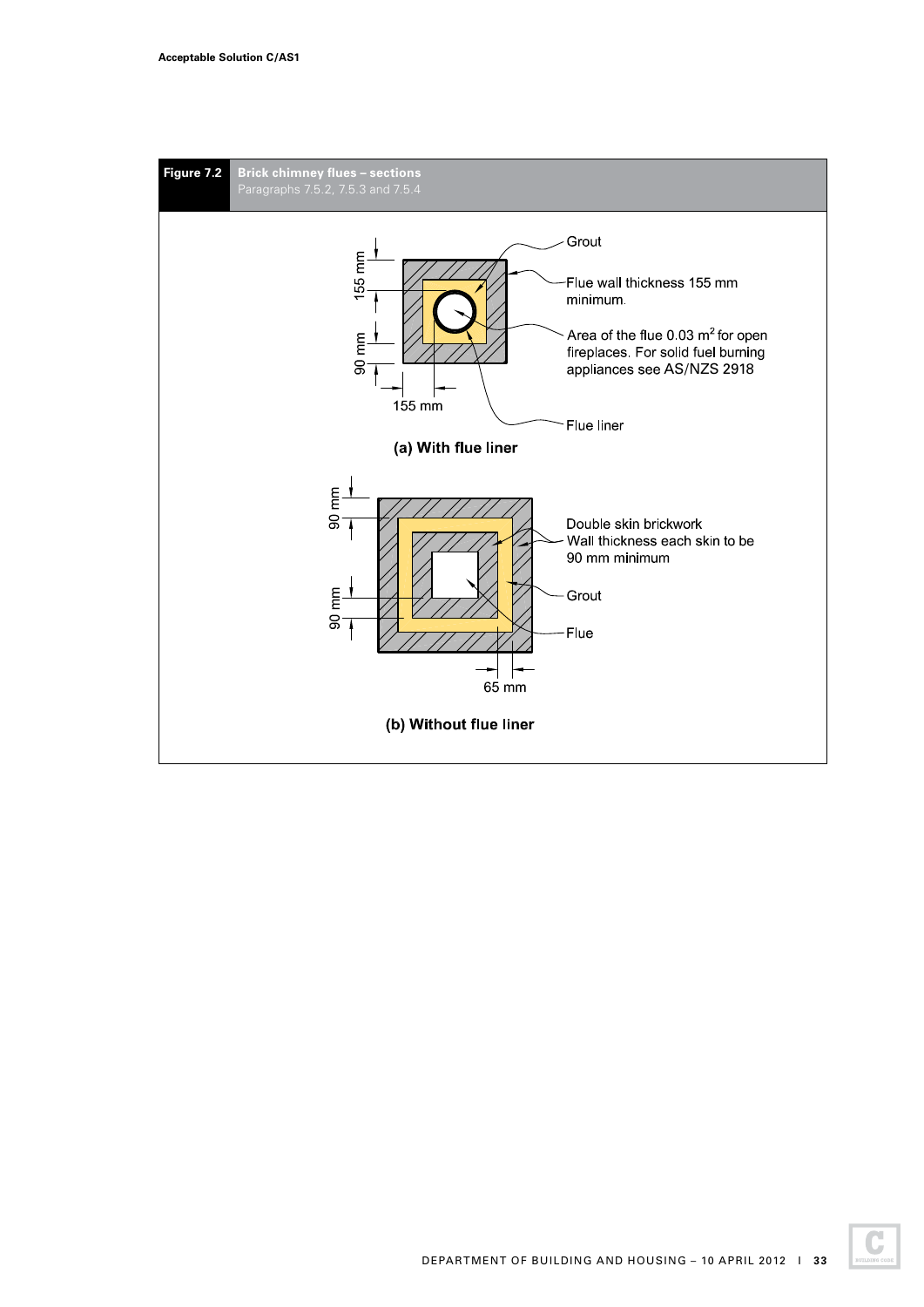

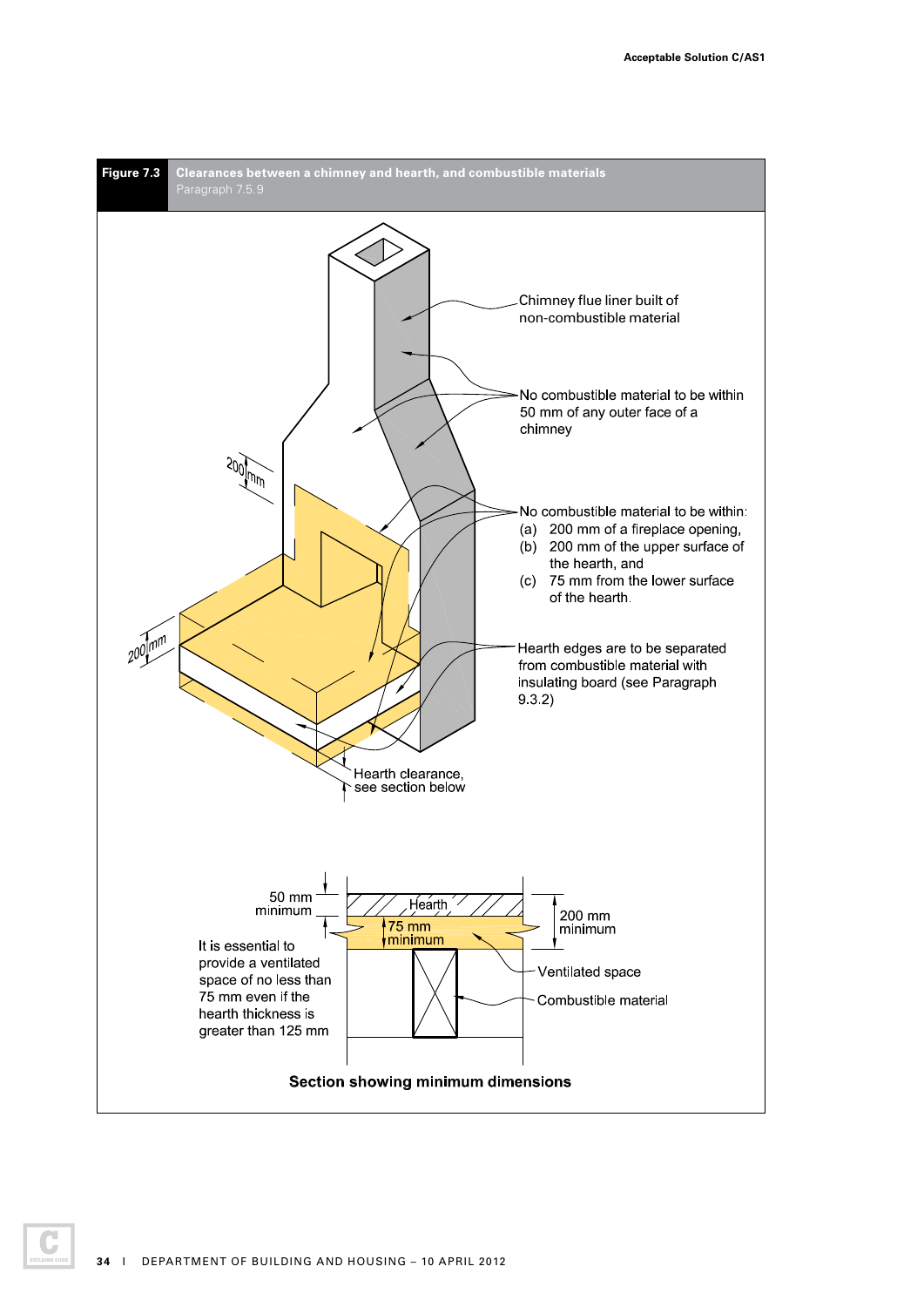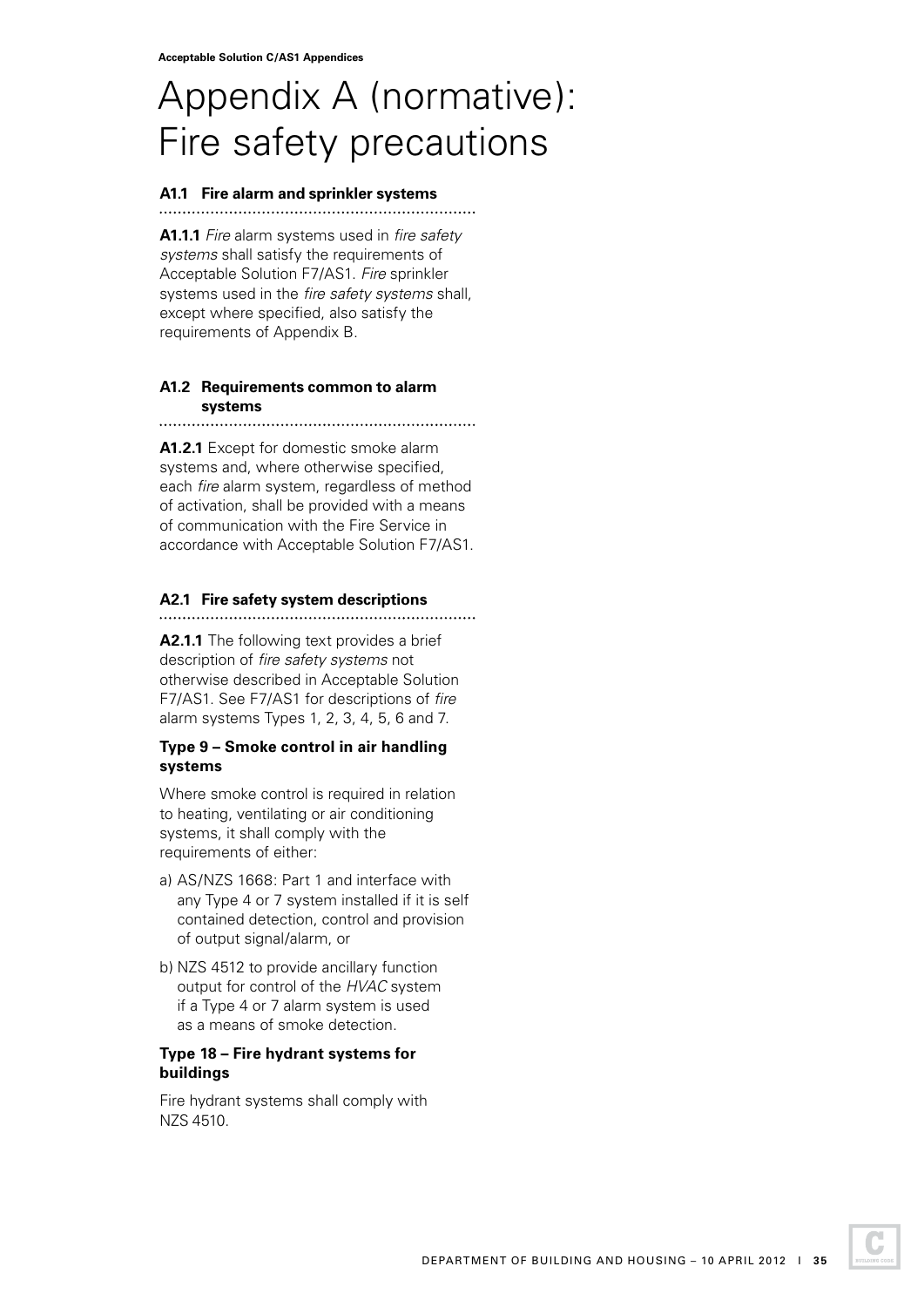# Appendix A (normative): Fire safety precautions

# **A1.1 Fire alarm and sprinkler systems**

**A1.1.1** *Fire* alarm systems used in *fire safety systems* shall satisfy the requirements of Acceptable Solution F7/AS1. *Fire* sprinkler systems used in the *fire safety systems* shall, except where specified, also satisfy the requirements of Appendix B.

# **A1.2 Requirements common to alarm systems**

**A1.2.1** Except for domestic smoke alarm systems and, where otherwise specified, each *fire* alarm system, regardless of method of activation, shall be provided with a means of communication with the Fire Service in accordance with Acceptable Solution F7/AS1.

### **A2.1 Fire safety system descriptions**

**A2.1.1** The following text provides a brief description of *fire safety systems* not otherwise described in Acceptable Solution

F7/AS1. See F7/AS1 for descriptions of *fire* alarm systems Types 1, 2, 3, 4, 5, 6 and 7.

# **Type 9 – Smoke control in air handling systems**

Where smoke control is required in relation to heating, ventilating or air conditioning systems, it shall comply with the requirements of either:

- a) AS/NZS 1668: Part 1 and interface with any Type 4 or 7 system installed if it is self contained detection, control and provision of output signal/alarm, or
- b) NZS 4512 to provide ancillary function output for control of the *HVAC* system if a Type 4 or 7 alarm system is used as a means of smoke detection.

# **Type 18 – Fire hydrant systems for buildings**

Fire hydrant systems shall comply with NZS 4510.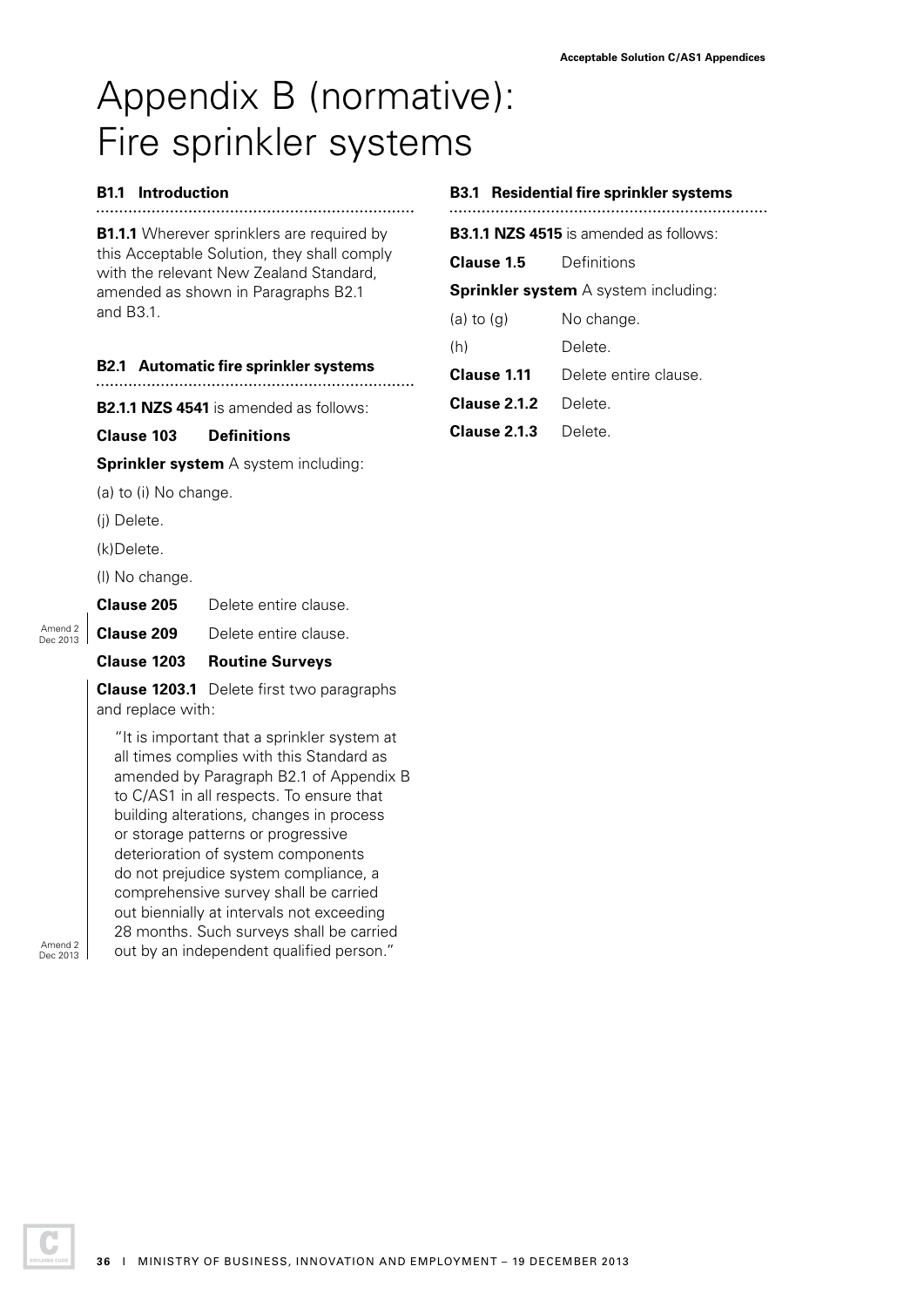# Appendix B (normative): Fire sprinkler systems

# **B1.1 Introduction**

**B1.1.1** Wherever sprinklers are required by this Acceptable Solution, they shall comply with the relevant New Zealand Standard, amended as shown in Paragraphs B2.1 and B3.1.

# **B2.1 Automatic fire sprinkler systems**

**B2.1.1 NZS 4541** is amended as follows:

**Clause 103 Definitions**

**Sprinkler system** A system including:

(a) to (i) No change.

(j) Delete.

(k)Delete.

(l) No change.

**Clause 205** Delete entire clause.

**Clause 209** Delete entire clause.

# **Clause 1203 Routine Surveys**

**Clause 1203.1** Delete first two paragraphs and replace with:

"It is important that a sprinkler system at all times complies with this Standard as amended by Paragraph B2.1 of Appendix B to C/AS1 in all respects. To ensure that building alterations, changes in process or storage patterns or progressive deterioration of system components do not prejudice system compliance, a comprehensive survey shall be carried out biennially at intervals not exceeding 28 months. Such surveys shall be carried out by an independent qualified person."

Amend 2 Dec 2013

Amend 2 Dec 2013

# **B3.1 Residential fire sprinkler systems**

|  | <b>B3.1.1 NZS 4515</b> is amended as follows: |
|--|-----------------------------------------------|
|--|-----------------------------------------------|

**Clause 1.5** Definitions

**Sprinkler system** A system including:

| (a) to $(g)$ | No change. |
|--------------|------------|
|              |            |

(h) Delete.

**Clause 1.11** Delete entire clause.

**Clause 2.1.2** Delete.

**Clause 2.1.3** Delete.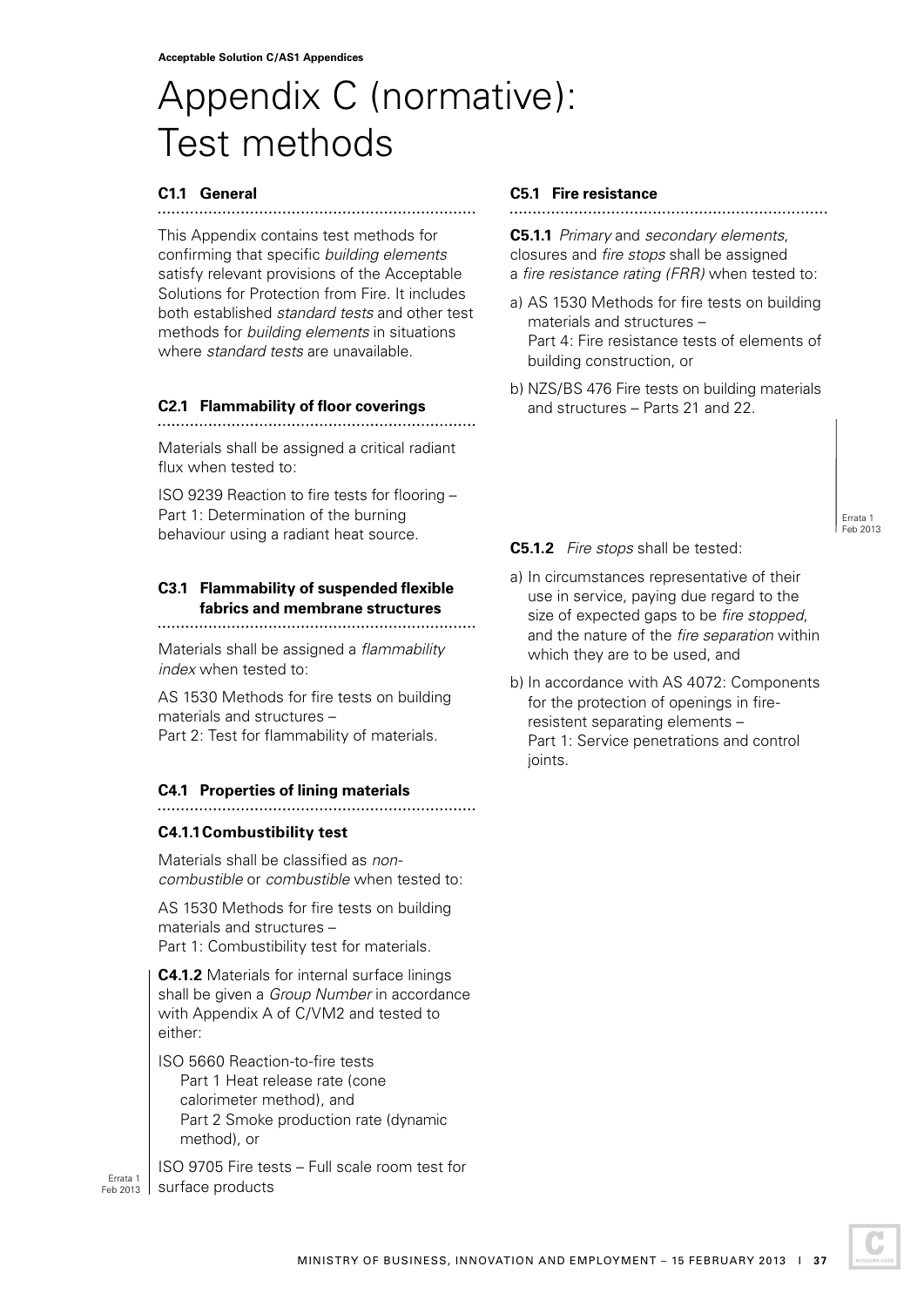# Appendix C (normative): Test methods

# **C1.1 General**

This Appendix contains test methods for confirming that specific *building elements* satisfy relevant provisions of the Acceptable Solutions for Protection from Fire. It includes both established *standard tests* and other test methods for *building elements* in situations where *standard tests* are unavailable.

# **C2.1 Flammability of floor coverings**

Materials shall be assigned a critical radiant flux when tested to:

ISO 9239 Reaction to fire tests for flooring – Part 1: Determination of the burning behaviour using a radiant heat source.

# **C3.1 Flammability of suspended flexible fabrics and membrane structures**

Materials shall be assigned a *flammability index* when tested to:

AS 1530 Methods for fire tests on building materials and structures – Part 2: Test for flammability of materials.

### **C4.1 Properties of lining materials**

# **C4.1.1Combustibility test**

Materials shall be classified as *noncombustible* or *combustible* when tested to:

AS 1530 Methods for fire tests on building materials and structures – Part 1: Combustibility test for materials.

**C4.1.2** Materials for internal surface linings shall be given a *Group Number* in accordance with Appendix A of C/VM2 and tested to either:

ISO 5660 Reaction-to-fire tests Part 1 Heat release rate (cone calorimeter method), and Part 2 Smoke production rate (dynamic method), or

ISO 9705 Fire tests – Full scale room test for surface products Errata 1 Feb 2013

# **C5.1 Fire resistance**

**C5.1.1** *Primary* and *secondary elements*, closures and *fire stops* shall be assigned

a *fire resistance rating (FRR)* when tested to:

a) AS 1530 Methods for fire tests on building materials and structures – Part 4: Fire resistance tests of elements of building construction, or

b) NZS/BS 476 Fire tests on building materials and structures – Parts 21 and 22.

> Errata 1 Feb 2013

# **C5.1.2** *Fire stops* shall be tested:

- a) In circumstances representative of their use in service, paying due regard to the size of expected gaps to be *fire stopped*, and the nature of the *fire separation* within which they are to be used, and
- b) In accordance with AS 4072: Components for the protection of openings in fireresistent separating elements – Part 1: Service penetrations and control joints.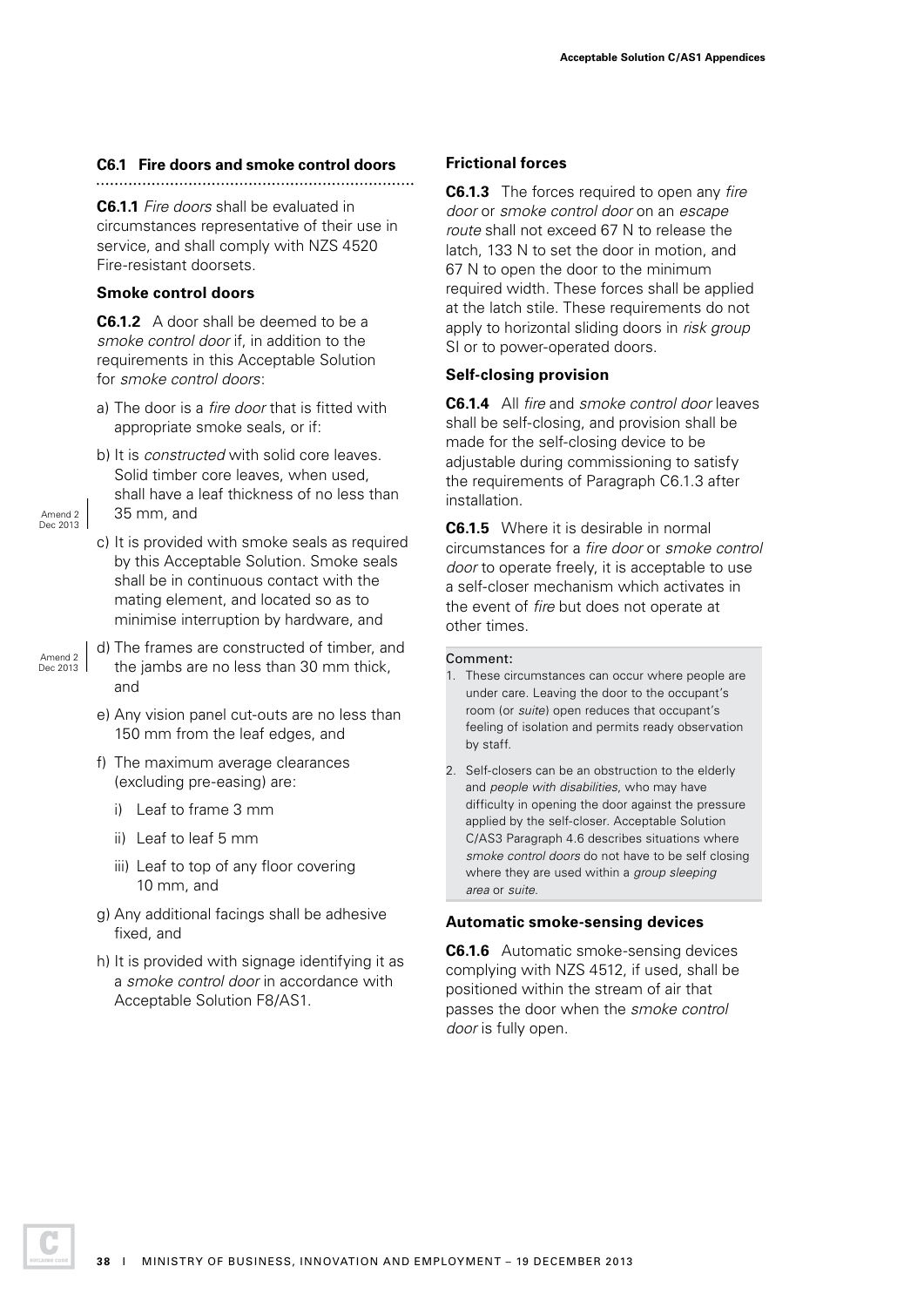# **C6.1 Fire doors and smoke control doors**

**C6.1.1** *Fire doors* shall be evaluated in circumstances representative of their use in service, and shall comply with NZS 4520 Fire-resistant doorsets.

# **Smoke control doors**

**C6.1.2** A door shall be deemed to be a *smoke control door* if, in addition to the requirements in this Acceptable Solution for *smoke control doors*:

- a) The door is a *fire door* that is fitted with appropriate smoke seals, or if:
- b) It is *constructed* with solid core leaves. Solid timber core leaves, when used, shall have a leaf thickness of no less than 35 mm, and
- c) It is provided with smoke seals as required by this Acceptable Solution. Smoke seals shall be in continuous contact with the mating element, and located so as to minimise interruption by hardware, and
- Amend 2 Dec 2013

Amend 2 Dec 2013

- d) The frames are constructed of timber, and the jambs are no less than 30 mm thick, and
- e) Any vision panel cut-outs are no less than 150 mm from the leaf edges, and
- f) The maximum average clearances (excluding pre-easing) are:
	- i) Leaf to frame 3 mm
	- ii) Leaf to leaf 5 mm
	- iii) Leaf to top of any floor covering 10 mm, and
- g) Any additional facings shall be adhesive fixed, and
- h) It is provided with signage identifying it as a *smoke control door* in accordance with Acceptable Solution F8/AS1.

# **Frictional forces**

**C6.1.3** The forces required to open any *fire door* or *smoke control door* on an *escape route* shall not exceed 67 N to release the latch, 133 N to set the door in motion, and 67 N to open the door to the minimum required width. These forces shall be applied at the latch stile. These requirements do not apply to horizontal sliding doors in *risk group* SI or to power-operated doors.

# **Self-closing provision**

**C6.1.4** All *fire* and *smoke control door* leaves shall be self-closing, and provision shall be made for the self-closing device to be adjustable during commissioning to satisfy the requirements of Paragraph C6.1.3 after installation.

**C6.1.5** Where it is desirable in normal circumstances for a *fire door* or *smoke control door* to operate freely, it is acceptable to use a self-closer mechanism which activates in the event of *fire* but does not operate at other times.

# Comment:

- 1. These circumstances can occur where people are under care. Leaving the door to the occupant's room (or *suite*) open reduces that occupant's feeling of isolation and permits ready observation by staff.
- 2. Self-closers can be an obstruction to the elderly and *people with disabilities*, who may have difficulty in opening the door against the pressure applied by the self-closer. Acceptable Solution C/AS3 Paragraph 4.6 describes situations where *smoke control doors* do not have to be self closing where they are used within a *group sleeping area* or *suite*.

# **Automatic smoke-sensing devices**

**C6.1.6** Automatic smoke-sensing devices complying with NZS 4512, if used, shall be positioned within the stream of air that passes the door when the *smoke control door* is fully open.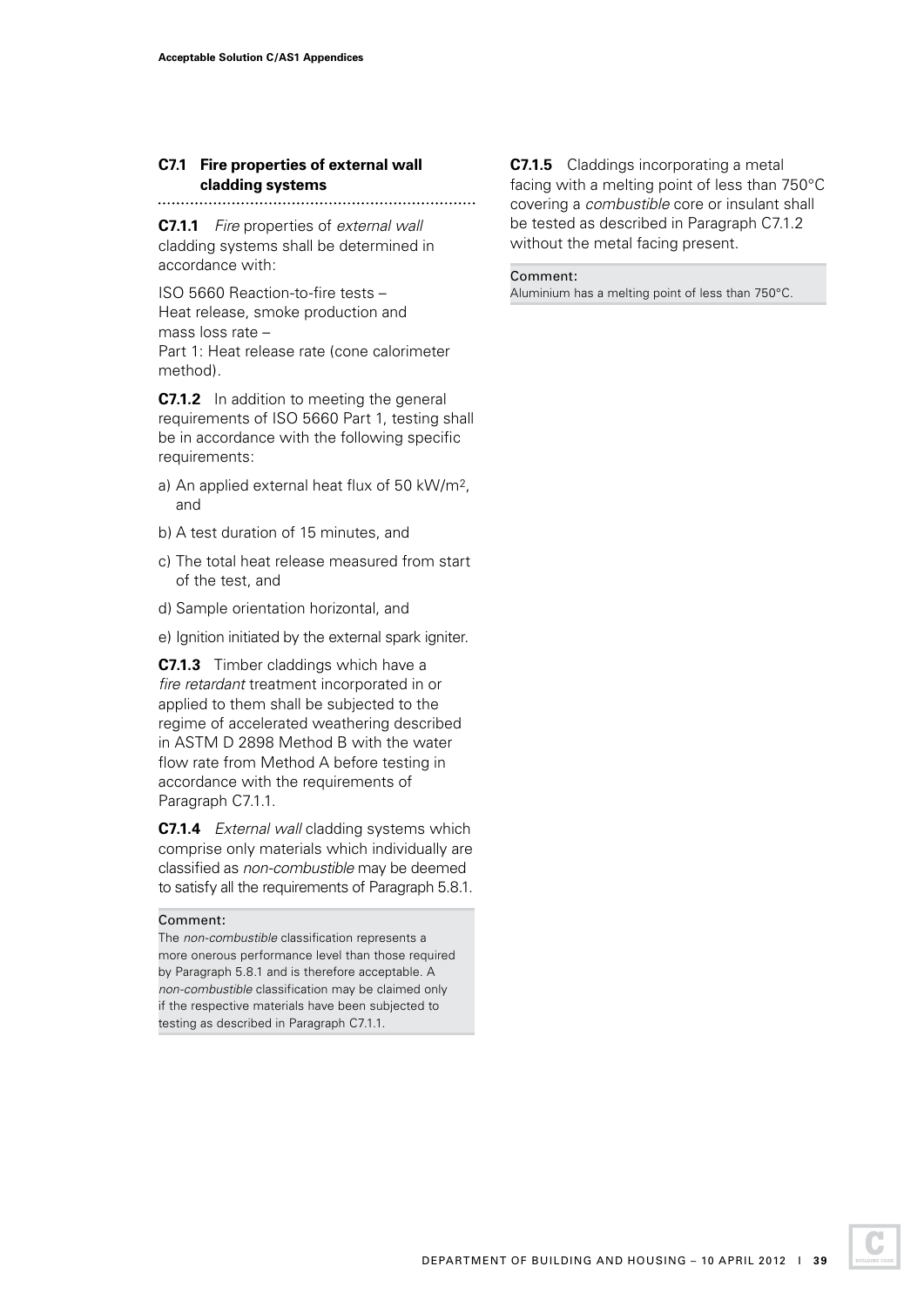# **C7.1 Fire properties of external wall cladding systems**

**C7.1.1** *Fire* properties of *external wall*  cladding systems shall be determined in accordance with:

ISO 5660 Reaction-to-fire tests – Heat release, smoke production and mass loss rate – Part 1: Heat release rate (cone calorimeter method).

**C7.1.2** In addition to meeting the general requirements of ISO 5660 Part 1, testing shall be in accordance with the following specific requirements:

- a) An applied external heat flux of 50 kW/m2, and
- b) A test duration of 15 minutes, and
- c) The total heat release measured from start of the test, and
- d) Sample orientation horizontal, and
- e) Ignition initiated by the external spark igniter.

**C7.1.3** Timber claddings which have a *fire retardant* treatment incorporated in or applied to them shall be subjected to the regime of accelerated weathering described in ASTM D 2898 Method B with the water flow rate from Method A before testing in accordance with the requirements of Paragraph C7.1.1.

**C7.1.4** *External wall* cladding systems which comprise only materials which individually are classified as *non-combustible* may be deemed to satisfy all the requirements of Paragraph 5.8.1.

# Comment:

The *non-combustible* classification represents a more onerous performance level than those required by Paragraph 5.8.1 and is therefore acceptable. A *non-combustible* classification may be claimed only if the respective materials have been subjected to testing as described in Paragraph C7.1.1.

**C7.1.5** Claddings incorporating a metal facing with a melting point of less than 750°C covering a *combustible* core or insulant shall be tested as described in Paragraph C7.1.2 without the metal facing present.

# Comment:

Aluminium has a melting point of less than 750°C.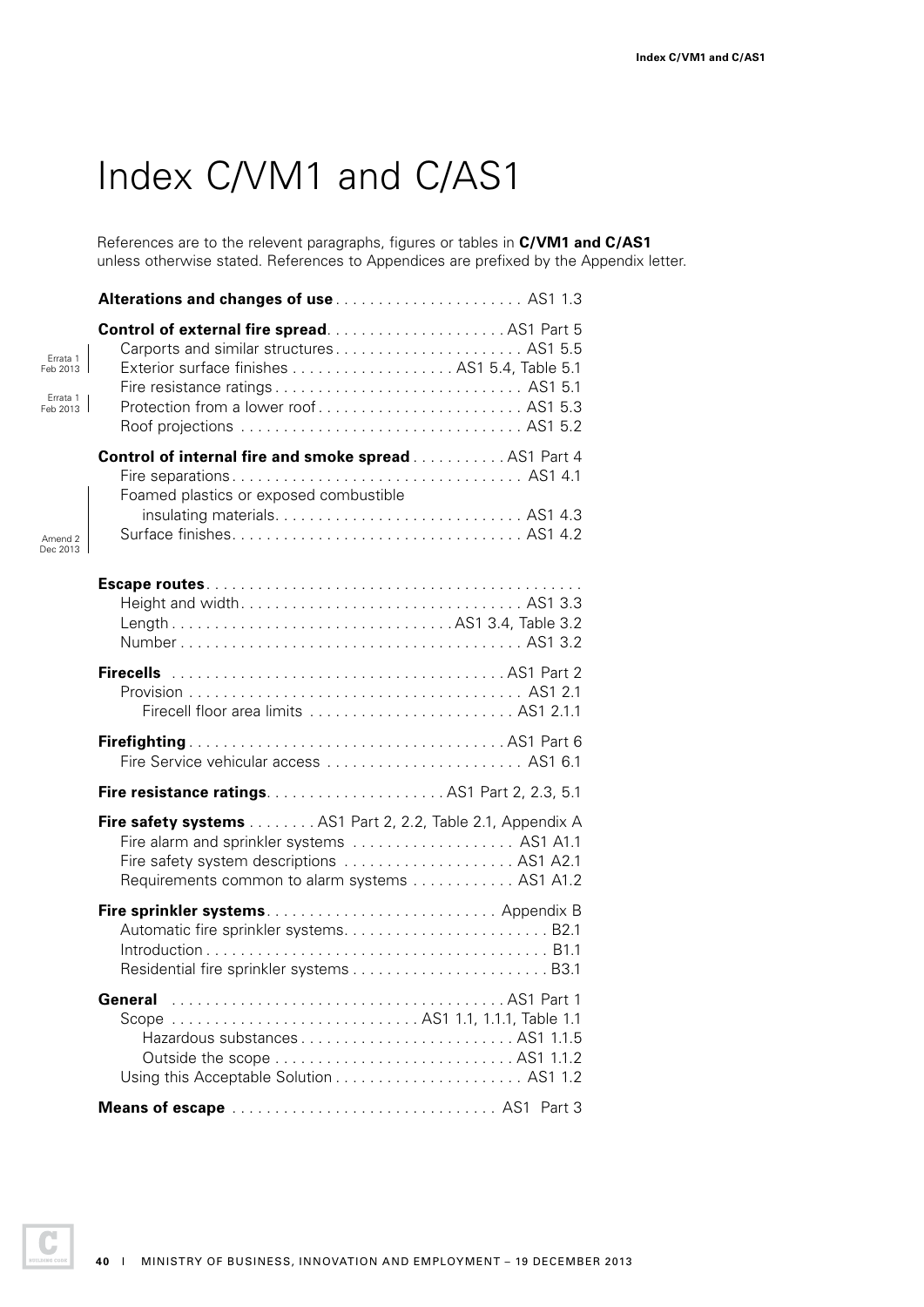# Index C/VM1 and C/AS1

References are to the relevent paragraphs, figures or tables in **C/VM1 and C/AS1** unless otherwise stated. References to Appendices are prefixed by the Appendix letter.

| Errata 1<br>Feb 2013  <br>Errata 1<br>Feb 2013 l | Carports and similar structures AS1 5.5<br>Fire resistance ratings AS1 5.1<br>Protection from a lower roof AS1 5.3                                                                                     |
|--------------------------------------------------|--------------------------------------------------------------------------------------------------------------------------------------------------------------------------------------------------------|
|                                                  | <b>Control of internal fire and smoke spread AS1 Part 4</b><br>Foamed plastics or exposed combustible                                                                                                  |
| Amend <sub>2</sub><br>Dec 2013                   | insulating materials AS1 4.3                                                                                                                                                                           |
|                                                  |                                                                                                                                                                                                        |
|                                                  |                                                                                                                                                                                                        |
|                                                  |                                                                                                                                                                                                        |
|                                                  |                                                                                                                                                                                                        |
|                                                  | Fire safety systems AS1 Part 2, 2.2, Table 2.1, Appendix A<br>Fire alarm and sprinkler systems  AS1 A1.1<br>Fire safety system descriptions  AS1 A2.1<br>Requirements common to alarm systems AS1 A1.2 |
|                                                  | Fire sprinkler systems Appendix B<br>Automatic fire sprinkler systems B2.1                                                                                                                             |
|                                                  | Scope  AS1 1.1, 1.1.1, Table 1.1                                                                                                                                                                       |
|                                                  | Means of escape  AS1 Part 3                                                                                                                                                                            |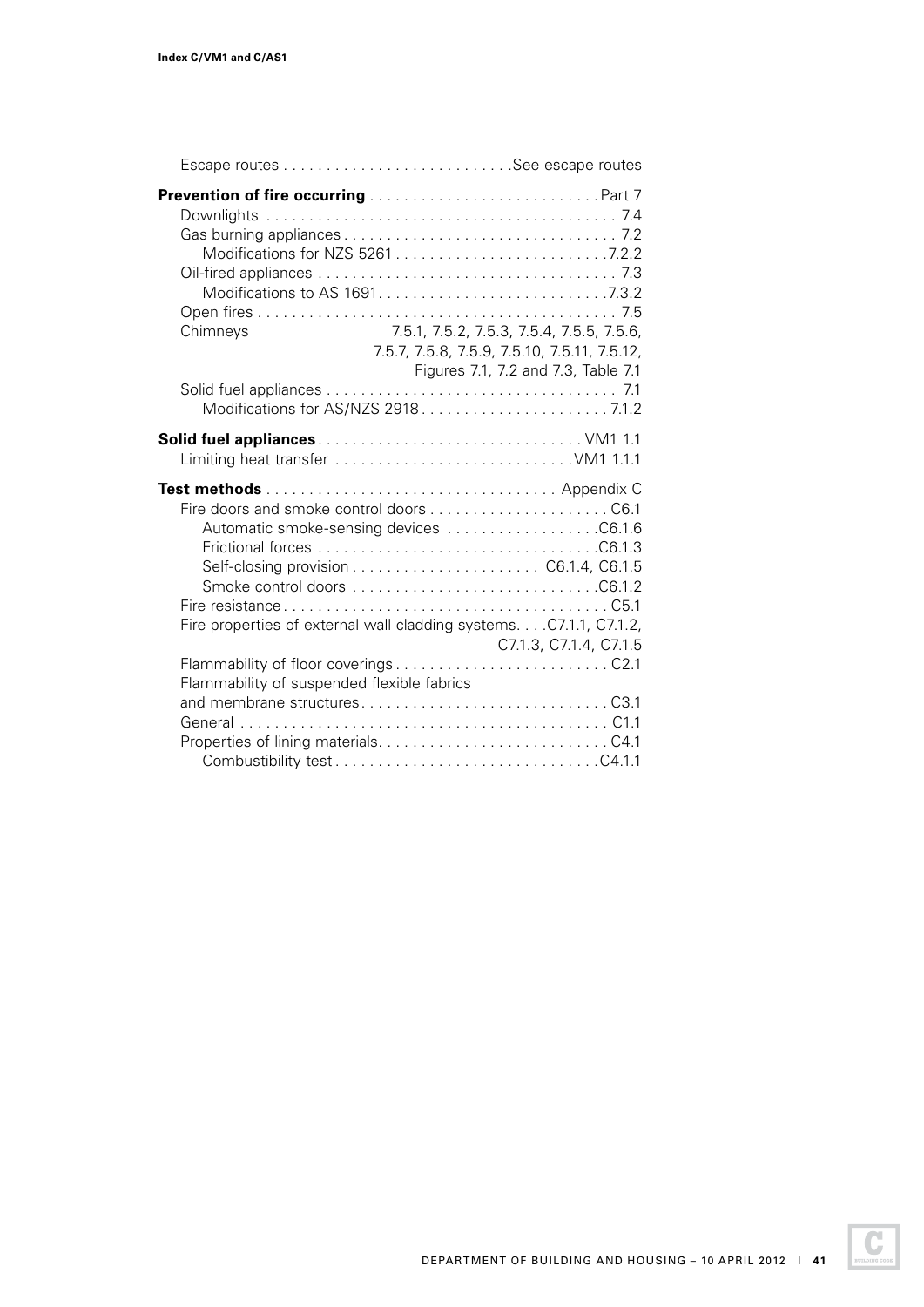| Chimneys                                   | 7.5.1, 7.5.2, 7.5.3, 7.5.4, 7.5.5, 7.5.6,<br>7.5.7, 7.5.8, 7.5.9, 7.5.10, 7.5.11, 7.5.12,<br>Figures 7.1, 7.2 and 7.3, Table 7.1     |
|--------------------------------------------|--------------------------------------------------------------------------------------------------------------------------------------|
|                                            |                                                                                                                                      |
|                                            | Limiting heat transfer  VM1 1.1.1                                                                                                    |
|                                            | Automatic smoke-sensing devices C6.1.6<br>Fire properties of external wall cladding systemsC7.1.1, C7.1.2,<br>C7.1.3, C7.1.4, C7.1.5 |
| Flammability of suspended flexible fabrics |                                                                                                                                      |